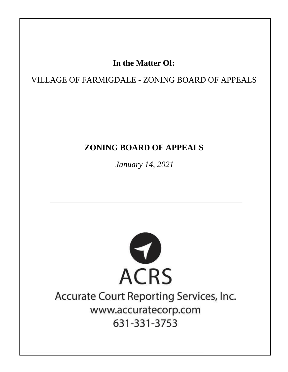## In the Matter Of:

## VILLAGE OF FARMIGDALE - ZONING BOARD OF APPEALS

## **ZONING BOARD OF APPEALS**

January 14, 2021



## Accurate Court Reporting Services, Inc. www.accuratecorp.com 631-331-3753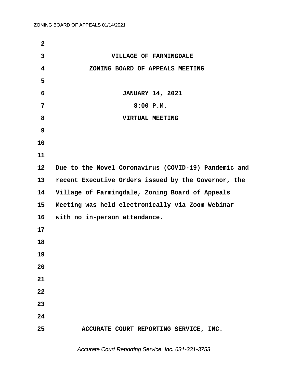| $\overline{2}$ |                                                      |
|----------------|------------------------------------------------------|
| 3              | VILLAGE OF FARMINGDALE                               |
| 4              | ZONING BOARD OF APPEALS MEETING                      |
| 5              |                                                      |
| 6              | <b>JANUARY 14, 2021</b>                              |
| 7              | 8:00 P.M.                                            |
| 8              | VIRTUAL MEETING                                      |
| 9              |                                                      |
| 10             |                                                      |
| 11             |                                                      |
| 12             | Due to the Novel Coronavirus (COVID-19) Pandemic and |
| 13             | recent Executive Orders issued by the Governor, the  |
| 14             | Village of Farmingdale, Zoning Board of Appeals      |
| 15             | Meeting was held electronically via Zoom Webinar     |
| 16             | with no in-person attendance.                        |
| 17             |                                                      |
| 18             |                                                      |
| 19             |                                                      |
| 20             |                                                      |
| 21             |                                                      |
| 22             |                                                      |
| 23             |                                                      |
| 24             |                                                      |
| 25             | ACCURATE COURT REPORTING SERVICE, INC.               |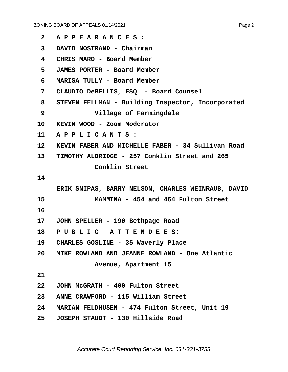| $\mathbf{2}$      | APPEARANCES:                                       |
|-------------------|----------------------------------------------------|
| 3                 | DAVID NOSTRAND - Chairman                          |
| 4                 | CHRIS MARO - Board Member                          |
| 5                 | <b>JAMES PORTER - Board Member</b>                 |
| 6                 | MARISA TULLY - Board Member                        |
| 7                 | CLAUDIO DeBELLIS, ESQ. - Board Counsel             |
| 8                 | STEVEN FELLMAN - Building Inspector, Incorporated  |
| 9                 | Village of Farmingdale                             |
| 10                | KEVIN WOOD - Zoom Moderator                        |
| 11                | APPLICANTS:                                        |
| $12 \overline{ }$ | KEVIN FABER AND MICHELLE FABER - 34 Sullivan Road  |
| 13 <sup>7</sup>   | TIMOTHY ALDRIDGE - 257 Conklin Street and 265      |
|                   | Conklin Street                                     |
| 14                |                                                    |
|                   | ERIK SNIPAS, BARRY NELSON, CHARLES WEINRAUB, DAVID |
| 15                | MAMMINA - 454 and 464 Fulton Street                |
| 16                |                                                    |
| $17 \,$           | JOHN SPELLER - 190 Bethpage Road                   |
| 18                | PUBLIC ATTENDEES:                                  |
| 19                | CHARLES GOSLINE - 35 Waverly Place                 |
| 20                | MIKE ROWLAND AND JEANNE ROWLAND - One Atlantic     |
|                   | Avenue, Apartment 15                               |
| 21                |                                                    |
| 22                | JOHN McGRATH - 400 Fulton Street                   |
| 23                | ANNE CRAWFORD - 115 William Street                 |
| 24                | MARIAN FELDHUSEN - 474 Fulton Street, Unit 19      |
| 25 <sub>2</sub>   | JOSEPH STAUDT - 130 Hillside Road                  |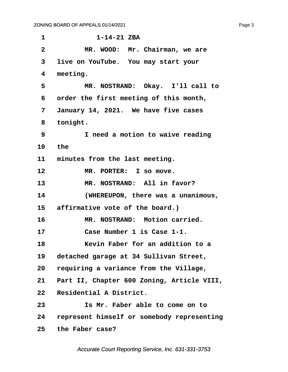| 1               | $1 - 14 - 21$ ZBA                          |
|-----------------|--------------------------------------------|
| $\mathbf{2}$    | MR. WOOD: Mr. Chairman, we are             |
| 3               | live on YouTube. You may start your        |
| 4               | meeting.                                   |
| 5               | MR. NOSTRAND: Okay. I'll call to           |
| 6               | order the first meeting of this month,     |
| 7               | January 14, 2021. We have five cases       |
| 8               | tonight.                                   |
| 9               | I need a motion to waive reading           |
| 10              | the                                        |
| 11              | minutes from the last meeting.             |
| 12              | MR. PORTER: I so move.                     |
| 13              | MR. NOSTRAND: All in favor?                |
| 14              | (WHEREUPON, there was a unanimous,         |
| 15              | affirmative vote of the board.)            |
| 16              | MR. NOSTRAND: Motion carried.              |
| 17              | Case Number 1 is Case 1-1.                 |
| 18              | Kevin Faber for an addition to a           |
| 19              | detached garage at 34 Sullivan Street,     |
| 20              | requiring a variance from the Village,     |
| 21              | Part II, Chapter 600 Zoning, Article VIII, |
| 22              | Residential A District.                    |
| 23              | Is Mr. Faber able to come on to            |
| 24              | represent himself or somebody representing |
| 25 <sub>2</sub> | the Faber case?                            |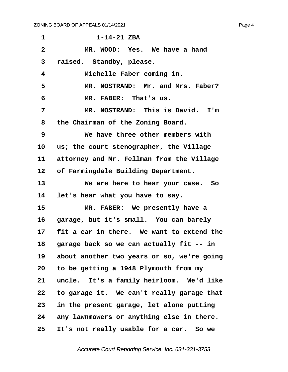| $\mathbf 1$    | $1 - 14 - 21$ ZBA                          |
|----------------|--------------------------------------------|
| $\overline{2}$ | MR. WOOD: Yes. We have a hand              |
| 3              | raised. Standby, please.                   |
| 4              | Michelle Faber coming in.                  |
| 5              | MR. NOSTRAND: Mr. and Mrs. Faber?          |
| 6              | MR. FABER: That's us.                      |
| 7              | MR. NOSTRAND: This is David.<br>I'm        |
| 8              | the Chairman of the Zoning Board.          |
| 9              | We have three other members with           |
| 10             | us; the court stenographer, the Village    |
| 11             | attorney and Mr. Fellman from the Village  |
| 12             | of Farmingdale Building Department.        |
| 13             | We are here to hear your case. So          |
| 14             | let's hear what you have to say.           |
| 15             | MR. FABER: We presently have a             |
| 16             | garage, but it's small. You can barely     |
| 17             | fit a car in there. We want to extend the  |
| 18             | garage back so we can actually fit -- in   |
| 19             | about another two years or so, we're going |
| 20             | to be getting a 1948 Plymouth from my      |
| 21             | uncle. It's a family heirloom. We'd like   |
| 22             | to garage it. We can't really garage that  |
| 23             | in the present garage, let alone putting   |
| 24             | any lawnmowers or anything else in there.  |
| 25             | It's not really usable for a car. So we    |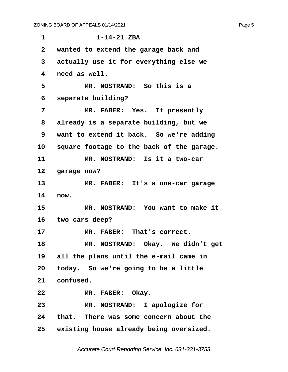| 1            | $1 - 14 - 21$ ZBA                          |
|--------------|--------------------------------------------|
| $\mathbf{2}$ | wanted to extend the garage back and       |
| 3            | actually use it for everything else we     |
| 4            | need as well.                              |
| 5            | MR. NOSTRAND: So this is a                 |
| 6            | separate building?                         |
| 7            | MR. FABER: Yes. It presently               |
| 8            | already is a separate building, but we     |
| 9            | want to extend it back. So we're adding    |
| 10           | square footage to the back of the garage.  |
| 11           | MR. NOSTRAND: Is it a two-car              |
| 12           | garage now?                                |
| 13           | MR. FABER: It's a one-car garage           |
| 14           | now.                                       |
| 15           | MR. NOSTRAND: You want to make it          |
|              | 16 two cars deep?                          |
| 17           | MR. FABER: That's correct.                 |
| 18           | MR. NOSTRAND: Okay. We didn't get          |
| 19           | all the plans until the e-mail came in     |
| 20           | today. So we're going to be a little       |
| 21           | confused.                                  |
| 22           | MR. FABER: Okay.                           |
| 23           | MR. NOSTRAND: I apologize for              |
| 24           | that. There was some concern about the     |
|              | 25 existing house already being oversized. |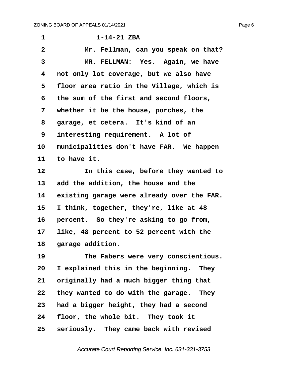**·1· · · · · · ·1-14-21 ZBA ·2· · · · · Mr. Fellman, can you speak on that?** 3 **MR. FELLMAN: Yes. Again, we have ·4· ·not only lot coverage, but we also have ·5· ·floor area ratio in the Village, which is ·6· ·the sum of the first and second floors, ·7· ·whether it be the house, porches, the ·8· ·garage, et cetera.· It's kind of an ·9· ·interesting requirement.· A lot of** 10 municipalities don't have FAR. We happen 11 to have it. **12· · · · · In this case, before they wanted to** 13 add the addition, the house and the 14 existing garage were already over the FAR. 15 I think, together, they're, like at 48 16 **percent.** So they're asking to go from, **17· ·like, 48 percent to 52 percent with the** 18 garage addition.

19 The Fabers were very conscientious. **20· ·I explained this in the beginning.· They** 21 originally had a much bigger thing that **22· ·they wanted to do with the garage.· They 23· ·had a bigger height, they had a second** 24 **floor, the whole bit.** They took it 25 **seriously.** They came back with revised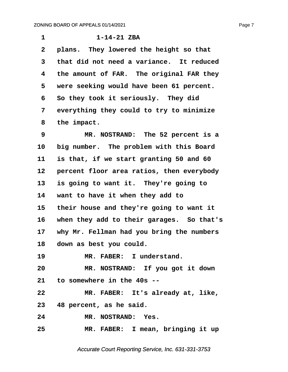| $\mathbf{1}$ | $1 - 14 - 21$ ZBA                         |
|--------------|-------------------------------------------|
| $\mathbf{2}$ | plans. They lowered the height so that    |
| 3            | that did not need a variance. It reduced  |
| 4            | the amount of FAR. The original FAR they  |
| 5            | were seeking would have been 61 percent.  |
| 6            | So they took it seriously. They did       |
| 7            | everything they could to try to minimize  |
| 8            | the impact.                               |
| 9            | MR. NOSTRAND: The 52 percent is a         |
| 10           | big number. The problem with this Board   |
| 11           | is that, if we start granting 50 and 60   |
| 12           | percent floor area ratios, then everybody |
| 13           | is going to want it. They're going to     |
| 14           | want to have it when they add to          |
| 15           | their house and they're going to want it  |
| 16           | when they add to their garages. So that's |
| 17           | why Mr. Fellman had you bring the numbers |
| 18           | down as best you could.                   |
| 19           | MR. FABER: I understand.                  |
| 20           | MR. NOSTRAND: If you got it down          |
|              | 21 to somewhere in the 40s --             |
| 22           | MR. FABER: It's already at, like,         |
|              | 23 48 percent, as he said.                |
| 24           | MR. NOSTRAND: Yes.                        |
| 25           | MR. FABER: I mean, bringing it up         |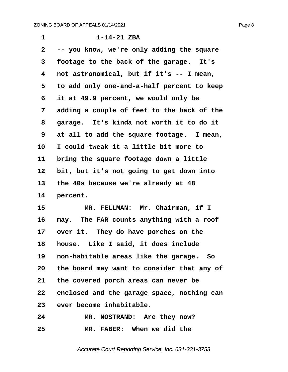| 1            | $1 - 14 - 21$ ZBA                          |
|--------------|--------------------------------------------|
| $\mathbf{2}$ | -- you know, we're only adding the square  |
| 3            | footage to the back of the garage. It's    |
| 4            | not astronomical, but if it's -- I mean,   |
| 5            | to add only one-and-a-half percent to keep |
| 6            | it at 49.9 percent, we would only be       |
| 7            | adding a couple of feet to the back of the |
| 8            | garage. It's kinda not worth it to do it   |
| 9            | at all to add the square footage. I mean,  |
| 10           | I could tweak it a little bit more to      |
| 11           | bring the square footage down a little     |
| 12           | bit, but it's not going to get down into   |
| 13           | the 40s because we're already at 48        |
| 14           | percent.                                   |
| 15           | MR. FELLMAN: Mr. Chairman, if I            |
| 16           | may. The FAR counts anything with a roof   |
| 17           | over it. They do have porches on the       |
| 18           | house. Like I said, it does include        |
| 19           | non-habitable areas like the garage. So    |
| 20           | the board may want to consider that any of |
| 21           | the covered porch areas can never be       |
| $22 \,$      | enclosed and the garage space, nothing can |
| 23           | ever become inhabitable.                   |
| 24           | MR. NOSTRAND: Are they now?                |
| 25           | MR. FABER: When we did the                 |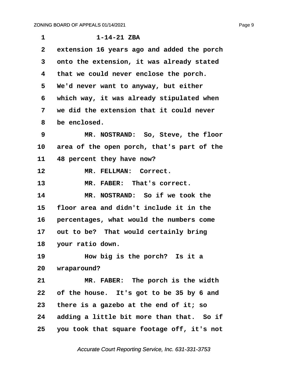| $\mathbf{1}$ | $1 - 14 - 21$ ZBA                          |
|--------------|--------------------------------------------|
| $\mathbf{2}$ | extension 16 years ago and added the porch |
| 3            | onto the extension, it was already stated  |
| 4            | that we could never enclose the porch.     |
| 5            | We'd never want to anyway, but either      |
| 6            | which way, it was already stipulated when  |
| 7            | we did the extension that it could never   |
| 8            | be enclosed.                               |
| 9            | MR. NOSTRAND: So, Steve, the floor         |
| 10           | area of the open porch, that's part of the |
| 11           | 48 percent they have now?                  |
| 12           | MR. FELLMAN: Correct.                      |
| 13           | MR. FABER: That's correct.                 |
| 14           | MR. NOSTRAND: So if we took the            |
| 15           | floor area and didn't include it in the    |
| 16           | percentages, what would the numbers come   |
| 17           | out to be? That would certainly bring      |
| 18           | your ratio down.                           |
| 19           | How big is the porch? Is it a              |
| 20           | wraparound?                                |
| 21           | MR. FABER: The porch is the width          |
| 22           | of the house. It's got to be 35 by 6 and   |
| 23           | there is a gazebo at the end of it; so     |
| 24           | adding a little bit more than that. So if  |
| 25           | you took that square footage off, it's not |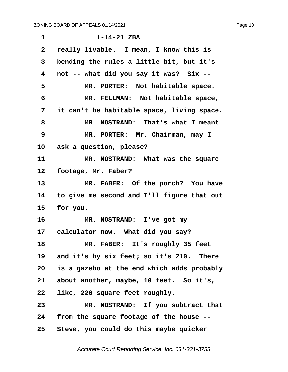| $\mathbf{1}$ | $1 - 14 - 21$ ZBA                          |
|--------------|--------------------------------------------|
| $\mathbf{2}$ | really livable. I mean, I know this is     |
| 3            | bending the rules a little bit, but it's   |
| 4            | not -- what did you say it was? Six --     |
| 5            | MR. PORTER: Not habitable space.           |
| 6            | MR. FELLMAN: Not habitable space,          |
| 7            | it can't be habitable space, living space. |
| 8            | MR. NOSTRAND: That's what I meant.         |
| 9            | MR. PORTER: Mr. Chairman, may I            |
| 10           | ask a question, please?                    |
| 11           | MR. NOSTRAND: What was the square          |
| 12           | footage, Mr. Faber?                        |
| 13           | MR. FABER: Of the porch? You have          |
| 14           | to give me second and I'll figure that out |
| 15           | for you.                                   |
| 16           | MR. NOSTRAND: I've got my                  |
|              | 17 calculator now. What did you say?       |
| 18           | MR. FABER: It's roughly 35 feet            |
| 19           | and it's by six feet; so it's 210. There   |
| 20           | is a gazebo at the end which adds probably |
| 21           | about another, maybe, 10 feet. So it's,    |
| 22           | like, 220 square feet roughly.             |
| 23           | MR. NOSTRAND: If you subtract that         |
| 24           | from the square footage of the house --    |
| 25           | Steve, you could do this maybe quicker     |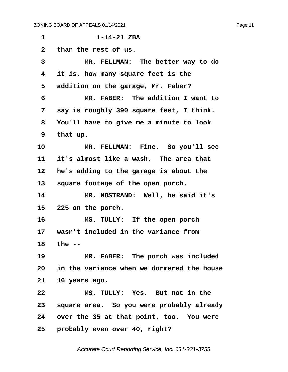**·1· · · · · · ·1-14-21 ZBA ·2· ·than the rest of us. ·3· · · · · MR. FELLMAN:· The better way to do ·4· ·it is, how many square feet is the ·5· ·addition on the garage, Mr. Faber? ·6· · · · · MR. FABER:· The addition I want to ·7· ·say is roughly 390 square feet, I think. ·8· ·You'll have to give me a minute to look ·9· ·that up.** 10 MR. FELLMAN: Fine. So you'll see 11 it's almost like a wash. The area that **12· ·he's adding to the garage is about the** 13 square footage of the open porch. 14 MR. NOSTRAND: Well, he said it's **15· ·225 on the porch. 16· · · · · MS. TULLY:· If the open porch 17· ·wasn't included in the variance from 18· ·the -- 19· · · · · MR. FABER:· The porch was included 20· ·in the variance when we dormered the house 21· ·16 years ago. 22· · · · · MS. TULLY:· Yes.· But not in the 23· ·square area.· So you were probably already 24· ·over the 35 at that point, too.· You were 25· ·probably even over 40, right?**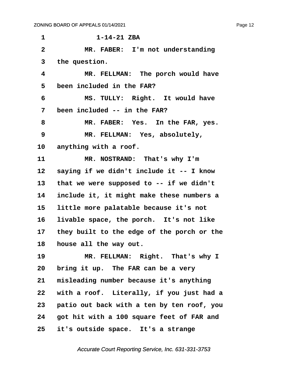**·1· · · · · · ·1-14-21 ZBA ·2· · · · · MR. FABER:· I'm not understanding ·3· ·the question. ·4· · · · · MR. FELLMAN:· The porch would have ·5· ·been included in the FAR? ·6· · · · · MS. TULLY:· Right.· It would have ·7· ·been included -- in the FAR? ·8· · · · · MR. FABER:· Yes.· In the FAR, yes. ·9· · · · · MR. FELLMAN:· Yes, absolutely,** 10 anything with a roof. 11 MR. NOSTRAND: That's why I'm 12 saying if we didn't include it -- I know 13 that we were supposed to -- if we didn't **14· ·include it, it might make these numbers a 15· ·little more palatable because it's not** 16 livable space, the porch. It's not like **17· ·they built to the edge of the porch or the** 18 **house all the way out.** 19 **MR. FELLMAN: Right.** That's why I 20 bring it up. The FAR can be a very 21 misleading number because it's anything 22 with a roof. Literally, if you just had a **23· ·patio out back with a ten by ten roof, you 24· ·got hit with a 100 square feet of FAR and 25· ·it's outside space.· It's a strange**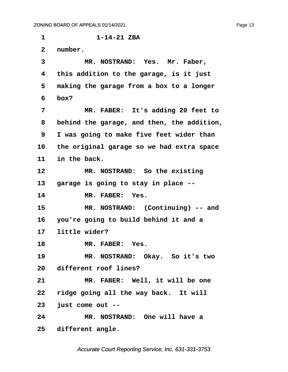**·1· · · · · · ·1-14-21 ZBA** 2 number. 3 MR. NOSTRAND: Yes. Mr. Faber, **·4· ·this addition to the garage, is it just ·5· ·making the garage from a box to a longer ·6· ·box? ·7· · · · · MR. FABER:· It's adding 20 feet to ·8· ·behind the garage, and then, the addition, ·9· ·I was going to make five feet wider than 10· ·the original garage so we had extra space** 11 in the back. 12 MR. NOSTRAND: So the existing **13· ·garage is going to stay in place --** 14 MR. FABER: Yes. 15 MR. NOSTRAND: (Continuing) -- and **16· ·you're going to build behind it and a 17· ·little wider?** 18 **MR. FABER:** Yes. 19 MR. NOSTRAND: Okay. So it's two 20 different roof lines? 21 **MR. FABER:** Well, it will be one 22 ridge going all the way back. It will **23· ·just come out -- 24· · · · · MR. NOSTRAND:· One will have a** 25 different angle.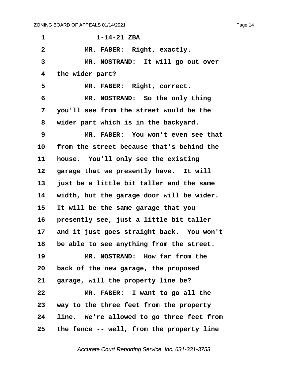| 1                       | $1 - 14 - 21$ ZBA                         |
|-------------------------|-------------------------------------------|
| $\overline{\mathbf{2}}$ | MR. FABER: Right, exactly.                |
| $\overline{3}$          | MR. NOSTRAND: It will go out over         |
| 4                       | the wider part?                           |
| 5                       | MR. FABER: Right, correct.                |
| 6                       | MR. NOSTRAND: So the only thing           |
| 7                       | you'll see from the street would be the   |
| 8                       | wider part which is in the backyard.      |
| 9                       | MR. FABER: You won't even see that        |
| 10                      | from the street because that's behind the |
| 11                      | house. You'll only see the existing       |
| 12                      | garage that we presently have. It will    |
| 13                      | just be a little bit taller and the same  |
| 14                      | width, but the garage door will be wider. |
| 15                      | It will be the same garage that you       |
| 16                      | presently see, just a little bit taller   |
| 17 <sub>2</sub>         | and it just goes straight back. You won't |
| 18                      | be able to see anything from the street.  |
| 19                      | MR. NOSTRAND: How far from the            |
| 20                      | back of the new garage, the proposed      |
| 21                      | garage, will the property line be?        |
| 22                      | MR. FABER: I want to go all the           |
| 23                      | way to the three feet from the property   |
| 24                      | line. We're allowed to go three feet from |
| 25                      | the fence -- well, from the property line |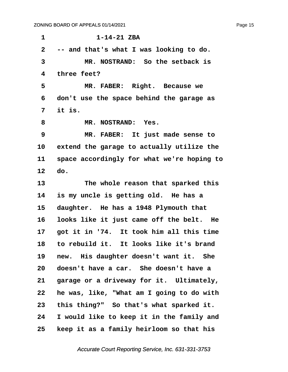**·1· · · · · · ·1-14-21 ZBA ·2· ·-- and that's what I was looking to do. ·3· · · · · MR. NOSTRAND:· So the setback is ·4· ·three feet?** 5 MR. FABER: Right. Because we **·6· ·don't use the space behind the garage as ·7· ·it is.** 8 **MR. NOSTRAND: Yes. ·9· · · · · MR. FABER:· It just made sense to** 10 extend the garage to actually utilize the **11· ·space accordingly for what we're hoping to 12· ·do.** 13 **13** The whole reason that sparked this 14 is my uncle is getting old. He has a 15 daughter. He has a 1948 Plymouth that 16 looks like it just came off the belt. He **17· ·got it in '74.· It took him all this time 18· ·to rebuild it.· It looks like it's brand** 19 new. His daughter doesn't want it. She **20· ·doesn't have a car.· She doesn't have a** 21 garage or a driveway for it. Ultimately, **22· ·he was, like, "What am I going to do with 23· ·this thing?"· So that's what sparked it. 24· ·I would like to keep it in the family and 25· ·keep it as a family heirloom so that his**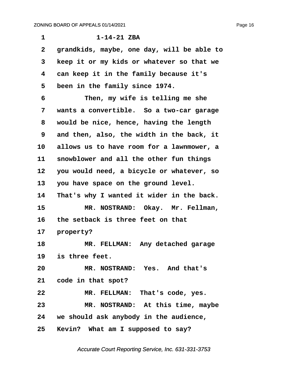| 1                 | $1 - 14 - 21$ ZBA                          |
|-------------------|--------------------------------------------|
| $\mathbf{2}$      | grandkids, maybe, one day, will be able to |
| 3                 | keep it or my kids or whatever so that we  |
| 4                 | can keep it in the family because it's     |
| 5                 | been in the family since 1974.             |
| 6                 | Then, my wife is telling me she            |
| 7                 | wants a convertible. So a two-car garage   |
| 8                 | would be nice, hence, having the length    |
| 9                 | and then, also, the width in the back, it  |
| 10                | allows us to have room for a lawnmower, a  |
| 11                | snowblower and all the other fun things    |
| $12 \overline{ }$ | you would need, a bicycle or whatever, so  |
| 13                | you have space on the ground level.        |
| 14                | That's why I wanted it wider in the back.  |
| 15                | MR. NOSTRAND: Okay. Mr. Fellman,           |
| 16                | the setback is three feet on that          |
| 17                | property?                                  |
| 18                | MR. FELLMAN: Any detached garage           |
| 19                | is three feet.                             |
| 20                | MR. NOSTRAND: Yes. And that's              |
|                   | 21 code in that spot?                      |
| 22                | MR. FELLMAN: That's code, yes.             |
| 23                | MR. NOSTRAND: At this time, maybe          |
|                   | 24 we should ask anybody in the audience,  |
|                   | 25 Kevin? What am I supposed to say?       |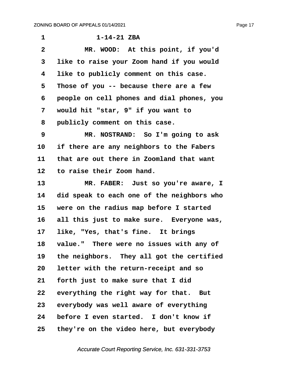| 1                 | $1 - 14 - 21$ ZBA                          |
|-------------------|--------------------------------------------|
| $\overline{2}$    | MR. WOOD: At this point, if you'd          |
| 3                 | like to raise your Zoom hand if you would  |
| 4                 | like to publicly comment on this case.     |
| 5                 | Those of you -- because there are a few    |
| 6                 | people on cell phones and dial phones, you |
| 7                 | would hit "star, 9" if you want to         |
| 8                 | publicly comment on this case.             |
| 9                 | MR. NOSTRAND: So I'm going to ask          |
| 10                | if there are any neighbors to the Fabers   |
| 11                | that are out there in Zoomland that want   |
| $12 \overline{ }$ | to raise their Zoom hand.                  |
| 13                | MR. FABER: Just so you're aware, I         |
| 14                | did speak to each one of the neighbors who |
| 15                | were on the radius map before I started    |
| 16                | all this just to make sure. Everyone was,  |
| 17                | like, "Yes, that's fine. It brings         |
| 18                | value." There were no issues with any of   |
| 19                | the neighbors. They all got the certified  |
| 20                | letter with the return-receipt and so      |
| 21                | forth just to make sure that I did         |
| 22                | everything the right way for that. But     |
| 23                | everybody was well aware of everything     |
| 24                | before I even started. I don't know if     |
| 25                | they're on the video here, but everybody   |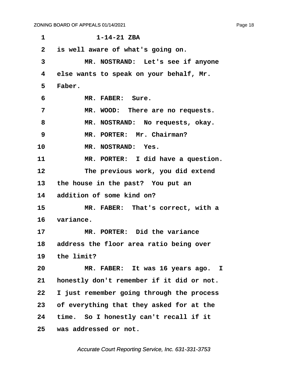**·1· · · · · · ·1-14-21 ZBA ·2· ·is well aware of what's going on. ·3· · · · · MR. NOSTRAND:· Let's see if anyone ·4· ·else wants to speak on your behalf, Mr. ·5· ·Faber. ·6· · · · · MR. FABER:· Sure.** 7 MR. WOOD: There are no requests. 8 MR. NOSTRAND: No requests, okay. **·9· · · · · MR. PORTER:· Mr. Chairman?** 10 MR. NOSTRAND: Yes. **11· · · · · MR. PORTER:· I did have a question. 12· · · · · The previous work, you did extend** 13 the house in the past? You put an **14· ·addition of some kind on?** 15 MR. FABER: That's correct, with a 16 variance. **17· · · · · MR. PORTER:· Did the variance** 18 address the floor area ratio being over **19· ·the limit? 20· · · · · MR. FABER:· It was 16 years ago. I** 21 **honestly don't remember if it did or not. 22· ·I just remember going through the process 23· ·of everything that they asked for at the 24· ·time.· So I honestly can't recall if it 25· ·was addressed or not.**

Accurate Court Reporting Service, Inc. 631-331-3753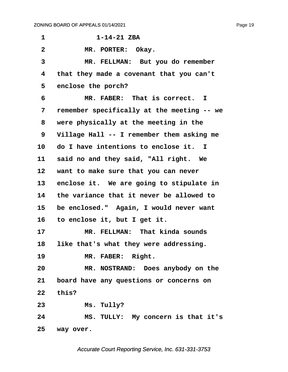| 1               | $1 - 14 - 21$ ZBA                          |
|-----------------|--------------------------------------------|
| $\mathbf{2}$    | MR. PORTER: Okay.                          |
| 3               | MR. FELLMAN: But you do remember           |
| 4               | that they made a covenant that you can't   |
| 5               | enclose the porch?                         |
| 6               | MR. FABER: That is correct. I              |
| 7               | remember specifically at the meeting -- we |
| 8               | were physically at the meeting in the      |
| 9               | Village Hall -- I remember them asking me  |
| 10              | do I have intentions to enclose it. I      |
| 11              | said no and they said, "All right. We      |
| 12              | want to make sure that you can never       |
| 13 <sup>2</sup> | enclose it. We are going to stipulate in   |
| 14              | the variance that it never be allowed to   |
| 15              | be enclosed." Again, I would never want    |
| 16              | to enclose it, but I get it.               |
| 17              | MR. FELLMAN: That kinda sounds             |
| 18              | like that's what they were addressing.     |
| 19              | MR. FABER: Right.                          |
| 20              | MR. NOSTRAND: Does anybody on the          |
| 21              | board have any questions or concerns on    |
|                 | 22 this?                                   |
| 23              | Ms. Tully?                                 |
| 24              | MS. TULLY: My concern is that it's         |
|                 | 25 way over.                               |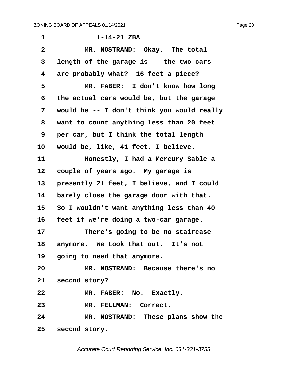**·1· · · · · · ·1-14-21 ZBA** 2 MR. NOSTRAND: Okay. The total **·3· ·length of the garage is -- the two cars ·4· ·are probably what?· 16 feet a piece? ·5· · · · · MR. FABER:· I don't know how long ·6· ·the actual cars would be, but the garage ·7· ·would be -- I don't think you would really ·8· ·want to count anything less than 20 feet ·9· ·per car, but I think the total length** 10 would be, like, 41 feet, I believe. **11· · · · · Honestly, I had a Mercury Sable a** 12 **couple of years ago.** My garage is 13 **presently 21 feet, I believe, and I could** 14 barely close the garage door with that. 15 So I wouldn't want anything less than 40 16 **feet if we're doing a two-car garage. 17· · · · · There's going to be no staircase** 18 anymore. We took that out. It's not **19· ·going to need that anymore. 20· · · · · MR. NOSTRAND:· Because there's no** 21 **second story?** 22 MR. FABER: No. Exactly. 23 MR. FELLMAN: Correct. **24· · · · · MR. NOSTRAND:· These plans show the** 25 second story.

Accurate Court Reporting Service, Inc. 631-331-3753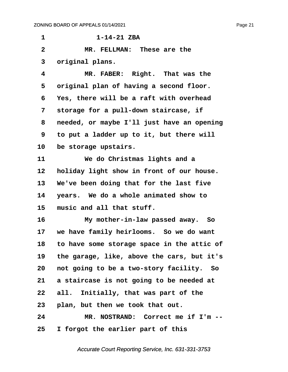**·1· · · · · · ·1-14-21 ZBA ·2· · · · · MR. FELLMAN:· These are the ·3· ·original plans.** 4 **MR. FABER:** Right. That was the **·5· ·original plan of having a second floor. ·6· ·Yes, there will be a raft with overhead ·7· ·storage for a pull-down staircase, if ·8· ·needed, or maybe I'll just have an opening ·9· ·to put a ladder up to it, but there will** 10 be storage upstairs. **11· · · · · We do Christmas lights and a** 12 **holiday light show in front of our house.** 13 We've been doing that for the last five **14· ·years.· We do a whole animated show to** 15 music and all that stuff. **16· · · · · My mother-in-law passed away.· So** 17 we have family heirlooms. So we do want **18· ·to have some storage space in the attic of 19· ·the garage, like, above the cars, but it's 20· ·not going to be a two-story facility.· So 21· ·a staircase is not going to be needed at** 22 all. Initially, that was part of the **23· ·plan, but then we took that out. 24· · · · · MR. NOSTRAND:· Correct me if I'm -- 25· ·I forgot the earlier part of this**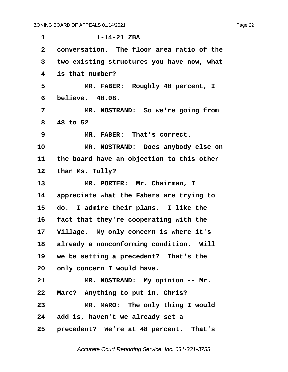| $\mathbf{1}$ | $1 - 14 - 21$ ZBA                          |
|--------------|--------------------------------------------|
| $\mathbf{2}$ | conversation. The floor area ratio of the  |
| 3            | two existing structures you have now, what |
| 4            | is that number?                            |
| 5            | MR. FABER: Roughly 48 percent, I           |
| 6            | believe. 48.08.                            |
| 7            | MR. NOSTRAND: So we're going from          |
| 8            | 48 to 52.                                  |
| 9            | MR. FABER: That's correct.                 |
| 10           | MR. NOSTRAND: Does anybody else on         |
| 11           | the board have an objection to this other  |
| 12           | than Ms. Tully?                            |
| 13           | MR. PORTER: Mr. Chairman, I                |
| 14           | appreciate what the Fabers are trying to   |
| 15           | I admire their plans. I like the<br>do.    |
| 16           | fact that they're cooperating with the     |
| 17           | Village. My only concern is where it's     |
|              | 18 already a nonconforming condition. Will |
|              | 19 we be setting a precedent? That's the   |
| 20           | only concern I would have.                 |
| 21           | MR. NOSTRAND: My opinion -- Mr.            |
| 22           | Maro? Anything to put in, Chris?           |
| 23           | MR. MARO: The only thing I would           |
|              | 24 add is, haven't we already set a        |
|              | 25 precedent? We're at 48 percent. That's  |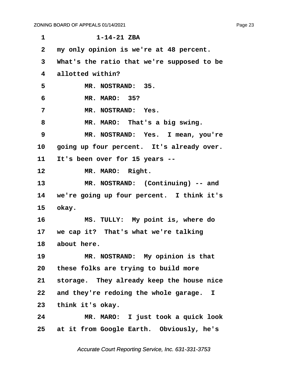| $\mathbf 1$     | $1 - 14 - 21$ ZBA                            |
|-----------------|----------------------------------------------|
| $\mathbf{2}$    | my only opinion is we're at 48 percent.      |
| 3               | What's the ratio that we're supposed to be   |
| 4               | allotted within?                             |
| 5               | MR. NOSTRAND: 35.                            |
| 6               | MR. MARO: 35?                                |
| 7               | MR. NOSTRAND: Yes.                           |
| 8               | MR. MARO: That's a big swing.                |
| 9               | MR. NOSTRAND: Yes. I mean, you're            |
| 10              | going up four percent. It's already over.    |
| 11              | It's been over for 15 years --               |
| 12              | MR. MARO: Right.                             |
| 13              | MR. NOSTRAND: (Continuing) -- and            |
|                 | 14 we're going up four percent. I think it's |
|                 | 15 okay.                                     |
| 16              | MS. TULLY: My point is, where do             |
|                 | 17 we cap it? That's what we're talking      |
|                 | 18 about here.                               |
| 19              | MR. NOSTRAND: My opinion is that             |
| 20              | these folks are trying to build more         |
| 21              | storage. They already keep the house nice    |
| 22              | and they're redoing the whole garage. I      |
| 23              | think it's okay.                             |
| 24              | MR. MARO: I just took a quick look           |
| 25 <sub>2</sub> | at it from Google Earth. Obviously, he's     |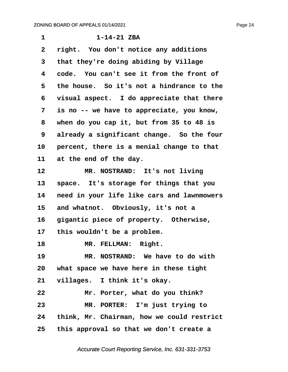| 1            | $1 - 14 - 21$ ZBA                          |
|--------------|--------------------------------------------|
| $\mathbf{2}$ | right. You don't notice any additions      |
| 3            | that they're doing abiding by Village      |
| 4            | code. You can't see it from the front of   |
| 5            | the house. So it's not a hindrance to the  |
| 6            | visual aspect. I do appreciate that there  |
| 7            | is no -- we have to appreciate, you know,  |
| 8            | when do you cap it, but from 35 to 48 is   |
| 9            | already a significant change. So the four  |
| 10           | percent, there is a menial change to that  |
| 11           | at the end of the day.                     |
| 12           | MR. NOSTRAND: It's not living              |
| 13           | space. It's storage for things that you    |
| 14           | need in your life like cars and lawnmowers |
| 15           | and whatnot. Obviously, it's not a         |
| 16           | gigantic piece of property. Otherwise,     |
| 17           | this wouldn't be a problem.                |
| 18           | MR. FELLMAN: Right.                        |
| 19           | MR. NOSTRAND: We have to do with           |
|              | 20 what space we have here in these tight  |
|              | 21 villages. I think it's okay.            |
| 22           | Mr. Porter, what do you think?             |
| 23           | MR. PORTER: I'm just trying to             |
| 24           | think, Mr. Chairman, how we could restrict |
| 25           | this approval so that we don't create a    |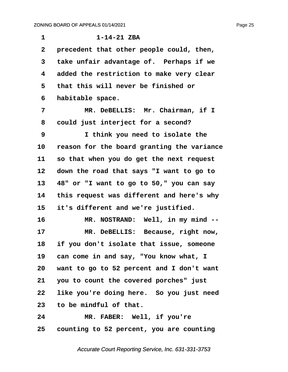| $\mathbf 1$     | $1 - 14 - 21$ ZBA                          |
|-----------------|--------------------------------------------|
| $\mathbf{2}$    | precedent that other people could, then,   |
| 3               | take unfair advantage of. Perhaps if we    |
| 4               | added the restriction to make very clear   |
| 5               | that this will never be finished or        |
| 6               | habitable space.                           |
| 7               | MR. DeBELLIS: Mr. Chairman, if I           |
| 8               | could just interject for a second?         |
| 9               | I think you need to isolate the            |
| 10              | reason for the board granting the variance |
| 11              | so that when you do get the next request   |
| 12              | down the road that says "I want to go to   |
| 13              | 48" or "I want to go to 50," you can say   |
| 14              | this request was different and here's why  |
| 15              | it's different and we're justified.        |
| 16              | MR. NOSTRAND: Well, in my mind --          |
| 17              | MR. DeBELLIS: Because, right now,          |
| 18              | if you don't isolate that issue, someone   |
| 19              | can come in and say, "You know what, I     |
| 20              | want to go to 52 percent and I don't want  |
| 21              | you to count the covered porches" just     |
| 22              | like you're doing here. So you just need   |
| 23              | to be mindful of that.                     |
| 24              | MR. FABER: Well, if you're                 |
| 25 <sub>2</sub> | counting to 52 percent, you are counting   |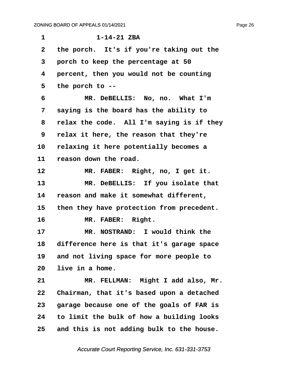| 1            | $1 - 14 - 21$ ZBA                         |
|--------------|-------------------------------------------|
| $\mathbf{2}$ | the porch. It's if you're taking out the  |
| 3            | porch to keep the percentage at 50        |
| 4            | percent, then you would not be counting   |
| 5            | the porch to --                           |
| 6            | MR. DeBELLIS: No, no. What I'm            |
| 7            | saying is the board has the ability to    |
| 8            | relax the code. All I'm saying is if they |
| 9            | relax it here, the reason that they're    |
| 10           | relaxing it here potentially becomes a    |
| 11           | reason down the road.                     |
| 12           | MR. FABER: Right, no, I get it.           |
| 13           | MR. DeBELLIS: If you isolate that         |
| 14           | reason and make it somewhat different,    |
| 15           | then they have protection from precedent. |
| 16           | MR. FABER: Right.                         |
| 17           | MR. NOSTRAND: I would think the           |
| 18           | difference here is that it's garage space |
| 19           | and not living space for more people to   |
| 20           | live in a home.                           |
| 21           | MR. FELLMAN: Might I add also, Mr.        |
| 22           | Chairman, that it's based upon a detached |
| 23           | garage because one of the goals of FAR is |
| 24           | to limit the bulk of how a building looks |
| 25           | and this is not adding bulk to the house. |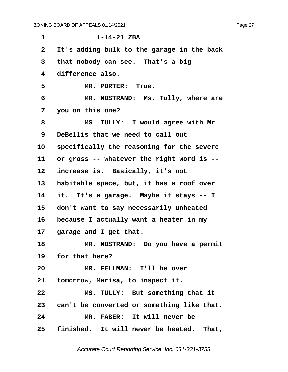| $\mathbf{1}$     | $1 - 14 - 21$ ZBA                             |
|------------------|-----------------------------------------------|
| $\mathbf{2}$     | It's adding bulk to the garage in the back    |
| 3                | that nobody can see. That's a big             |
| 4                | difference also.                              |
| 5                | MR. PORTER: True.                             |
| 6                | MR. NOSTRAND: Ms. Tully, where are            |
| 7                | you on this one?                              |
| 8                | MS. TULLY: I would agree with Mr.             |
| $\boldsymbol{9}$ | DeBellis that we need to call out             |
| 10               | specifically the reasoning for the severe     |
| 11               | or gross -- whatever the right word is --     |
| 12               | increase is. Basically, it's not              |
| 13               | habitable space, but, it has a roof over      |
| 14               | it. It's a garage. Maybe it stays -- I        |
| 15               | don't want to say necessarily unheated        |
| 16               | because I actually want a heater in my        |
| $17 \,$          | garage and I get that.                        |
| 18               | MR. NOSTRAND: Do you have a permit            |
|                  | 19 for that here?                             |
| 20               | MR. FELLMAN: I'll be over                     |
| 21               | tomorrow, Marisa, to inspect it.              |
| 22               | MS. TULLY: But something that it              |
|                  | 23 can't be converted or something like that. |
| 24               | MR. FABER: It will never be                   |
|                  | 25 finished. It will never be heated. That,   |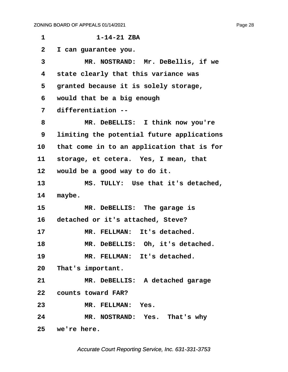**·1· · · · · · ·1-14-21 ZBA ·2· ·I can guarantee you. ·3· · · · · MR. NOSTRAND:· Mr. DeBellis, if we ·4· ·state clearly that this variance was ·5· ·granted because it is solely storage, ·6· ·would that be a big enough ·7· ·differentiation -- ·8· · · · · MR. DeBELLIS:· I think now you're ·9· ·limiting the potential future applications 10· ·that come in to an application that is for** 11 storage, et cetera. Yes, I mean, that **12· ·would be a good way to do it.** 13 MS. TULLY: Use that it's detached, 14 maybe. 15 MR. DeBELLIS: The garage is 16 detached or it's attached, Steve? 17 MR. FELLMAN: It's detached. **18· · · · · MR. DeBELLIS:· Oh, it's detached.** 19 MR. FELLMAN: It's detached. 20 That's important. **21· · · · · MR. DeBELLIS:· A detached garage** 22 **counts toward FAR?** 23 MR. FELLMAN: Yes. **24· · · · · MR. NOSTRAND:· Yes.· That's why 25· ·we're here.**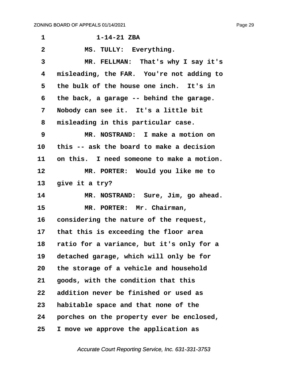**·1· · · · · · ·1-14-21 ZBA** 2 MS. TULLY: Everything. **·3· · · · · MR. FELLMAN:· That's why I say it's ·4· ·misleading, the FAR.· You're not adding to** 5 the bulk of the house one inch. It's in **·6· ·the back, a garage -- behind the garage. ·7· ·Nobody can see it.· It's a little bit ·8· ·misleading in this particular case. ·9· · · · · MR. NOSTRAND:· I make a motion on 10· ·this -- ask the board to make a decision 11· ·on this.· I need someone to make a motion. 12· · · · · MR. PORTER:· Would you like me to** 13 give it a try? 14 MR. NOSTRAND: Sure, Jim, go ahead. 15 **MR. PORTER: Mr. Chairman,** 16 considering the nature of the request, **17· ·that this is exceeding the floor area 18· ·ratio for a variance, but it's only for a** 19 detached garage, which will only be for **20· ·the storage of a vehicle and household** 21 **goods, with the condition that this 22· ·addition never be finished or used as 23· ·habitable space and that none of the 24· ·porches on the property ever be enclosed, 25· ·I move we approve the application as**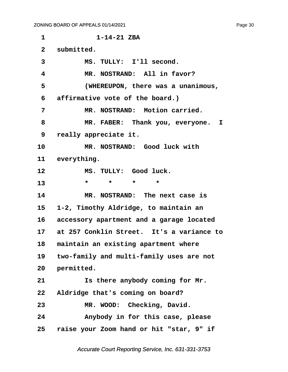**·1· · · · · · ·1-14-21 ZBA** 2 submitted. 3 MS. TULLY: I'll second. **·4· · · · · MR. NOSTRAND:· All in favor? ·5· · · · · (WHEREUPON, there was a unanimous, ·6· ·affirmative vote of the board.) ·7· · · · · MR. NOSTRAND:· Motion carried. ·8· · · · · MR. FABER:· Thank you, everyone. I ·9· ·really appreciate it.** 10 MR. NOSTRAND: Good luck with 11 everything. 12 MS. TULLY: Good luck. **13** \* \* \* \* **14· · · · · MR. NOSTRAND:· The next case is 15· ·1-2, Timothy Aldridge, to maintain an 16· ·accessory apartment and a garage located 17· ·at 257 Conklin Street.· It's a variance to** 18 **maintain an existing apartment where** 19 two-family and multi-family uses are not 20 **permitted.** 21 **15 there anybody coming for Mr. 22· ·Aldridge that's coming on board?** 23 MR. WOOD: Checking, David. **24· · · · · Anybody in for this case, please 25· ·raise your Zoom hand or hit "star, 9" if**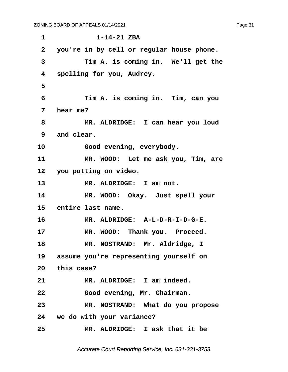**·1· · · · · · ·1-14-21 ZBA ·2· ·you're in by cell or regular house phone. ·3· · · · · Tim A. is coming in.· We'll get the ·4· ·spelling for you, Audrey. ·5 ·6· · · · · Tim A. is coming in.· Tim, can you ·7· ·hear me? ·8· · · · · MR. ALDRIDGE:· I can hear you loud ·9· ·and clear.** 10 · · · · Good evening, everybody. 11 MR. WOOD: Let me ask you, Tim, are 12 you putting on video. 13 MR. ALDRIDGE: I am not. 14 MR. WOOD: Okay. Just spell your 15 entire last name. 16 MR. ALDRIDGE: A-L-D-R-I-D-G-E. 17 MR. WOOD: Thank you. Proceed. 18 MR. NOSTRAND: Mr. Aldridge, I 19 assume you're representing yourself on 20 this case? 21 **MR. ALDRIDGE:** I am indeed. **22· · · · · Good evening, Mr. Chairman. 23· · · · · MR. NOSTRAND:· What do you propose 24· ·we do with your variance? 25· · · · · MR. ALDRIDGE:· I ask that it be**

Accurate Court Reporting Service, Inc. 631-331-3753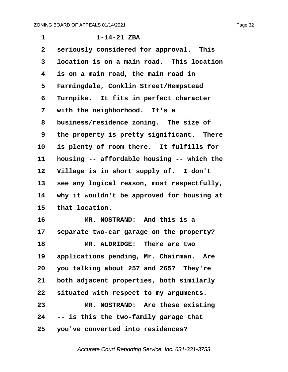| $\mathbf 1$    | $1 - 14 - 21$ ZBA                          |
|----------------|--------------------------------------------|
| $\overline{2}$ | seriously considered for approval. This    |
| 3              | location is on a main road. This location  |
| 4              | is on a main road, the main road in        |
| 5              | Farmingdale, Conklin Street/Hempstead      |
| 6              | Turnpike. It fits in perfect character     |
| 7              | with the neighborhood. It's a              |
| 8              | business/residence zoning. The size of     |
| 9              | the property is pretty significant. There  |
| 10             | is plenty of room there. It fulfills for   |
| 11             | housing -- affordable housing -- which the |
| 12             | Village is in short supply of. I don't     |
| 13             | see any logical reason, most respectfully, |
| 14             | why it wouldn't be approved for housing at |
| 15             | that location.                             |
| 16             | MR. NOSTRAND: And this is a                |
| 17             | separate two-car garage on the property?   |
| 18             | MR. ALDRIDGE: There are two                |
| 19             | applications pending, Mr. Chairman. Are    |
| 20             | you talking about 257 and 265? They're     |
| 21             | both adjacent properties, both similarly   |
| 22             | situated with respect to my arguments.     |
| 23             | MR. NOSTRAND: Are these existing           |
| 24             | -- is this the two-family garage that      |
| 25             | you've converted into residences?          |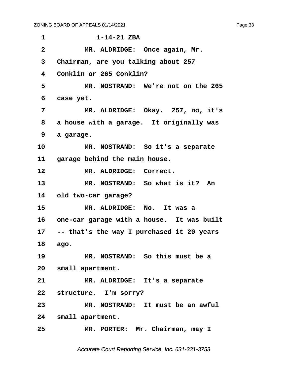| 1            | $1 - 14 - 21$ ZBA                            |
|--------------|----------------------------------------------|
| $\mathbf{2}$ | MR. ALDRIDGE: Once again, Mr.                |
| 3            | Chairman, are you talking about 257          |
| 4            | Conklin or 265 Conklin?                      |
| 5            | MR. NOSTRAND: We're not on the 265           |
| 6            | case yet.                                    |
| 7            | MR. ALDRIDGE: Okay. 257, no, it's            |
| 8            | a house with a garage. It originally was     |
| 9            | a garage.                                    |
| 10           | MR. NOSTRAND: So it's a separate             |
| 11 —         | garage behind the main house.                |
| 12           | MR. ALDRIDGE: Correct.                       |
| 13           | MR. NOSTRAND: So what is it? An              |
| 14           | old two-car garage?                          |
| 15           | MR. ALDRIDGE: No. It was a                   |
|              | 16 one-car garage with a house. It was built |
| 17           | -- that's the way I purchased it 20 years    |
| 18           | ago.                                         |
| 19           | MR. NOSTRAND: So this must be a              |
|              | 20 small apartment.                          |
| 21           | MR. ALDRIDGE: It's a separate                |
|              | 22 structure. I'm sorry?                     |
| 23           | MR. NOSTRAND: It must be an awful            |
|              |                                              |
|              | 24 small apartment.                          |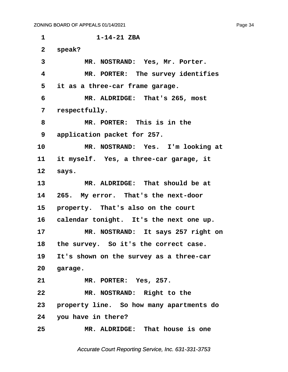**·1· · · · · · ·1-14-21 ZBA** 2 speak? 3 MR. NOSTRAND: Yes, Mr. Porter. **·4· · · · · MR. PORTER:· The survey identifies ·5· ·it as a three-car frame garage. ·6· · · · · MR. ALDRIDGE:· That's 265, most ·7· ·respectfully. ·8· · · · · MR. PORTER:· This is in the ·9· ·application packet for 257.** 10 MR. NOSTRAND: Yes. I'm looking at 11 it myself. Yes, a three-car garage, it 12 says. 13 MR. ALDRIDGE: That should be at 14 265. My error. That's the next-door 15 **property.** That's also on the court 16 calendar tonight. It's the next one up. 17 MR. NOSTRAND: It says 257 right on 18 the survey. So it's the correct case. **19· ·It's shown on the survey as a three-car** 20 **garage. 21· · · · · MR. PORTER:· Yes, 257. 22· · · · · MR. NOSTRAND:· Right to the 23· ·property line.· So how many apartments do 24· ·you have in there? 25· · · · · MR. ALDRIDGE:· That house is one**

Accurate Court Reporting Service, Inc. 631-331-3753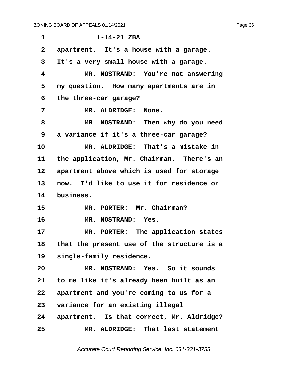| $\mathbf{1}$ | $1 - 14 - 21$ ZBA                             |
|--------------|-----------------------------------------------|
| $\mathbf{2}$ | apartment. It's a house with a garage.        |
| 3            | It's a very small house with a garage.        |
| 4            | MR. NOSTRAND: You're not answering            |
| 5            | my question. How many apartments are in       |
| 6            | the three-car garage?                         |
| 7            | MR. ALDRIDGE:<br>None.                        |
| 8            | MR. NOSTRAND: Then why do you need            |
| 9            | a variance if it's a three-car garage?        |
| 10           | MR. ALDRIDGE: That's a mistake in             |
| 11           | the application, Mr. Chairman. There's an     |
| $12 \,$      | apartment above which is used for storage     |
| 13           | now. I'd like to use it for residence or      |
| 14           | business.                                     |
| 15           | MR. PORTER: Mr. Chairman?                     |
| 16           | MR. NOSTRAND: Yes.                            |
| 17           | MR. PORTER: The application states            |
|              | 18 that the present use of the structure is a |
| 19           | single-family residence.                      |
| 20           | MR. NOSTRAND: Yes. So it sounds               |
| 21           | to me like it's already been built as an      |
| 22           | apartment and you're coming to us for a       |
| 23           | variance for an existing illegal              |
| 24           | apartment. Is that correct, Mr. Aldridge?     |
| 25           | MR. ALDRIDGE: That last statement             |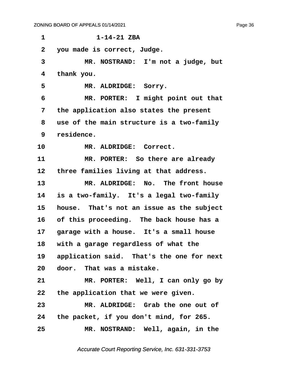**·1· · · · · · ·1-14-21 ZBA ·2· ·you made is correct, Judge. ·3· · · · · MR. NOSTRAND:· I'm not a judge, but ·4· ·thank you.** 5 **MR. ALDRIDGE: Sorry. ·6· · · · · MR. PORTER:· I might point out that ·7· ·the application also states the present ·8· ·use of the main structure is a two-family ·9· ·residence.** 10 MR. ALDRIDGE: Correct. **11· · · · · MR. PORTER:· So there are already** 12 three families living at that address. 13 MR. ALDRIDGE: No. The front house **14· ·is a two-family.· It's a legal two-family** 15 **house.** That's not an issue as the subject **16· ·of this proceeding.· The back house has a** 17 **garage with a house.** It's a small house 18 with a garage regardless of what the 19 application said. That's the one for next 20 door. That was a mistake. **21· · · · · MR. PORTER:· Well, I can only go by 22· ·the application that we were given. 23· · · · · MR. ALDRIDGE:· Grab the one out of 24· ·the packet, if you don't mind, for 265. 25· · · · · MR. NOSTRAND:· Well, again, in the**

Accurate Court Reporting Service, Inc. 631-331-3753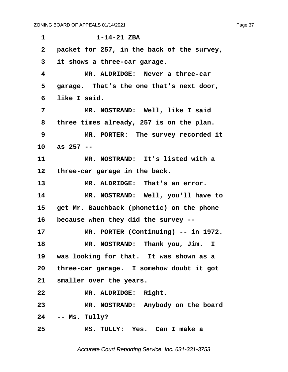**·1· · · · · · ·1-14-21 ZBA ·2· ·packet for 257, in the back of the survey, ·3· ·it shows a three-car garage. ·4· · · · · MR. ALDRIDGE:· Never a three-car ·5· ·garage.· That's the one that's next door, ·6· ·like I said. ·7· · · · · MR. NOSTRAND:· Well, like I said ·8· ·three times already, 257 is on the plan. ·9· · · · · MR. PORTER:· The survey recorded it 10· ·as 257 -- 11· · · · · MR. NOSTRAND:· It's listed with a** 12 three-car garage in the back. 13 MR. ALDRIDGE: That's an error. 14 MR. NOSTRAND: Well, you'll have to 15 get Mr. Bauchback (phonetic) on the phone **16· ·because when they did the survey --** 17 MR. PORTER (Continuing) -- in 1972. **18· · · · · MR. NOSTRAND:· Thank you, Jim. I 19· ·was looking for that.· It was shown as a 20· ·three-car garage.· I somehow doubt it got** 21 smaller over the years. 22 MR. ALDRIDGE: Right. 23 MR. NOSTRAND: Anybody on the board **24· ·-- Ms. Tully? 25· · · · · MS. TULLY:· Yes.· Can I make a**

Accurate Court Reporting Service, Inc. 631-331-3753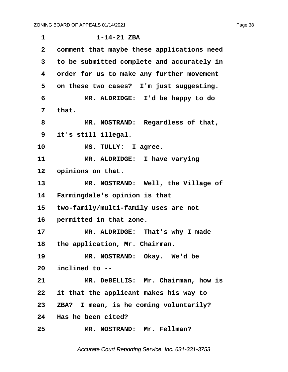| 1            | $1 - 14 - 21$ ZBA                          |
|--------------|--------------------------------------------|
| $\mathbf{2}$ | comment that maybe these applications need |
| 3            | to be submitted complete and accurately in |
| 4            | order for us to make any further movement  |
| 5            | on these two cases? I'm just suggesting.   |
| 6            | MR. ALDRIDGE: I'd be happy to do           |
| 7            | that.                                      |
| 8            | MR. NOSTRAND: Regardless of that,          |
| 9            | it's still illegal.                        |
| 10           | MS. TULLY: I agree.                        |
| 11           | MR. ALDRIDGE: I have varying               |
| 12           | opinions on that.                          |
| 13           | MR. NOSTRAND: Well, the Village of         |
| 14           | Farmingdale's opinion is that              |
| 15           | two-family/multi-family uses are not       |
| 16           | permitted in that zone.                    |
| 17           | MR. ALDRIDGE: That's why I made            |
| 18           | the application, Mr. Chairman.             |
| 19           | MR. NOSTRAND: Okay. We'd be                |
|              | 20 inclined to --                          |
| 21           | MR. DeBELLIS: Mr. Chairman, how is         |
| 22           | it that the applicant makes his way to     |
| 23           | ZBA? I mean, is he coming voluntarily?     |
|              | 24 Has he been cited?                      |
| 25           | MR. NOSTRAND: Mr. Fellman?                 |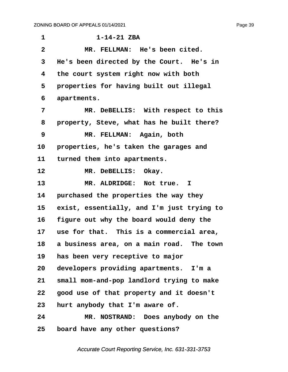| $\mathbf 1$    | $1 - 14 - 21$ ZBA                          |
|----------------|--------------------------------------------|
| $\overline{2}$ | MR. FELLMAN: He's been cited.              |
| 3              | He's been directed by the Court. He's in   |
| 4              | the court system right now with both       |
| 5              | properties for having built out illegal    |
| 6              | apartments.                                |
| 7              | MR. DeBELLIS: With respect to this         |
| 8              | property, Steve, what has he built there?  |
| 9              | MR. FELLMAN: Again, both                   |
| 10             | properties, he's taken the garages and     |
| 11             | turned them into apartments.               |
| 12             | MR. DeBELLIS: Okay.                        |
| 13             | MR. ALDRIDGE: Not true. I                  |
| 14             | purchased the properties the way they      |
| 15             | exist, essentially, and I'm just trying to |
| 16             | figure out why the board would deny the    |
| 17             | use for that. This is a commercial area,   |
| 18             | a business area, on a main road. The town  |
| 19             | has been very receptive to major           |
| 20             | developers providing apartments. I'm a     |
| 21             | small mom-and-pop landlord trying to make  |
| 22             | good use of that property and it doesn't   |
| 23             | hurt anybody that I'm aware of.            |
| 24             | MR. NOSTRAND: Does anybody on the          |
| 25             | board have any other questions?            |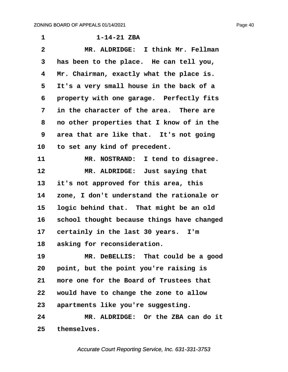| 1                       | $1 - 14 - 21$ ZBA                          |
|-------------------------|--------------------------------------------|
| $\overline{\mathbf{2}}$ | MR. ALDRIDGE: I think Mr. Fellman          |
| 3                       | has been to the place. He can tell you,    |
| 4                       | Mr. Chairman, exactly what the place is.   |
| 5                       | It's a very small house in the back of a   |
| 6                       | property with one garage. Perfectly fits   |
| 7                       | in the character of the area. There are    |
| 8                       | no other properties that I know of in the  |
| 9                       | area that are like that. It's not going    |
| 10                      | to set any kind of precedent.              |
| 11                      | MR. NOSTRAND: I tend to disagree.          |
| 12                      | MR. ALDRIDGE: Just saying that             |
| 13                      | it's not approved for this area, this      |
| 14                      | zone, I don't understand the rationale or  |
| 15                      | logic behind that. That might be an old    |
| 16                      | school thought because things have changed |
| 17                      | certainly in the last 30 years. I'm        |
| 18                      | asking for reconsideration.                |
| 19                      | MR. DeBELLIS: That could be a good         |
| 20                      | point, but the point you're raising is     |
| 21                      | more one for the Board of Trustees that    |
| 22                      | would have to change the zone to allow     |
| 23                      | apartments like you're suggesting.         |
| 24                      | MR. ALDRIDGE: Or the ZBA can do it         |
| 25                      | themselves.                                |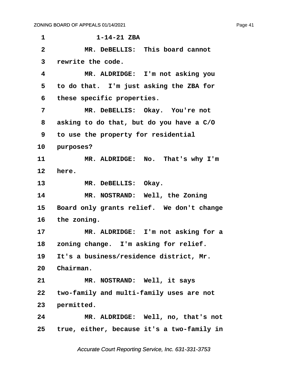**·1· · · · · · ·1-14-21 ZBA ·2· · · · · MR. DeBELLIS:· This board cannot ·3· ·rewrite the code. ·4· · · · · MR. ALDRIDGE:· I'm not asking you ·5· ·to do that.· I'm just asking the ZBA for ·6· ·these specific properties. ·7· · · · · MR. DeBELLIS:· Okay.· You're not ·8· ·asking to do that, but do you have a C/O ·9· ·to use the property for residential** 10 **purposes?** 11 MR. ALDRIDGE: No. That's why I'm 12 **here.** 13 MR. DeBELLIS: Okay. 14 **MR. NOSTRAND:** Well, the Zoning 15 Board only grants relief. We don't change **16· ·the zoning.** 17 MR. ALDRIDGE: I'm not asking for a 18 zoning change. I'm asking for relief. 19 It's a business/residence district, Mr. 20 Chairman. 21 **MR. NOSTRAND:** Well, it says **22· ·two-family and multi-family uses are not** 23 **permitted. 24· · · · · MR. ALDRIDGE:· Well, no, that's not 25· ·true, either, because it's a two-family in**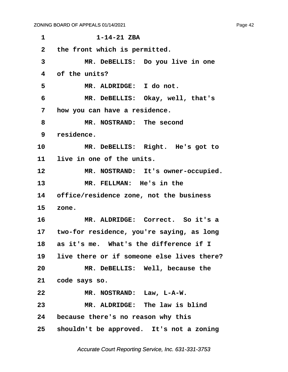| 1            | $1 - 14 - 21$ ZBA                            |
|--------------|----------------------------------------------|
| $\mathbf{2}$ | the front which is permitted.                |
| 3            | MR. DeBELLIS: Do you live in one             |
| 4            | of the units?                                |
| 5            | MR. ALDRIDGE: I do not.                      |
| 6            | MR. DeBELLIS: Okay, well, that's             |
| 7            | how you can have a residence.                |
| 8            | MR. NOSTRAND: The second                     |
| 9            | residence.                                   |
| 10           | MR. DeBELLIS: Right. He's got to             |
| 11           | live in one of the units.                    |
| 12           | MR. NOSTRAND: It's owner-occupied.           |
| 13           | MR. FELLMAN: He's in the                     |
| 14           | office/residence zone, not the business      |
| 15           | zone.                                        |
| 16           | MR. ALDRIDGE: Correct. So it's a             |
|              | 17 two-for residence, you're saying, as long |
| 18           | as it's me. What's the difference if I       |
| 19           | live there or if someone else lives there?   |
| 20           | MR. DeBELLIS: Well, because the              |
|              | 21 code says so.                             |
| 22           | MR. NOSTRAND: Law, L-A-W.                    |
| 23           | MR. ALDRIDGE: The law is blind               |
|              | 24 because there's no reason why this        |
|              | 25 shouldn't be approved. It's not a zoning  |
|              |                                              |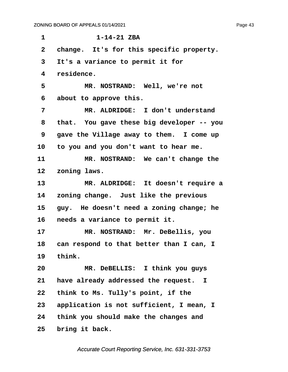**·1· · · · · · ·1-14-21 ZBA** 2 change. It's for this specific property. **·3· ·It's a variance to permit it for ·4· ·residence. ·5· · · · · MR. NOSTRAND:· Well, we're not ·6· ·about to approve this. ·7· · · · · MR. ALDRIDGE:· I don't understand ·8· ·that.· You gave these big developer -- you ·9· ·gave the Village away to them.· I come up** 10 to you and you don't want to hear me. 11 MR. NOSTRAND: We can't change the 12 zoning laws. 13 MR. ALDRIDGE: It doesn't require a **14· ·zoning change.· Just like the previous** 15 guy. He doesn't need a zoning change; he 16 **needs a variance to permit it.** 17 MR. NOSTRAND: Mr. DeBellis, you 18 can respond to that better than I can, I **19· ·think. 20· · · · · MR. DeBELLIS:· I think you guys 21· ·have already addressed the request. I 22· ·think to Ms. Tully's point, if the 23· ·application is not sufficient, I mean, I 24· ·think you should make the changes and** 25 bring it back.

Accurate Court Reporting Service, Inc. 631-331-3753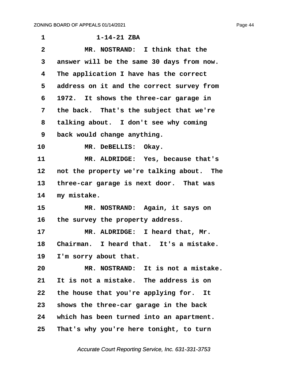| 1               | $1 - 14 - 21$ ZBA                         |
|-----------------|-------------------------------------------|
| $\mathbf{2}$    | MR. NOSTRAND: I think that the            |
| 3               | answer will be the same 30 days from now. |
| 4               | The application I have has the correct    |
| 5               | address on it and the correct survey from |
| 6               | 1972. It shows the three-car garage in    |
| 7               | the back. That's the subject that we're   |
| 8               | talking about. I don't see why coming     |
| 9               | back would change anything.               |
| 10              | MR. DeBELLIS: Okay.                       |
| 11              | MR. ALDRIDGE: Yes, because that's         |
| 12              | not the property we're talking about. The |
| 13 <sub>1</sub> | three-car garage is next door. That was   |
| 14              | my mistake.                               |
| 15              | MR. NOSTRAND: Again, it says on           |
| 16              | the survey the property address.          |
| 17              | MR. ALDRIDGE: I heard that, Mr.           |
| 18              | Chairman. I heard that. It's a mistake.   |
| 19              | I'm sorry about that.                     |
| 20              | MR. NOSTRAND: It is not a mistake.        |
| 21              | It is not a mistake. The address is on    |
| 22              | the house that you're applying for.<br>It |
| 23              | shows the three-car garage in the back    |
| 24              | which has been turned into an apartment.  |
| 25              | That's why you're here tonight, to turn   |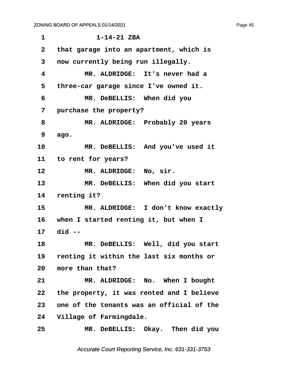| 1            | $1 - 14 - 21$ ZBA                         |
|--------------|-------------------------------------------|
| $\mathbf{2}$ | that garage into an apartment, which is   |
| 3            | now currently being run illegally.        |
| 4            | MR. ALDRIDGE: It's never had a            |
| 5            | three-car garage since I've owned it.     |
| 6            | MR. DeBELLIS: When did you                |
| 7            | purchase the property?                    |
| 8            | MR. ALDRIDGE: Probably 20 years           |
| 9            | ago.                                      |
| 10           | MR. DeBELLIS: And you've used it          |
|              | 11 to rent for years?                     |
| 12           | MR. ALDRIDGE: No, sir.                    |
| 13           | MR. DeBELLIS: When did you start          |
| 14           | renting it?                               |
| 15           | MR. ALDRIDGE: I don't know exactly        |
|              | 16 when I started renting it, but when I  |
|              | 17 did --                                 |
| 18           | MR. DeBELLIS: Well, did you start         |
| 19           | renting it within the last six months or  |
| 20           | more than that?                           |
| 21           | MR. ALDRIDGE: No. When I bought           |
| 22           | the property, it was rented and I believe |
| 23           | one of the tenants was an official of the |
| 24           | Village of Farmingdale.                   |
| 25           | MR. DeBELLIS: Okay. Then did you          |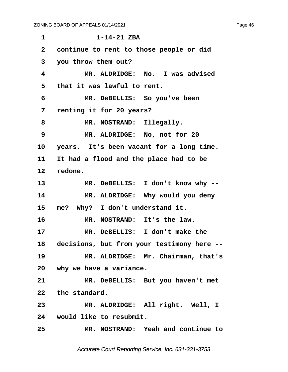| 1               | $1 - 14 - 21$ ZBA                          |
|-----------------|--------------------------------------------|
| $\mathbf{2}$    | continue to rent to those people or did    |
| 3               | you throw them out?                        |
| 4               | MR. ALDRIDGE: No. I was advised            |
| 5               | that it was lawful to rent.                |
| 6               | MR. DeBELLIS: So you've been               |
| 7               | renting it for 20 years?                   |
| 8               | MR. NOSTRAND: Illegally.                   |
| 9               | MR. ALDRIDGE: No, not for 20               |
| 10              | years. It's been vacant for a long time.   |
| 11 —            | It had a flood and the place had to be     |
| 12 <sub>1</sub> | redone.                                    |
| 13              | MR. DeBELLIS: I don't know why --          |
| 14              | MR. ALDRIDGE: Why would you deny           |
| 15              | me? Why? I don't understand it.            |
| 16              | MR. NOSTRAND: It's the law.                |
| 17              | MR. DeBELLIS: I don't make the             |
| 18              | decisions, but from your testimony here -- |
| 19              | MR. ALDRIDGE: Mr. Chairman, that's         |
|                 | 20 why we have a variance.                 |
| 21              | MR. DeBELLIS: But you haven't met          |
|                 | 22 the standard.                           |
| 23              | MR. ALDRIDGE: All right. Well, I           |
|                 | 24 would like to resubmit.                 |
| 25              | MR. NOSTRAND: Yeah and continue to         |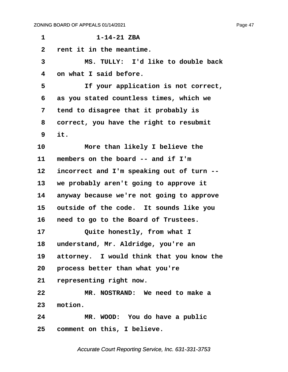**·1· · · · · · ·1-14-21 ZBA ·2· ·rent it in the meantime. ·3· · · · · MS. TULLY:· I'd like to double back ·4· ·on what I said before.** 5 **11 If your application is not correct, ·6· ·as you stated countless times, which we ·7· ·tend to disagree that it probably is ·8· ·correct, you have the right to resubmit ·9· ·it. 10· · · · · More than likely I believe the** 11 members on the board -- and if I'm 12 incorrect and I'm speaking out of turn --**13· ·we probably aren't going to approve it** 14 anyway because we're not going to approve **15· ·outside of the code.· It sounds like you 16· ·need to go to the Board of Trustees.** 17 **Quite honestly, from what I** 18 understand, Mr. Aldridge, you're an 19 attorney. I would think that you know the **20· ·process better than what you're** 21 representing right now. **22· · · · · MR. NOSTRAND:· We need to make a** 23 motion. **24· · · · · MR. WOOD:· You do have a public 25· ·comment on this, I believe.**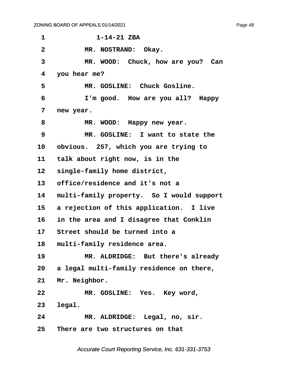| 1            | $1 - 14 - 21$ ZBA                           |
|--------------|---------------------------------------------|
| $\mathbf{2}$ | MR. NOSTRAND: Okay.                         |
| 3            | MR. WOOD: Chuck, how are you? Can           |
| 4            | you hear me?                                |
| 5            | MR. GOSLINE: Chuck Gosline.                 |
| 6            | I'm good. How are you all? Happy            |
| 7            | new year.                                   |
| 8            | MR. WOOD: Happy new year.                   |
| 9            | MR. GOSLINE: I want to state the            |
| 10           | obvious. 257, which you are trying to       |
| 11           | talk about right now, is in the             |
| 12           | single-family home district,                |
| 13           | office/residence and it's not a             |
| 14           | multi-family property. So I would support   |
| 15           | a rejection of this application. I live     |
| 16           | in the area and I disagree that Conklin     |
| 17           | Street should be turned into a              |
| 18           | multi-family residence area.                |
| 19           | MR. ALDRIDGE: But there's already           |
|              | 20 a legal multi-family residence on there, |
| 21           | Mr. Neighbor.                               |
| 22           | MR. GOSLINE: Yes. Key word,                 |
| 23           | legal.                                      |
| 24           | MR. ALDRIDGE: Legal, no, sir.               |
| $25\,$       | There are two structures on that            |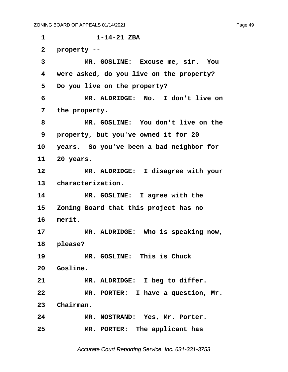**·1· · · · · · ·1-14-21 ZBA ·2· ·property --** 3 MR. GOSLINE: Excuse me, sir. You **·4· ·were asked, do you live on the property? ·5· ·Do you live on the property? ·6· · · · · MR. ALDRIDGE:· No.· I don't live on ·7· ·the property. ·8· · · · · MR. GOSLINE:· You don't live on the ·9· ·property, but you've owned it for 20 10· ·years.· So you've been a bad neighbor for 11· ·20 years.** 12 MR. ALDRIDGE: I disagree with your 13 **characterization.** 14 MR. GOSLINE: I agree with the **15· ·Zoning Board that this project has no** 16 merit. 17 MR. ALDRIDGE: Who is speaking now, 18 please? **19· · · · · MR. GOSLINE:· This is Chuck** 20 Gosline. 21 MR. ALDRIDGE: I beg to differ. **22· · · · · MR. PORTER:· I have a question, Mr.** 23 Chairman. **24· · · · · MR. NOSTRAND:· Yes, Mr. Porter.** 25 **MR. PORTER:** The applicant has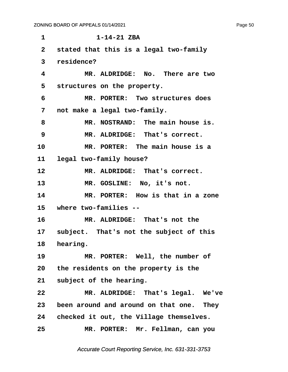**·1· · · · · · ·1-14-21 ZBA ·2· ·stated that this is a legal two-family ·3· ·residence? ·4· · · · · MR. ALDRIDGE:· No.· There are two** 5 structures on the property. **·6· · · · · MR. PORTER:· Two structures does ·7· ·not make a legal two-family. ·8· · · · · MR. NOSTRAND:· The main house is. ·9· · · · · MR. ALDRIDGE:· That's correct. 10· · · · · MR. PORTER:· The main house is a** 11 legal two-family house? 12 **MR. ALDRIDGE:** That's correct. 13 MR. GOSLINE: No, it's not. **14· · · · · MR. PORTER:· How is that in a zone 15· ·where two-families -- 16· · · · · MR. ALDRIDGE:· That's not the** 17 subject. That's not the subject of this 18 **hearing.** 19 MR. PORTER: Well, the number of **20· ·the residents on the property is the** 21 subject of the hearing. **22· · · · · MR. ALDRIDGE:· That's legal.· We've 23· ·been around and around on that one.· They** 24 checked it out, the Village themselves. **25· · · · · MR. PORTER:· Mr. Fellman, can you**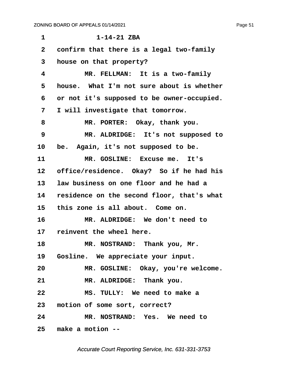| 1               | $1 - 14 - 21$ ZBA                          |
|-----------------|--------------------------------------------|
| $\overline{2}$  | confirm that there is a legal two-family   |
| 3               | house on that property?                    |
| 4               | MR. FELLMAN: It is a two-family            |
| 5               | house. What I'm not sure about is whether  |
| 6               | or not it's supposed to be owner-occupied. |
| 7               | I will investigate that tomorrow.          |
| 8               | MR. PORTER: Okay, thank you.               |
| 9               | MR. ALDRIDGE: It's not supposed to         |
| 10              | be. Again, it's not supposed to be.        |
| 11              | MR. GOSLINE: Excuse me. It's               |
| 12              | office/residence. Okay? So if he had his   |
| 13 <sub>2</sub> | law business on one floor and he had a     |
| 14              | residence on the second floor, that's what |
| 15              | this zone is all about. Come on.           |
| 16              | MR. ALDRIDGE: We don't need to             |
| 17              | reinvent the wheel here.                   |
| 18              | MR. NOSTRAND: Thank you, Mr.               |
|                 | 19 Gosline. We appreciate your input.      |
| 20              | MR. GOSLINE: Okay, you're welcome.         |
| 21              | MR. ALDRIDGE: Thank you.                   |
| 22              | MS. TULLY: We need to make a               |
|                 | 23 motion of some sort, correct?           |
| 24              | MR. NOSTRAND: Yes. We need to              |
|                 | 25 make a motion --                        |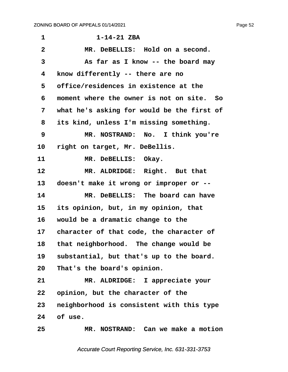| $\mathbf 1$     | $1 - 14 - 21$ ZBA                          |
|-----------------|--------------------------------------------|
| $\mathbf{2}$    | MR. DeBELLIS: Hold on a second.            |
| 3               | As far as I know -- the board may          |
| 4               | know differently -- there are no           |
| 5               | office/residences in existence at the      |
| 6               | moment where the owner is not on site. So  |
| 7               | what he's asking for would be the first of |
| 8               | its kind, unless I'm missing something.    |
| 9               | MR. NOSTRAND: No. I think you're           |
| 10              | right on target, Mr. DeBellis.             |
| 11              | MR. DeBELLIS: Okay.                        |
| 12              | MR. ALDRIDGE: Right. But that              |
| 13              | doesn't make it wrong or improper or --    |
| 14              | MR. DeBELLIS: The board can have           |
| 15 <sub>2</sub> | its opinion, but, in my opinion, that      |
| 16              | would be a dramatic change to the          |
| 17              | character of that code, the character of   |
| 18              | that neighborhood. The change would be     |
| 19              | substantial, but that's up to the board.   |
| 20              | That's the board's opinion.                |
| 21              | MR. ALDRIDGE: I appreciate your            |
| 22              | opinion, but the character of the          |
| 23              | neighborhood is consistent with this type  |
| 24              | of use.                                    |
| 25              | MR. NOSTRAND: Can we make a motion         |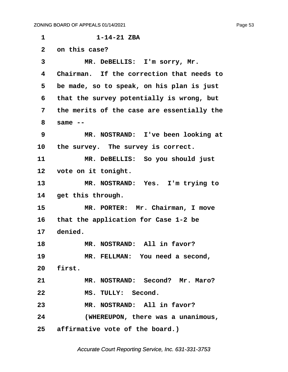**·1· · · · · · ·1-14-21 ZBA ·2· ·on this case?** 3 MR. DeBELLIS: I'm sorry, Mr. **·4· ·Chairman.· If the correction that needs to ·5· ·be made, so to speak, on his plan is just ·6· ·that the survey potentially is wrong, but ·7· ·the merits of the case are essentially the ·8· ·same -- ·9· · · · · MR. NOSTRAND:· I've been looking at** 10 the survey. The survey is correct. **11· · · · · MR. DeBELLIS:· So you should just** 12 vote on it tonight. 13 MR. NOSTRAND: Yes. I'm trying to 14 get this through. 15 MR. PORTER: Mr. Chairman, I move **16· ·that the application for Case 1-2 be** 17 denied. 18 **MR. NOSTRAND:** All in favor? 19 **MR. FELLMAN:** You need a second, 20 **first.** 21 MR. NOSTRAND: Second? Mr. Maro? 22 MS. TULLY: Second. **23· · · · · MR. NOSTRAND:· All in favor? 24· · · · · (WHEREUPON, there was a unanimous,** 25 **affirmative vote of the board.**)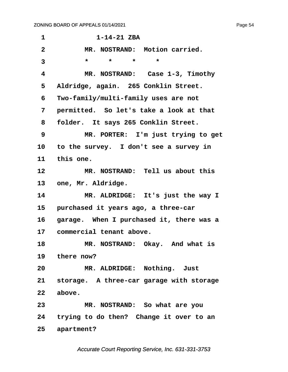| 1                       | $1 - 14 - 21$ ZBA                           |
|-------------------------|---------------------------------------------|
| $\overline{\mathbf{2}}$ | MR. NOSTRAND: Motion carried.               |
| 3                       | $\star$<br>$\star$<br>$\star$<br>$\star$    |
| $\overline{\mathbf{4}}$ | MR. NOSTRAND: Case 1-3, Timothy             |
| 5                       | Aldridge, again. 265 Conklin Street.        |
| 6                       | Two-family/multi-family uses are not        |
| 7                       | permitted. So let's take a look at that     |
| 8                       | folder. It says 265 Conklin Street.         |
| 9                       | MR. PORTER: I'm just trying to get          |
| 10                      | to the survey. I don't see a survey in      |
| 11                      | this one.                                   |
| $12 \overline{ }$       | MR. NOSTRAND: Tell us about this            |
| 13                      | one, Mr. Aldridge.                          |
| 14                      | MR. ALDRIDGE: It's just the way I           |
| 15                      | purchased it years ago, a three-car         |
| 16                      | garage. When I purchased it, there was a    |
| 17                      | commercial tenant above.                    |
| 18                      | MR. NOSTRAND: Okay. And what is             |
|                         | 19 there now?                               |
| 20 <sub>o</sub>         | MR. ALDRIDGE: Nothing. Just                 |
|                         | 21 storage. A three-car garage with storage |
| 22                      | above.                                      |
| 23                      | MR. NOSTRAND: So what are you               |
|                         | 24 trying to do then? Change it over to an  |
| 25                      | apartment?                                  |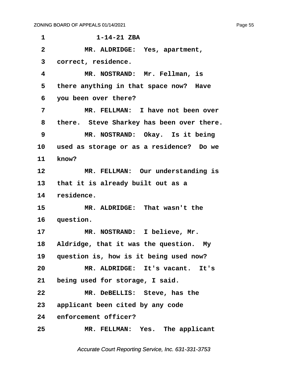**·1· · · · · · ·1-14-21 ZBA ·2· · · · · MR. ALDRIDGE:· Yes, apartment, ·3· ·correct, residence. ·4· · · · · MR. NOSTRAND:· Mr. Fellman, is** 5 there anything in that space now? Have **·6· ·you been over there? ·7· · · · · MR. FELLMAN:· I have not been over** 8 there. Steve Sharkey has been over there. **·9· · · · · MR. NOSTRAND:· Okay.· Is it being 10· ·used as storage or as a residence?· Do we** 11 **know**? 12 MR. FELLMAN: Our understanding is 13 that it is already built out as a 14 residence. 15 MR. ALDRIDGE: That wasn't the 16 question. 17 MR. NOSTRAND: I believe, Mr. 18 Aldridge, that it was the question. My 19 question is, how is it being used now? **20· · · · · MR. ALDRIDGE:· It's vacant.· It's** 21 being used for storage, I said. **22· · · · · MR. DeBELLIS:· Steve, has the 23· ·applicant been cited by any code** 24 enforcement officer? 25 **MR. FELLMAN:** Yes. The applicant

Accurate Court Reporting Service, Inc. 631-331-3753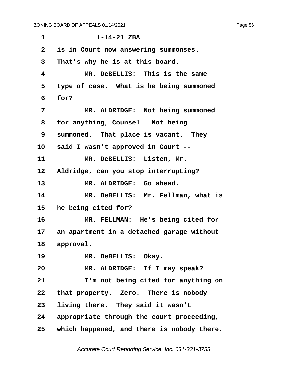**·1· · · · · · ·1-14-21 ZBA ·2· ·is in Court now answering summonses. ·3· ·That's why he is at this board. ·4· · · · · MR. DeBELLIS:· This is the same ·5· ·type of case.· What is he being summoned ·6· ·for? ·7· · · · · MR. ALDRIDGE:· Not being summoned ·8· ·for anything, Counsel.· Not being 9** summoned. That place is vacant. They 10 said I wasn't approved in Court --11 MR. DeBELLIS: Listen, Mr. 12 Aldridge, can you stop interrupting? 13 MR. ALDRIDGE: Go ahead. 14 MR. DeBELLIS: Mr. Fellman, what is **15· ·he being cited for? 16· · · · · MR. FELLMAN:· He's being cited for 17· ·an apartment in a detached garage without** 18 approval. 19 MR. DeBELLIS: Okay. 20 MR. ALDRIDGE: If I may speak? **21· · · · · I'm not being cited for anything on** 22 that property. Zero. There is nobody 23 living there. They said it wasn't **24· ·appropriate through the court proceeding, 25· ·which happened, and there is nobody there.**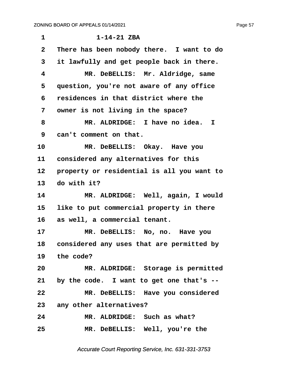| $\mathbf 1$  | $1 - 14 - 21$ ZBA                            |
|--------------|----------------------------------------------|
| $\mathbf{2}$ | There has been nobody there. I want to do    |
| 3            | it lawfully and get people back in there.    |
| 4            | MR. DeBELLIS: Mr. Aldridge, same             |
| 5            | question, you're not aware of any office     |
| 6            | residences in that district where the        |
| 7            | owner is not living in the space?            |
| 8            | MR. ALDRIDGE: I have no idea. I              |
| 9            | can't comment on that.                       |
| 10           | MR. DeBELLIS: Okay. Have you                 |
| 11           | considered any alternatives for this         |
| 12           | property or residential is all you want to   |
| 13           | do with it?                                  |
| 14           | MR. ALDRIDGE: Well, again, I would           |
| 15           | like to put commercial property in there     |
| 16           | as well, a commercial tenant.                |
| 17           | MR. DeBELLIS: No, no. Have you               |
|              | 18 considered any uses that are permitted by |
|              | 19 the code?                                 |
| 20           | MR. ALDRIDGE: Storage is permitted           |
| 21           | by the code. I want to get one that's --     |
| 22           | MR. DeBELLIS: Have you considered            |
| 23           | any other alternatives?                      |
| 24           |                                              |
|              | MR. ALDRIDGE: Such as what?                  |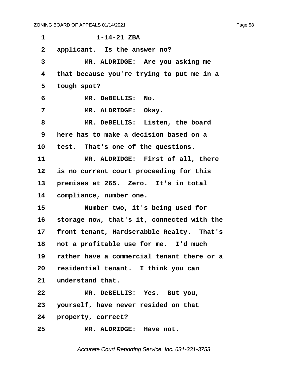**·1· · · · · · ·1-14-21 ZBA** 2 applicant. Is the answer no? **·3· · · · · MR. ALDRIDGE:· Are you asking me ·4· ·that because you're trying to put me in a** 5 tough spot?  $\overline{R}$ . DeBELLIS: No. **·7· · · · · MR. ALDRIDGE:· Okay.** 8 MR. DeBELLIS: Listen, the board **·9· ·here has to make a decision based on a** 10 test. That's one of the questions. 11 MR. ALDRIDGE: First of all, there 12 is no current court proceeding for this 13 **premises at 265.** Zero. It's in total 14 **compliance, number one. 15· · · · · Number two, it's being used for 16· ·storage now, that's it, connected with the** 17 front tenant, Hardscrabble Realty. That's 18 not a profitable use for me. I'd much **19· ·rather have a commercial tenant there or a** 20 residential tenant. I think you can 21 understand that. **22· · · · · MR. DeBELLIS:· Yes.· But you, 23· ·yourself, have never resided on that** 24 **property, correct? 25· · · · · MR. ALDRIDGE:· Have not.**

Accurate Court Reporting Service, Inc. 631-331-3753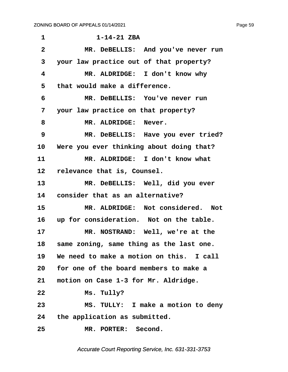**·1· · · · · · ·1-14-21 ZBA ·2· · · · · MR. DeBELLIS:· And you've never run ·3· ·your law practice out of that property? ·4· · · · · MR. ALDRIDGE:· I don't know why ·5· ·that would make a difference. ·6· · · · · MR. DeBELLIS:· You've never run ·7· ·your law practice on that property?** 8 **MR. ALDRIDGE: Never.** 9 MR. DeBELLIS: Have you ever tried? 10 Were you ever thinking about doing that? 11 MR. ALDRIDGE: I don't know what 12 relevance that is, Counsel. 13 MR. DeBELLIS: Well, did you ever 14 consider that as an alternative? **15· · · · · MR. ALDRIDGE:· Not considered.· Not** 16 up for consideration. Not on the table. 17 MR. NOSTRAND: Well, we're at the 18 same zoning, same thing as the last one. **19· ·We need to make a motion on this.· I call 20· ·for one of the board members to make a** 21 motion on Case 1-3 for Mr. Aldridge. **22· · · · · Ms. Tully? 23· · · · · MS. TULLY:· I make a motion to deny 24· ·the application as submitted.** 25 MR. PORTER: Second.

Accurate Court Reporting Service, Inc. 631-331-3753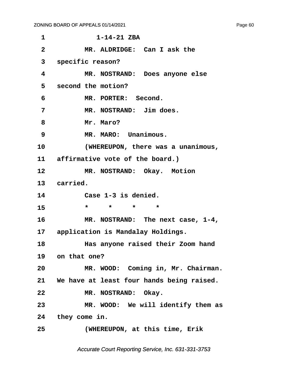| 1              | $1 - 14 - 21$ ZBA                                 |
|----------------|---------------------------------------------------|
| $\overline{2}$ | MR. ALDRIDGE: Can I ask the                       |
| 3              | specific reason?                                  |
| 4              | MR. NOSTRAND: Does anyone else                    |
| 5              | second the motion?                                |
| 6              | MR. PORTER: Second.                               |
| 7              | MR. NOSTRAND: Jim does.                           |
| 8              | Mr. Maro?                                         |
| 9              | MR. MARO: Unanimous.                              |
| 10             | (WHEREUPON, there was a unanimous,                |
|                | 11 affirmative vote of the board.)                |
| 12             | MR. NOSTRAND: Okay. Motion                        |
|                | 13 carried.                                       |
| 14             | Case 1-3 is denied.                               |
| 15             | $\star$ and $\star$<br>$\star$ $\star$<br>$\star$ |
| 16             | MR. NOSTRAND: The next case, 1-4,                 |
|                | 17 application is Mandalay Holdings.              |
| 18             | Has anyone raised their Zoom hand                 |
|                | 19 on that one?                                   |
| 20             | MR. WOOD: Coming in, Mr. Chairman.                |
|                | 21 We have at least four hands being raised.      |
| 22             | MR. NOSTRAND: Okay.                               |
| 23             | MR. WOOD: We will identify them as                |
|                | 24 they come in.                                  |
| 25             | (WHEREUPON, at this time, Erik                    |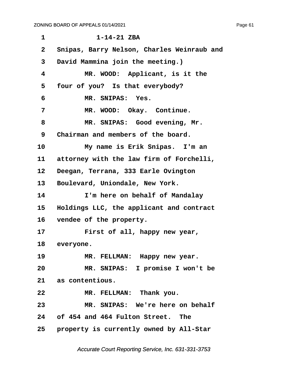| $\mathbf 1$     | $1 - 14 - 21$ ZBA                          |
|-----------------|--------------------------------------------|
| $\mathbf{2}$    | Snipas, Barry Nelson, Charles Weinraub and |
| 3               | David Mammina join the meeting.)           |
| 4               | MR. WOOD: Applicant, is it the             |
| 5               | four of you? Is that everybody?            |
| 6               | MR. SNIPAS: Yes.                           |
| 7               | MR. WOOD: Okay. Continue.                  |
| 8               | MR. SNIPAS: Good evening, Mr.              |
| 9               | Chairman and members of the board.         |
| 10              | My name is Erik Snipas. I'm an             |
| 11              | attorney with the law firm of Forchelli,   |
| 12              | Deegan, Terrana, 333 Earle Ovington        |
| 13 <sup>2</sup> | Boulevard, Uniondale, New York.            |
| 14              | I'm here on behalf of Mandalay             |
| $15\,$          | Holdings LLC, the applicant and contract   |
| 16              | vendee of the property.                    |
| 17              | First of all, happy new year,              |
|                 | 18 everyone.                               |
| 19              | MR. FELLMAN: Happy new year.               |
| 20              | MR. SNIPAS: I promise I won't be           |
|                 | 21 as contentious.                         |
| 22              | MR. FELLMAN: Thank you.                    |
| 23              | MR. SNIPAS: We're here on behalf           |
|                 | 24 of 454 and 464 Fulton Street. The       |
|                 | 25 property is currently owned by All-Star |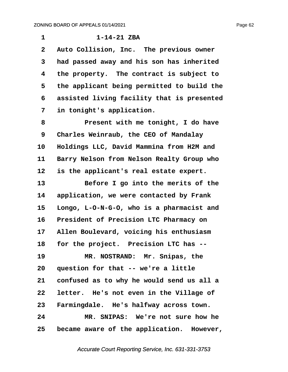**·1· · · · · · ·1-14-21 ZBA** 2 Auto Collision, Inc. The previous owner **·3· ·had passed away and his son has inherited ·4· ·the property.· The contract is subject to ·5· ·the applicant being permitted to build the ·6· ·assisted living facility that is presented ·7· ·in tonight's application. ·8· · · · · Present with me tonight, I do have ·9· ·Charles Weinraub, the CEO of Mandalay 10· ·Holdings LLC, David Mammina from H2M and** 11 Barry Nelson from Nelson Realty Group who 12 is the applicant's real estate expert. 13 **Before I go into the merits of the** 14 application, we were contacted by Frank **15· ·Longo, L-O-N-G-O, who is a pharmacist and** 16 President of Precision LTC Pharmacy on 17 Allen Boulevard, voicing his enthusiasm 18 for the project. Precision LTC has --19 **MR. NOSTRAND: Mr. Snipas, the** 20 question for that -- we're a little **21· ·confused as to why he would send us all a** 22 letter. He's not even in the Village of 23 Farmingdale. He's halfway across town. **24· · · · · MR. SNIPAS:· We're not sure how he 25· ·became aware of the application.· However,**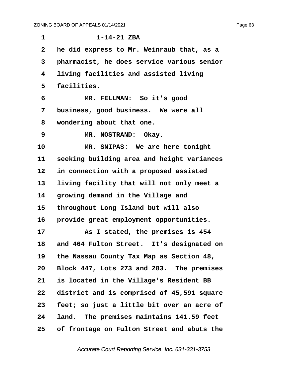| $\mathbf 1$    | $1 - 14 - 21$ ZBA                          |
|----------------|--------------------------------------------|
| $\overline{2}$ | he did express to Mr. Weinraub that, as a  |
| 3              | pharmacist, he does service various senior |
| 4              | living facilities and assisted living      |
| 5              | facilities.                                |
| 6              | MR. FELLMAN: So it's good                  |
| 7              | business, good business. We were all       |
| 8              | wondering about that one.                  |
| 9              | MR. NOSTRAND: Okay.                        |
| 10             | MR. SNIPAS: We are here tonight            |
| 11             | seeking building area and height variances |
| 12             | in connection with a proposed assisted     |
| 13             | living facility that will not only meet a  |
| 14             | growing demand in the Village and          |
| 15             | throughout Long Island but will also       |
| 16             | provide great employment opportunities.    |
| 17             | As I stated, the premises is 454           |
| 18             | and 464 Fulton Street. It's designated on  |
| 19             | the Nassau County Tax Map as Section 48,   |
| 20             | Block 447, Lots 273 and 283. The premises  |
| 21             | is located in the Village's Resident BB    |
| 22             | district and is comprised of 45,591 square |
| 23             | feet; so just a little bit over an acre of |
| 24             | land. The premises maintains 141.59 feet   |
| 25             | of frontage on Fulton Street and abuts the |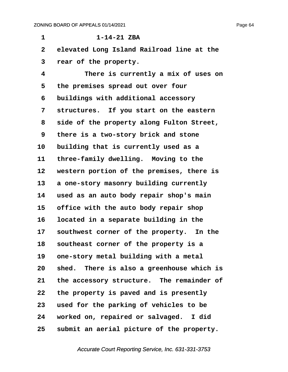**·1· · · · · · ·1-14-21 ZBA ·2· ·elevated Long Island Railroad line at the ·3· ·rear of the property. ·4· · · · · There is currently a mix of uses on ·5· ·the premises spread out over four ·6· ·buildings with additional accessory ·7· ·structures.· If you start on the eastern ·8· ·side of the property along Fulton Street, ·9· ·there is a two-story brick and stone** 10 building that is currently used as a 11 three-family dwelling. Moving to the 12 western portion of the premises, there is 13 a one-story masonry building currently **14· ·used as an auto body repair shop's main** 15 office with the auto body repair shop **16· ·located in a separate building in the** 17 southwest corner of the property. In the 18 **Southeast corner of the property is a** 19 one-story metal building with a metal **20· ·shed.· There is also a greenhouse which is** 21 the accessory structure. The remainder of **22· ·the property is paved and is presently 23· ·used for the parking of vehicles to be 24· ·worked on, repaired or salvaged.· I did 25· ·submit an aerial picture of the property.**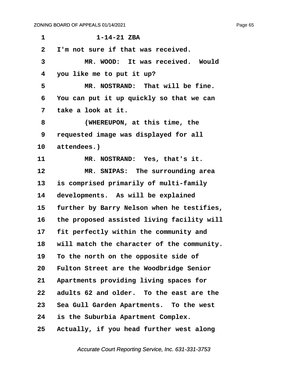| 1            | $1 - 14 - 21$ ZBA                          |
|--------------|--------------------------------------------|
| $\mathbf{2}$ | I'm not sure if that was received.         |
| 3            | MR. WOOD: It was received. Would           |
| 4            | you like me to put it up?                  |
| 5            | MR. NOSTRAND: That will be fine.           |
| 6            | You can put it up quickly so that we can   |
| 7            | take a look at it.                         |
| 8            | (WHEREUPON, at this time, the              |
| 9            | requested image was displayed for all      |
| 10           | attendees.)                                |
| 11           | MR. NOSTRAND: Yes, that's it.              |
| 12           | MR. SNIPAS: The surrounding area           |
| 13           | is comprised primarily of multi-family     |
| 14           | developments. As will be explained         |
| 15           | further by Barry Nelson when he testifies, |
| 16           | the proposed assisted living facility will |
| 17           | fit perfectly within the community and     |
| 18           | will match the character of the community. |
| 19           | To the north on the opposite side of       |
| 20           | Fulton Street are the Woodbridge Senior    |
| 21           | Apartments providing living spaces for     |
| 22           | adults 62 and older. To the east are the   |
| 23           | Sea Gull Garden Apartments. To the west    |
| 24           | is the Suburbia Apartment Complex.         |
| 25           | Actually, if you head further west along   |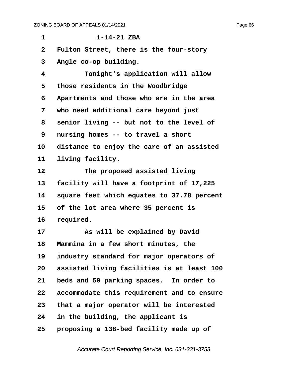**·1· · · · · · ·1-14-21 ZBA ·2· ·Fulton Street, there is the four-story ·3· ·Angle co-op building. ·4· · · · · Tonight's application will allow ·5· ·those residents in the Woodbridge ·6· ·Apartments and those who are in the area ·7· ·who need additional care beyond just ·8· ·senior living -- but not to the level of ·9· ·nursing homes -- to travel a short** 10 distance to enjoy the care of an assisted 11 living facility. 12 **The proposed assisted living** 13 facility will have a footprint of 17,225 **14· ·square feet which equates to 37.78 percent 15· ·of the lot area where 35 percent is** 16 required. **17· · · · · As will be explained by David** 18 **Mammina in a few short minutes, the** 19 industry standard for major operators of **20· ·assisted living facilities is at least 100 21· ·beds and 50 parking spaces.· In order to 22· ·accommodate this requirement and to ensure 23· ·that a major operator will be interested 24· ·in the building, the applicant is 25· ·proposing a 138-bed facility made up of**

Accurate Court Reporting Service, Inc. 631-331-3753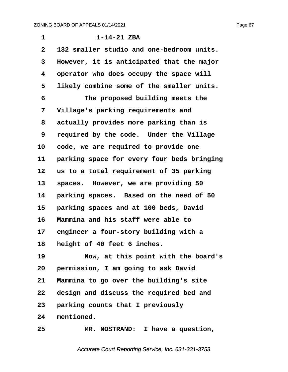| 1              | $1 - 14 - 21$ ZBA                          |
|----------------|--------------------------------------------|
| $\overline{2}$ | 132 smaller studio and one-bedroom units.  |
| 3              | However, it is anticipated that the major  |
| 4              | operator who does occupy the space will    |
| 5              | likely combine some of the smaller units.  |
| 6              | The proposed building meets the            |
| 7              | Village's parking requirements and         |
| 8              | actually provides more parking than is     |
| 9              | required by the code. Under the Village    |
| 10             | code, we are required to provide one       |
| 11             | parking space for every four beds bringing |
| 12             | us to a total requirement of 35 parking    |
| 13             | spaces. However, we are providing 50       |
| 14             | parking spaces. Based on the need of 50    |
| 15             | parking spaces and at 100 beds, David      |
| 16             | Mammina and his staff were able to         |
| 17             | engineer a four-story building with a      |
| 18             | height of 40 feet 6 inches.                |
| 19             | Now, at this point with the board's        |
| 20             | permission, I am going to ask David        |
| 21             | Mammina to go over the building's site     |
| 22             | design and discuss the required bed and    |
| 23             | parking counts that I previously           |
| 24             | mentioned.                                 |
| 25             | MR. NOSTRAND: I have a question,           |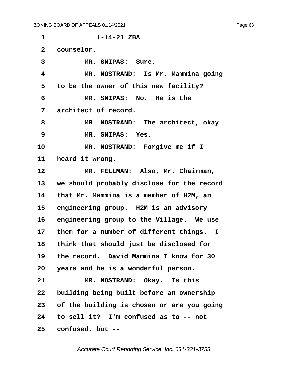**·1· · · · · · ·1-14-21 ZBA** 2 **counselor.** 3 MR. SNIPAS: Sure. **·4· · · · · MR. NOSTRAND:· Is Mr. Mammina going ·5· ·to be the owner of this new facility? ·6· · · · · MR. SNIPAS:· No.· He is the ·7· ·architect of record. ·8· · · · · MR. NOSTRAND:· The architect, okay. ·9· · · · · MR. SNIPAS:· Yes.** 10 MR. NOSTRAND: Forgive me if I 11 **heard it wrong.** 12 MR. FELLMAN: Also, Mr. Chairman, **13· ·we should probably disclose for the record 14· ·that Mr. Mammina is a member of H2M, an** 15 engineering group. H2M is an advisory 16 engineering group to the Village. We use 17 them for a number of different things. I **18· ·think that should just be disclosed for 19· ·the record.· David Mammina I know for 30 20· ·years and he is a wonderful person.** 21 MR. NOSTRAND: Okay. Is this 22 building being built before an ownership **23· ·of the building is chosen or are you going 24· ·to sell it?· I'm confused as to -- not 25· ·confused, but --**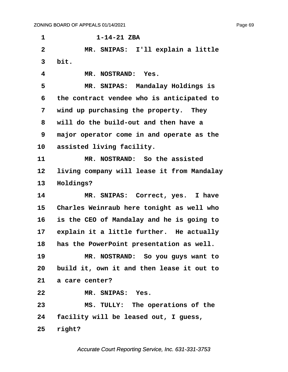**·1· · · · · · ·1-14-21 ZBA ·2· · · · · MR. SNIPAS:· I'll explain a little ·3· ·bit. ·4· · · · · MR. NOSTRAND:· Yes. ·5· · · · · MR. SNIPAS:· Mandalay Holdings is ·6· ·the contract vendee who is anticipated to ·7· ·wind up purchasing the property.· They ·8· ·will do the build-out and then have a ·9· ·major operator come in and operate as the** 10 assisted living facility. 11 **MR. NOSTRAND:** So the assisted 12 living company will lease it from Mandalay 13 **Holdings?** 14 MR. SNIPAS: Correct, yes. I have 15 Charles Weinraub here tonight as well who **16· ·is the CEO of Mandalay and he is going to** 17 explain it a little further. He actually **18· ·has the PowerPoint presentation as well. 19· · · · · MR. NOSTRAND:· So you guys want to 20· ·build it, own it and then lease it out to 21· ·a care center? 22· · · · · MR. SNIPAS:· Yes. 23· · · · · MS. TULLY:· The operations of the 24· ·facility will be leased out, I guess, 25· ·right?**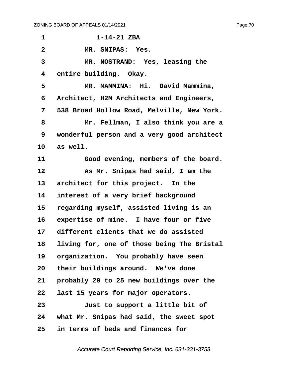| 1                       | $1 - 14 - 21$ ZBA                          |
|-------------------------|--------------------------------------------|
| $\overline{\mathbf{2}}$ | MR. SNIPAS: Yes.                           |
| $\overline{\mathbf{3}}$ | MR. NOSTRAND: Yes, leasing the             |
| 4                       | entire building. Okay.                     |
| 5                       | MR. MAMMINA: Hi. David Mammina,            |
| 6                       | Architect, H2M Architects and Engineers,   |
| 7                       | 538 Broad Hollow Road, Melville, New York. |
| 8                       | Mr. Fellman, I also think you are a        |
| 9                       | wonderful person and a very good architect |
| 10                      | as well.                                   |
| 11                      | Good evening, members of the board.        |
| 12                      | As Mr. Snipas had said, I am the           |
| 13                      | architect for this project. In the         |
| 14                      | interest of a very brief background        |
| 15                      | regarding myself, assisted living is an    |
| 16                      | expertise of mine. I have four or five     |
| 17                      | different clients that we do assisted      |
| 18                      | living for, one of those being The Bristal |
| 19                      | organization. You probably have seen       |
| 20 <sub>o</sub>         | their buildings around. We've done         |
| 21                      | probably 20 to 25 new buildings over the   |
| 22                      | last 15 years for major operators.         |
| 23                      | Just to support a little bit of            |
| 24                      | what Mr. Snipas had said, the sweet spot   |
| 25                      | in terms of beds and finances for          |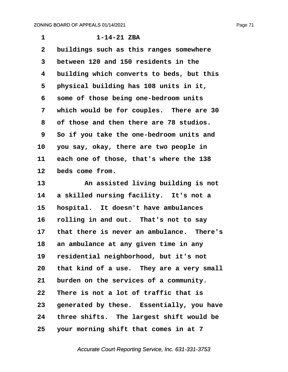| 1              | $1 - 14 - 21$ ZBA                         |
|----------------|-------------------------------------------|
| $\overline{2}$ | buildings such as this ranges somewhere   |
| 3              | between 120 and 150 residents in the      |
| 4              | building which converts to beds, but this |
| 5              | physical building has 108 units in it,    |
| 6              | some of those being one-bedroom units     |
| 7              | which would be for couples. There are 30  |
| 8              | of those and then there are 78 studios.   |
| 9              | So if you take the one-bedroom units and  |
| 10             | you say, okay, there are two people in    |
| 11             | each one of those, that's where the 138   |
| 12             | beds come from.                           |
| 13             | An assisted living building is not        |
| 14             | a skilled nursing facility. It's not a    |
| 15             | hospital. It doesn't have ambulances      |
| 16             | rolling in and out. That's not to say     |
| 17             | that there is never an ambulance. There's |
| 18             | an ambulance at any given time in any     |
| 19             | residential neighborhood, but it's not    |
| 20             | that kind of a use. They are a very small |
| 21             | burden on the services of a community.    |
| 22             | There is not a lot of traffic that is     |
| 23             | generated by these. Essentially, you have |
| 24             | three shifts. The largest shift would be  |
| 25             | your morning shift that comes in at 7     |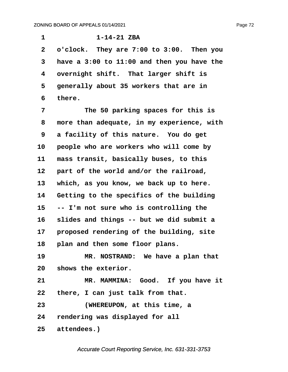**·1· · · · · · ·1-14-21 ZBA ·2· ·o'clock.· They are 7:00 to 3:00.· Then you ·3· ·have a 3:00 to 11:00 and then you have the ·4· ·overnight shift.· That larger shift is** 5 **· generally about 35 workers that are in ·6· ·there.**

**·7· · · · · The 50 parking spaces for this is ·8· ·more than adequate, in my experience, with ·9· ·a facility of this nature.· You do get** 10 **people who are workers who will come by** 11 mass transit, basically buses, to this 12 **part of the world and/or the railroad,** 13 which, as you know, we back up to here. **14· ·Getting to the specifics of the building 15· ·-- I'm not sure who is controlling the 16· ·slides and things -- but we did submit a** 17 **proposed rendering of the building, site** 18 **plan and then some floor plans.** 19 **MR. NOSTRAND:** We have a plan that 20 shows the exterior.

21 MR. MAMMINA: Good. If you have it **22· ·there, I can just talk from that. 23· · · · · (WHEREUPON, at this time, a 24· ·rendering was displayed for all** 25 attendees.)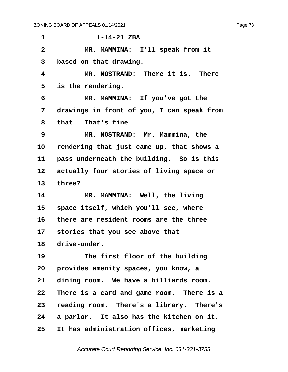| $\mathbf 1$     | $1 - 14 - 21$ ZBA                          |
|-----------------|--------------------------------------------|
| $\mathbf{2}$    | MR. MAMMINA: I'll speak from it            |
| 3               | based on that drawing.                     |
| 4               | MR. NOSTRAND: There it is. There           |
| 5               | is the rendering.                          |
| 6               | MR. MAMMINA: If you've got the             |
| 7               | drawings in front of you, I can speak from |
| 8               | that. That's fine.                         |
| 9               | MR. NOSTRAND: Mr. Mammina, the             |
| 10              | rendering that just came up, that shows a  |
| 11              | pass underneath the building. So is this   |
| 12 <sub>1</sub> | actually four stories of living space or   |
| 13              | three?                                     |
| 14              | MR. MAMMINA: Well, the living              |
| 15              | space itself, which you'll see, where      |
| 16              | there are resident rooms are the three     |
| 17 <sub>2</sub> | stories that you see above that            |
| 18              | drive-under.                               |
| 19              | The first floor of the building            |
| 20              | provides amenity spaces, you know, a       |
| 21              | dining room. We have a billiards room.     |
| 22              | There is a card and game room. There is a  |
| 23              | reading room. There's a library. There's   |
| 24              | a parlor. It also has the kitchen on it.   |
| 25              | It has administration offices, marketing   |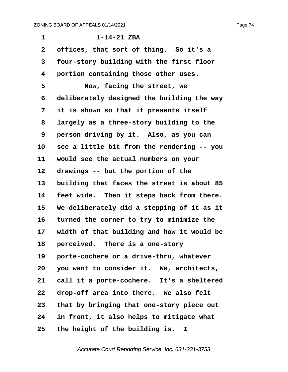**·1· · · · · · ·1-14-21 ZBA** 2 offices, that sort of thing. So it's a **·3· ·four-story building with the first floor ·4· ·portion containing those other uses. ·5· · · · · Now, facing the street, we ·6· ·deliberately designed the building the way ·7· ·it is shown so that it presents itself ·8· ·largely as a three-story building to the 9 person driving by it. Also, as you can 10· ·see a little bit from the rendering -- you** 11 would see the actual numbers on your 12 drawings -- but the portion of the 13 building that faces the street is about 85 14 **feet wide.** Then it steps back from there. **15· ·We deliberately did a stepping of it as it** 16 turned the corner to try to minimize the 17 width of that building and how it would be 18 **perceived.** There is a one-story 19 **· porte-cochere or a drive-thru, whatever** 20 you want to consider it. We, architects, 21 call it a porte-cochere. It's a sheltered 22 drop-off area into there. We also felt **23· ·that by bringing that one-story piece out 24· ·in front, it also helps to mitigate what 25· ·the height of the building is. I**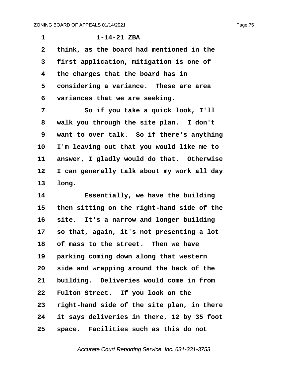| 1            | $1 - 14 - 21$ ZBA                          |
|--------------|--------------------------------------------|
| $\mathbf{2}$ | think, as the board had mentioned in the   |
| 3            | first application, mitigation is one of    |
| 4            | the charges that the board has in          |
| 5            | considering a variance. These are area     |
| 6            | variances that we are seeking.             |
| 7            | So if you take a quick look, I'll          |
| 8            | walk you through the site plan. I don't    |
| 9            | want to over talk. So if there's anything  |
| 10           | I'm leaving out that you would like me to  |
| 11           | answer, I gladly would do that. Otherwise  |
| 12           | I can generally talk about my work all day |
| 13           | long.                                      |
| 14           | Essentially, we have the building          |

15 then sitting on the right-hand side of the 16 site. It's a narrow and longer building **17· ·so that, again, it's not presenting a lot** 18 of mass to the street. Then we have 19 **parking coming down along that western 20· ·side and wrapping around the back of the** 21 building. Deliveries would come in from 22 Fulton Street. If you look on the **23· ·right-hand side of the site plan, in there 24· ·it says deliveries in there, 12 by 35 foot 25· ·space.· Facilities such as this do not**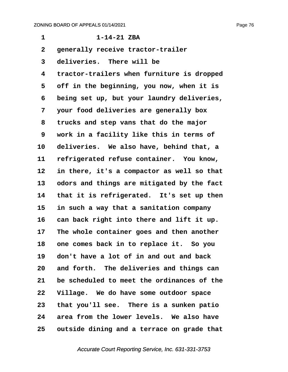| 1               | $1 - 14 - 21$ ZBA                          |
|-----------------|--------------------------------------------|
| $\mathbf{2}$    | generally receive tractor-trailer          |
| 3               | deliveries. There will be                  |
| 4               | tractor-trailers when furniture is dropped |
| 5               | off in the beginning, you now, when it is  |
| 6               | being set up, but your laundry deliveries, |
| 7               | your food deliveries are generally box     |
| 8               | trucks and step vans that do the major     |
| 9               | work in a facility like this in terms of   |
| 10              | deliveries. We also have, behind that, a   |
| 11              | refrigerated refuse container. You know,   |
| 12              | in there, it's a compactor as well so that |
| 13              | odors and things are mitigated by the fact |
| 14              | that it is refrigerated. It's set up then  |
| 15              | in such a way that a sanitation company    |
| 16              | can back right into there and lift it up.  |
| 17              | The whole container goes and then another  |
| 18              | one comes back in to replace it. So you    |
| 19              | don't have a lot of in and out and back    |
| 20              | and forth. The deliveries and things can   |
| 21              | be scheduled to meet the ordinances of the |
| 22              | Village. We do have some outdoor space     |
| 23 <sub>o</sub> | that you'll see. There is a sunken patio   |
| 24              | area from the lower levels. We also have   |
| 25              | outside dining and a terrace on grade that |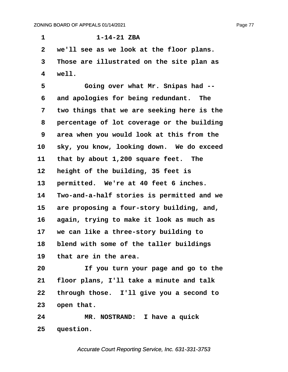**·1· · · · · · ·1-14-21 ZBA ·2· ·we'll see as we look at the floor plans. ·3· ·Those are illustrated on the site plan as ·4· ·well. ·5· · · · · Going over what Mr. Snipas had --** 6 and apologies for being redundant. The **·7· ·two things that we are seeking here is the ·8· ·percentage of lot coverage or the building ·9· ·area when you would look at this from the** 10 sky, you know, looking down. We do exceed 11 that by about 1,200 square feet. The 12 **height of the building, 35 feet is** 13 **permitted.** We're at 40 feet 6 inches. **14· ·Two-and-a-half stories is permitted and we** 15 are proposing a four-story building, and, **16· ·again, trying to make it look as much as 17· ·we can like a three-story building to 18· ·blend with some of the taller buildings 19· ·that are in the area. 20· · · · · If you turn your page and go to the 21· ·floor plans, I'll take a minute and talk 22· ·through those.· I'll give you a second to** 23 open that. **24· · · · · MR. NOSTRAND:· I have a quick**

25 question.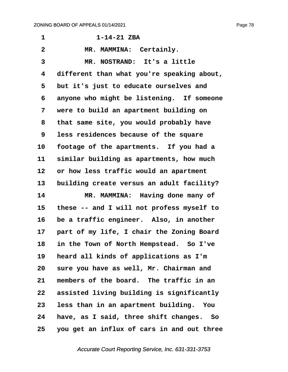**·1· · · · · · ·1-14-21 ZBA** 2 MR. MAMMINA: Certainly. **·3· · · · · MR. NOSTRAND:· It's a little ·4· ·different than what you're speaking about, ·5· ·but it's just to educate ourselves and** 6 anyone who might be listening. If someone **·7· ·were to build an apartment building on ·8· ·that same site, you would probably have ·9· ·less residences because of the square** 10 footage of the apartments. If you had a **11· ·similar building as apartments, how much** 12 or how less traffic would an apartment 13 building create versus an adult facility? 14 MR. MAMMINA: Having done many of **15· ·these -- and I will not profess myself to** 16 be a traffic engineer. Also, in another 17 **part of my life, I chair the Zoning Board 18· ·in the Town of North Hempstead.· So I've 19· ·heard all kinds of applications as I'm 20· ·sure you have as well, Mr. Chairman and 21· ·members of the board.· The traffic in an** 22 **assisted living building is significantly 23· ·less than in an apartment building.· You 24· ·have, as I said, three shift changes.· So 25· ·you get an influx of cars in and out three**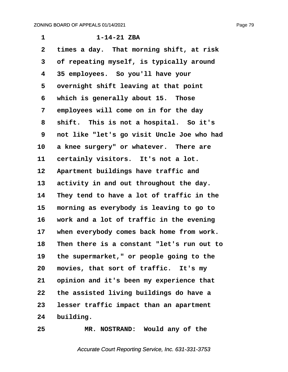**·1· · · · · · ·1-14-21 ZBA ·2· ·times a day.· That morning shift, at risk ·3· ·of repeating myself, is typically around ·4· ·35 employees.· So you'll have your** 5 overnight shift leaving at that point **·6· ·which is generally about 15.· Those ·7· ·employees will come on in for the day ·8· ·shift.· This is not a hospital.· So it's ·9· ·not like "let's go visit Uncle Joe who had** 10 a knee surgery" or whatever. There are 11 certainly visitors. It's not a lot. 12 Apartment buildings have traffic and 13 activity in and out throughout the day. **14· ·They tend to have a lot of traffic in the 15· ·morning as everybody is leaving to go to 16· ·work and a lot of traffic in the evening** 17 when everybody comes back home from work. **18· ·Then there is a constant "let's run out to 19· ·the supermarket," or people going to the** 20 movies, that sort of traffic. It's my 21 opinion and it's been my experience that **22· ·the assisted living buildings do have a 23· ·lesser traffic impact than an apartment** 24 building.

**25· · · · · MR. NOSTRAND:· Would any of the**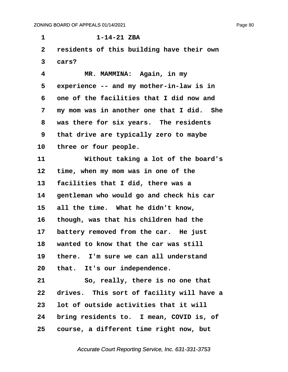**·1· · · · · · ·1-14-21 ZBA ·2· ·residents of this building have their own ·3· ·cars? ·4· · · · · MR. MAMMINA:· Again, in my** 5 experience -- and my mother-in-law is in **·6· ·one of the facilities that I did now and ·7· ·my mom was in another one that I did.· She ·8· ·was there for six years.· The residents ·9· ·that drive are typically zero to maybe** 10 three or four people. 11 **Without taking a lot of the board's** 12 time, when my mom was in one of the **13· ·facilities that I did, there was a 14· ·gentleman who would go and check his car** 15 all the time. What he didn't know, **16· ·though, was that his children had the** 17 battery removed from the car. He just **18· ·wanted to know that the car was still 19· ·there.· I'm sure we can all understand** 20 that. It's our independence. **21· · · · · So, really, there is no one that** 22 drives. This sort of facility will have a **23· ·lot of outside activities that it will** 24 bring residents to. I mean, COVID is, of

**25· ·course, a different time right now, but**

Accurate Court Reporting Service, Inc. 631-331-3753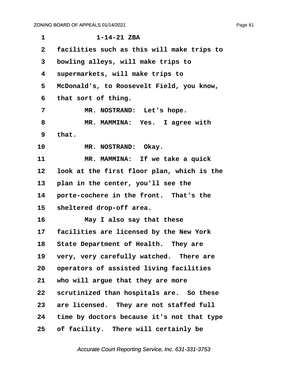| $\mathbf{1}$    | $1 - 14 - 21$ ZBA                          |
|-----------------|--------------------------------------------|
| $\mathbf{2}$    | facilities such as this will make trips to |
| 3               | bowling alleys, will make trips to         |
| 4               | supermarkets, will make trips to           |
| 5               | McDonald's, to Roosevelt Field, you know,  |
| 6               | that sort of thing.                        |
| 7               | MR. NOSTRAND: Let's hope.                  |
| 8               | MR. MAMMINA: Yes. I agree with             |
| 9               | that.                                      |
| 10              | MR. NOSTRAND: Okay.                        |
| 11              | MR. MAMMINA: If we take a quick            |
| 12              | look at the first floor plan, which is the |
| 13 <sub>1</sub> | plan in the center, you'll see the         |
| 14              | porte-cochere in the front. That's the     |
| 15              | sheltered drop-off area.                   |
| 16              | May I also say that these                  |
| 17              | facilities are licensed by the New York    |
| 18              | State Department of Health. They are       |
| 19              | very, very carefully watched. There are    |
| 20              | operators of assisted living facilities    |
| 21              | who will argue that they are more          |
| $22 \,$         | scrutinized than hospitals are. So these   |
| 23              | are licensed. They are not staffed full    |
| 24              | time by doctors because it's not that type |
| 25              | of facility. There will certainly be       |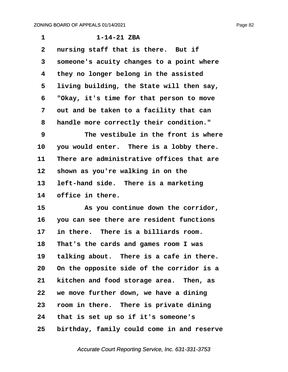| 1            | $1 - 14 - 21$ ZBA                          |
|--------------|--------------------------------------------|
| $\mathbf{2}$ | nursing staff that is there. But if        |
| 3            | someone's acuity changes to a point where  |
| 4            | they no longer belong in the assisted      |
| 5            | living building, the State will then say,  |
| 6            | "Okay, it's time for that person to move   |
| 7            | out and be taken to a facility that can    |
| 8            | handle more correctly their condition."    |
| 9            | The vestibule in the front is where        |
| 10           | you would enter. There is a lobby there.   |
| 11           | There are administrative offices that are  |
| 12           | shown as you're walking in on the          |
| 13           | left-hand side. There is a marketing       |
| 14           | office in there.                           |
| 15           | As you continue down the corridor,         |
| 16           | you can see there are resident functions   |
| 17           | in there. There is a billiards room.       |
| 18           | That's the cards and games room I was      |
| 19           | talking about. There is a cafe in there.   |
| 20           | On the opposite side of the corridor is a  |
| 21           | kitchen and food storage area. Then, as    |
| 22           | we move further down, we have a dining     |
| 23           | room in there. There is private dining     |
| 24           | that is set up so if it's someone's        |
| 25           | birthday, family could come in and reserve |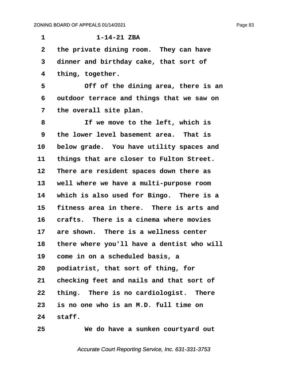| 1               | $1 - 14 - 21$ ZBA                          |
|-----------------|--------------------------------------------|
| $\overline{2}$  | the private dining room. They can have     |
| 3               | dinner and birthday cake, that sort of     |
| 4               | thing, together.                           |
| 5               | Off of the dining area, there is an        |
| 6               | outdoor terrace and things that we saw on  |
| 7               | the overall site plan.                     |
| 8               | If we move to the left, which is           |
| 9               | the lower level basement area. That is     |
| 10              | below grade. You have utility spaces and   |
| 11              | things that are closer to Fulton Street.   |
| 12              | There are resident spaces down there as    |
| 13              | well where we have a multi-purpose room    |
| 14              | which is also used for Bingo. There is a   |
| 15              | fitness area in there. There is arts and   |
| 16              | crafts. There is a cinema where movies     |
| 17              | are shown. There is a wellness center      |
| 18              | there where you'll have a dentist who will |
| 19              | come in on a scheduled basis, a            |
| 20              | podiatrist, that sort of thing, for        |
| 21              | checking feet and nails and that sort of   |
| 22 <sub>2</sub> | thing. There is no cardiologist. There     |
| 23              | is no one who is an M.D. full time on      |
| 24              | staff.                                     |
| 25              | We do have a sunken courtyard out          |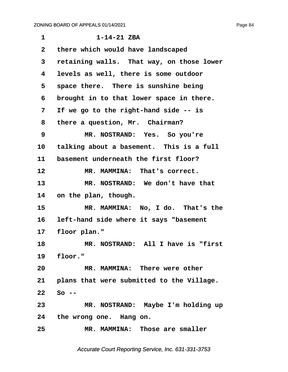| $\mathbf{1}$    | $1 - 14 - 21$ ZBA                         |
|-----------------|-------------------------------------------|
| $\mathbf{2}$    | there which would have landscaped         |
| 3               | retaining walls. That way, on those lower |
| 4               | levels as well, there is some outdoor     |
| 5               | space there. There is sunshine being      |
| 6               | brought in to that lower space in there.  |
| 7               | If we go to the right-hand side -- is     |
| 8               | there a question, Mr. Chairman?           |
| 9               | MR. NOSTRAND: Yes. So you're              |
| 10              | talking about a basement. This is a full  |
| 11              | basement underneath the first floor?      |
| 12              | MR. MAMMINA: That's correct.              |
| 13              | MR. NOSTRAND: We don't have that          |
| 14              | on the plan, though.                      |
| 15              | MR. MAMMINA: No, I do. That's the         |
| 16              | left-hand side where it says "basement    |
| 17              | floor plan."                              |
| 18              | MR. NOSTRAND: All I have is "first        |
| 19              | floor."                                   |
| 20              | MR. MAMMINA: There were other             |
| 21              | plans that were submitted to the Village. |
| 22 <sub>2</sub> | $So --$                                   |
| 23              | MR. NOSTRAND: Maybe I'm holding up        |
|                 | 24 the wrong one. Hang on.                |
| 25              | MR. MAMMINA: Those are smaller            |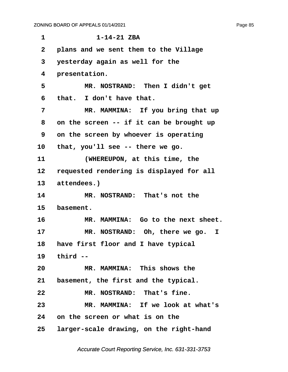| 1  | $1 - 14 - 21$ ZBA                        |
|----|------------------------------------------|
| 2  | plans and we sent them to the Village    |
| 3  | yesterday again as well for the          |
| 4  | presentation.                            |
| 5  | MR. NOSTRAND: Then I didn't get          |
| 6  | that. I don't have that.                 |
| 7  | MR. MAMMINA: If you bring that up        |
| 8  | on the screen -- if it can be brought up |
| 9  | on the screen by whoever is operating    |
| 10 | that, you'll see -- there we go.         |
| 11 | (WHEREUPON, at this time, the            |
| 12 | requested rendering is displayed for all |
| 13 | attendees.)                              |
| 14 | MR. NOSTRAND: That's not the             |
| 15 | basement.                                |
| 16 | MR. MAMMINA: Go to the next sheet.       |
| 17 | MR. NOSTRAND: Oh, there we go. I         |
| 18 | have first floor and I have typical      |
|    | 19 third --                              |
| 20 | MR. MAMMINA: This shows the              |
| 21 | basement, the first and the typical.     |
| 22 | MR. NOSTRAND: That's fine.               |
| 23 | MR. MAMMINA: If we look at what's        |
|    | 24 on the screen or what is on the       |
| 25 | larger-scale drawing, on the right-hand  |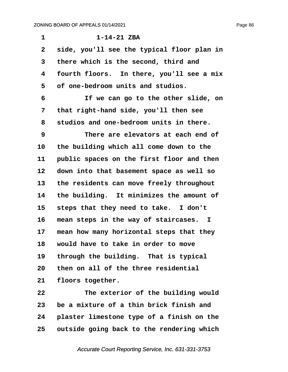| 1            | $1 - 14 - 21$ ZBA                          |
|--------------|--------------------------------------------|
| $\mathbf{2}$ | side, you'll see the typical floor plan in |
| 3            | there which is the second, third and       |
| 4            | fourth floors. In there, you'll see a mix  |
| 5            | of one-bedroom units and studios.          |
| 6            | If we can go to the other slide, on        |
| 7            | that right-hand side, you'll then see      |
| 8            | studios and one-bedroom units in there.    |
| 9            | There are elevators at each end of         |
| 10           | the building which all come down to the    |
| 11           | public spaces on the first floor and then  |
| 12           | down into that basement space as well so   |
| 13           | the residents can move freely throughout   |
| 14           | the building. It minimizes the amount of   |
| 15           | steps that they need to take. I don't      |
| 16           | mean steps in the way of staircases. I     |
| 17           | mean how many horizontal steps that they   |
| 18           | would have to take in order to move        |
| 19           | through the building. That is typical      |
| 20           | then on all of the three residential       |
| 21           | floors together.                           |
|              |                                            |

**22· · · · · The exterior of the building would 23· ·be a mixture of a thin brick finish and 24· ·plaster limestone type of a finish on the 25· ·outside going back to the rendering which**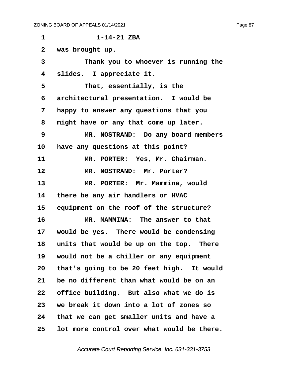**·1· · · · · · ·1-14-21 ZBA ·2· ·was brought up. ·3· · · · · Thank you to whoever is running the ·4· ·slides.· I appreciate it. ·5· · · · · That, essentially, is the ·6· ·architectural presentation.· I would be ·7· ·happy to answer any questions that you ·8· ·might have or any that come up later. ·9· · · · · MR. NOSTRAND:· Do any board members** 10 have any questions at this point? 11 MR. PORTER: Yes, Mr. Chairman. 12 MR. NOSTRAND: Mr. Porter? 13 MR. PORTER: Mr. Mammina, would 14 there be any air handlers or HVAC **15· ·equipment on the roof of the structure? 16· · · · · MR. MAMMINA:· The answer to that 17· ·would be yes.· There would be condensing** 18 units that would be up on the top. There **19· ·would not be a chiller or any equipment** 20 that's going to be 20 feet high. It would **21· ·be no different than what would be on an 22· ·office building.· But also what we do is 23· ·we break it down into a lot of zones so 24· ·that we can get smaller units and have a 25· ·lot more control over what would be there.**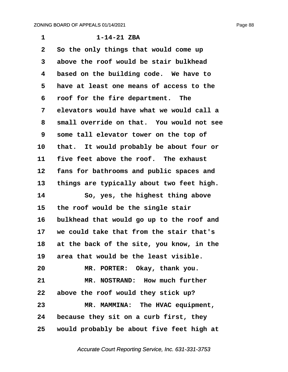**·1· · · · · · ·1-14-21 ZBA ·2· ·So the only things that would come up ·3· ·above the roof would be stair bulkhead ·4· ·based on the building code.· We have to ·5· ·have at least one means of access to the ·6· ·roof for the fire department.· The ·7· ·elevators would have what we would call a ·8· ·small override on that.· You would not see ·9· ·some tall elevator tower on the top of** 10 that. It would probably be about four or 11 five feet above the roof. The exhaust 12 fans for bathrooms and public spaces and 13 things are typically about two feet high. 14 · · · So, yes, the highest thing above 15 the roof would be the single stair **16· ·bulkhead that would go up to the roof and 17· ·we could take that from the stair that's 18· ·at the back of the site, you know, in the 19· ·area that would be the least visible. 20· · · · · MR. PORTER:· Okay, thank you.** 21 MR. NOSTRAND: How much further **22· ·above the roof would they stick up? 23· · · · · MR. MAMMINA:· The HVAC equipment, 24· ·because they sit on a curb first, they 25· ·would probably be about five feet high at**

Accurate Court Reporting Service, Inc. 631-331-3753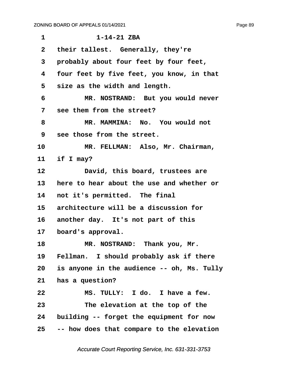| 1               | $1 - 14 - 21$ ZBA                          |
|-----------------|--------------------------------------------|
| $\mathbf{2}$    | their tallest. Generally, they're          |
| 3               | probably about four feet by four feet,     |
| 4               | four feet by five feet, you know, in that  |
| 5               | size as the width and length.              |
| 6               | MR. NOSTRAND: But you would never          |
| 7               | see them from the street?                  |
| 8               | MR. MAMMINA: No. You would not             |
| 9               | see those from the street.                 |
| 10              | MR. FELLMAN: Also, Mr. Chairman,           |
| 11              | if I may?                                  |
| 12              | David, this board, trustees are            |
| 13 <sub>2</sub> | here to hear about the use and whether or  |
| 14              | not it's permitted. The final              |
| 15              | architecture will be a discussion for      |
| 16              | another day. It's not part of this         |
| 17              | board's approval.                          |
| 18              | MR. NOSTRAND: Thank you, Mr.               |
| 19              | Fellman. I should probably ask if there    |
| 20              | is anyone in the audience -- oh, Ms. Tully |
| 21              | has a question?                            |
| 22              | MS. TULLY: I do. I have a few.             |
| 23              | The elevation at the top of the            |
| 24              | building -- forget the equipment for now   |
| 25              | -- how does that compare to the elevation  |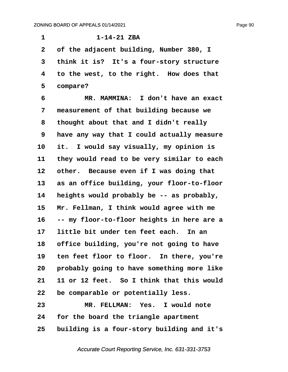**·1· · · · · · ·1-14-21 ZBA ·2· ·of the adjacent building, Number 380, I ·3· ·think it is?· It's a four-story structure 4** to the west, to the right. How does that **·5· ·compare? ·6· · · · · MR. MAMMINA:· I don't have an exact ·7· ·measurement of that building because we ·8· ·thought about that and I didn't really ·9· ·have any way that I could actually measure** 10 it. I would say visually, my opinion is 11 they would read to be very similar to each 12 other. Because even if I was doing that 13 as an office building, your floor-to-floor **14· ·heights would probably be -- as probably,** 15 Mr. Fellman, I think would agree with me **16· ·-- my floor-to-floor heights in here are a** 17 little bit under ten feet each. In an 18 office building, you're not going to have 19 ten feet floor to floor. In there, you're **20· ·probably going to have something more like 21· ·11 or 12 feet.· So I think that this would 22· ·be comparable or potentially less. 23· · · · · MR. FELLMAN:· Yes.· I would note 24· ·for the board the triangle apartment**

**25· ·building is a four-story building and it's**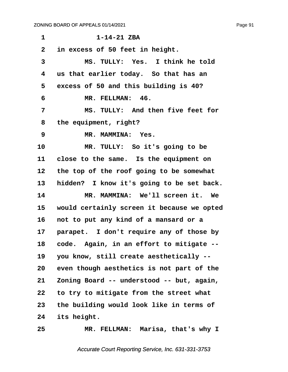| 1            | $1 - 14 - 21$ ZBA                              |
|--------------|------------------------------------------------|
| $\mathbf{2}$ | in excess of 50 feet in height.                |
| 3            | MS. TULLY: Yes. I think he told                |
| 4            | us that earlier today. So that has an          |
| 5            | excess of 50 and this building is 40?          |
| 6            | MR. FELLMAN: 46.                               |
| 7            | MS. TULLY: And then five feet for              |
| 8            | the equipment, right?                          |
| 9            | MR. MAMMINA: Yes.                              |
| 10           | MR. TULLY: So it's going to be                 |
| 11           | close to the same. Is the equipment on         |
| 12           | the top of the roof going to be somewhat       |
| 13           | hidden? I know it's going to be set back.      |
| 14           | MR. MAMMINA: We'll screen it. We               |
| 15           | would certainly screen it because we opted     |
| 16           | not to put any kind of a mansard or a          |
| 17           | parapet. I don't require any of those by       |
| 18           | code. Again, in an effort to mitigate<br>$- -$ |
| 19           | you know, still create aesthetically --        |
| 20           | even though aesthetics is not part of the      |
| 21           | Zoning Board -- understood -- but, again,      |
| 22           | to try to mitigate from the street what        |
| 23           | the building would look like in terms of       |
| 24           | its height.                                    |
| 25           | MR. FELLMAN: Marisa, that's why I              |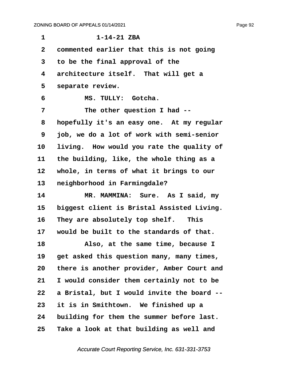| $\mathbf 1$             | $1 - 14 - 21$ ZBA                          |
|-------------------------|--------------------------------------------|
| $\mathbf{2}$            | commented earlier that this is not going   |
| 3                       | to be the final approval of the            |
| $\overline{\mathbf{4}}$ | architecture itself. That will get a       |
| 5                       | separate review.                           |
| 6                       | MS. TULLY: Gotcha.                         |
| 7                       | The other question I had --                |
| 8                       | hopefully it's an easy one. At my regular  |
| 9                       | job, we do a lot of work with semi-senior  |
| 10                      | living. How would you rate the quality of  |
| 11                      | the building, like, the whole thing as a   |
| 12                      | whole, in terms of what it brings to our   |
| 13                      | neighborhood in Farmingdale?               |
| 14                      | MR. MAMMINA: Sure. As I said, my           |
| 15                      | biggest client is Bristal Assisted Living. |
| 16                      | They are absolutely top shelf. This        |
| 17                      | would be built to the standards of that.   |
| 18                      | Also, at the same time, because I          |
| 19                      | get asked this question many, many times,  |
| 20                      | there is another provider, Amber Court and |
| 21                      | I would consider them certainly not to be  |
| 22                      | a Bristal, but I would invite the board -- |
| 23                      | it is in Smithtown. We finished up a       |
| 24                      | building for them the summer before last.  |
| 25                      | Take a look at that building as well and   |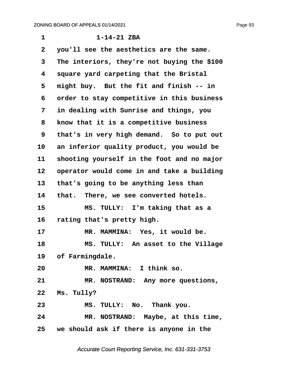**·1· · · · · · ·1-14-21 ZBA ·2· ·you'll see the aesthetics are the same. ·3· ·The interiors, they're not buying the \$100 ·4· ·square yard carpeting that the Bristal** 5 might buy. But the fit and finish -- in **·6· ·order to stay competitive in this business ·7· ·in dealing with Sunrise and things, you ·8· ·know that it is a competitive business ·9· ·that's in very high demand.· So to put out** 10 an inferior quality product, you would be 11 shooting yourself in the foot and no major 12 operator would come in and take a building 13 that's going to be anything less than 14 that. There, we see converted hotels. **15· · · · · MS. TULLY:· I'm taking that as a** 16 rating that's pretty high. 17 **MR. MAMMINA:** Yes, it would be. **18· · · · · MS. TULLY:· An asset to the Village** 19 of Farmingdale. **20· · · · · MR. MAMMINA:· I think so. 21· · · · · MR. NOSTRAND:· Any more questions,** 22 Ms. Tully? **23· · · · · MS. TULLY:· No.· Thank you. 24· · · · · MR. NOSTRAND:· Maybe, at this time, 25· ·we should ask if there is anyone in the**

Accurate Court Reporting Service, Inc. 631-331-3753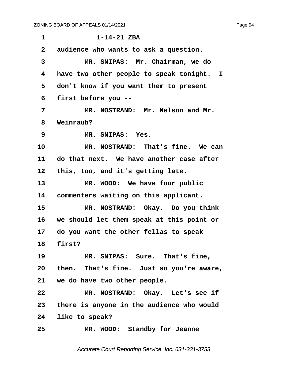**·1· · · · · · ·1-14-21 ZBA ·2· ·audience who wants to ask a question. ·3· · · · · MR. SNIPAS:· Mr. Chairman, we do ·4· ·have two other people to speak tonight. I ·5· ·don't know if you want them to present ·6· ·first before you -- ·7· · · · · MR. NOSTRAND:· Mr. Nelson and Mr. ·8· ·Weinraub? ·9· · · · · MR. SNIPAS:· Yes. 10· · · · · MR. NOSTRAND:· That's fine.· We can 11· ·do that next.· We have another case after 12· ·this, too, and it's getting late.** 13 MR. WOOD: We have four public 14 **commenters waiting on this applicant. 15· · · · · MR. NOSTRAND:· Okay.· Do you think 16· ·we should let them speak at this point or 17· ·do you want the other fellas to speak** 18 **first?** 19 **MR. SNIPAS: Sure. That's fine,** 20 then. That's fine. Just so you're aware, 21 we do have two other people. **22· · · · · MR. NOSTRAND:· Okay.· Let's see if 23· ·there is anyone in the audience who would 24· ·like to speak?** 25 MR. WOOD: Standby for Jeanne

Accurate Court Reporting Service, Inc. 631-331-3753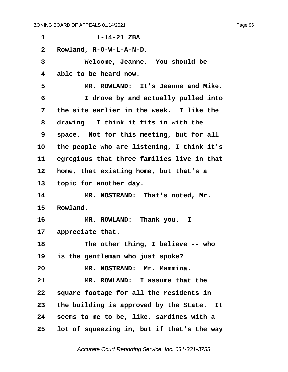| 1               | $1 - 14 - 21$ ZBA                          |
|-----------------|--------------------------------------------|
| $\mathbf{2}$    | Rowland, R-O-W-L-A-N-D.                    |
| 3               | Welcome, Jeanne. You should be             |
| 4               | able to be heard now.                      |
| 5               | MR. ROWLAND: It's Jeanne and Mike.         |
| 6               | I drove by and actually pulled into        |
| 7               | the site earlier in the week. I like the   |
| 8               | drawing. I think it fits in with the       |
| 9               | space. Not for this meeting, but for all   |
| 10              | the people who are listening, I think it's |
| 11              | egregious that three families live in that |
| 12              | home, that existing home, but that's a     |
| 13              | topic for another day.                     |
| 14              | MR. NOSTRAND: That's noted, Mr.            |
| 15              | Rowland.                                   |
| 16              | MR. ROWLAND: Thank you. I                  |
| 17              | appreciate that.                           |
| 18              | The other thing, I believe -- who          |
| 19              | is the gentleman who just spoke?           |
| 20              | MR. NOSTRAND: Mr. Mammina.                 |
| 21              | MR. ROWLAND: I assume that the             |
| 22              | square footage for all the residents in    |
| 23              | the building is approved by the State. It  |
| 24              | seems to me to be, like, sardines with a   |
| 25 <sub>2</sub> | lot of squeezing in, but if that's the way |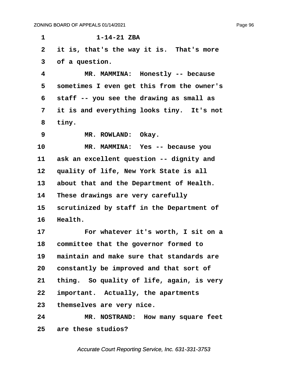**·1· · · · · · ·1-14-21 ZBA**

2 it is, that's the way it is. That's more **·3· ·of a question. ·4· · · · · MR. MAMMINA:· Honestly -- because ·5· ·sometimes I even get this from the owner's ·6· ·staff -- you see the drawing as small as ·7· ·it is and everything looks tiny.· It's not ·8· ·tiny. 9 \* MR. ROWLAND:** Okay. 10 MR. MAMMINA: Yes -- because you 11 ask an excellent question -- dignity and 12 quality of life, New York State is all 13 about that and the Department of Health. 14 These drawings are very carefully 15 scrutinized by staff in the Department of 16 **Health.** 17 **• · · · · · For whatever it's worth, I sit on a 18· ·committee that the governor formed to 19· ·maintain and make sure that standards are 20· ·constantly be improved and that sort of** 21 thing. So quality of life, again, is very 22 important. Actually, the apartments **23· ·themselves are very nice. 24· · · · · MR. NOSTRAND:· How many square feet 25· ·are these studios?**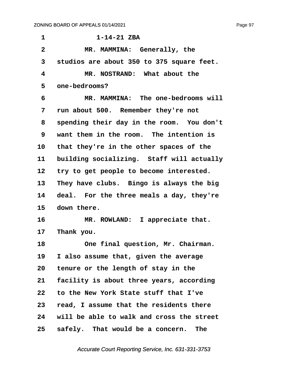**·1· · · · · · ·1-14-21 ZBA ·2· · · · · MR. MAMMINA:· Generally, the ·3· ·studios are about 350 to 375 square feet. ·4· · · · · MR. NOSTRAND:· What about the ·5· ·one-bedrooms? ·6· · · · · MR. MAMMINA:· The one-bedrooms will ·7· ·run about 500.· Remember they're not ·8· ·spending their day in the room.· You don't ·9· ·want them in the room.· The intention is** 10 that they're in the other spaces of the 11 building socializing. Staff will actually 12 try to get people to become interested. 13 They have clubs. Bingo is always the big 14 deal. For the three meals a day, they're 15 down there. 16 **MR. ROWLAND:** I appreciate that. 17 Thank you. 18 **18** One final question, Mr. Chairman. **19· ·I also assume that, given the average 20· ·tenure or the length of stay in the 21· ·facility is about three years, according 22· ·to the New York State stuff that I've 23· ·read, I assume that the residents there 24· ·will be able to walk and cross the street** 25 **safely.** That would be a concern. The

Page 97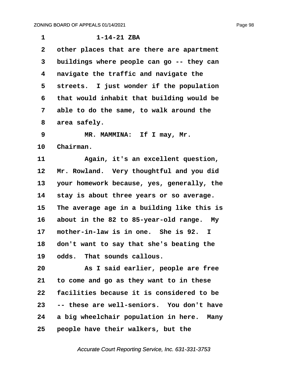| $\mathbf 1$  | $1 - 14 - 21$ ZBA                          |
|--------------|--------------------------------------------|
| $\mathbf{2}$ | other places that are there are apartment  |
| 3            | buildings where people can go -- they can  |
| 4            | navigate the traffic and navigate the      |
| 5            | streets. I just wonder if the population   |
| 6            | that would inhabit that building would be  |
| 7            | able to do the same, to walk around the    |
| 8            | area safely.                               |
| 9            | MR. MAMMINA: If I may, Mr.                 |
| 10           | Chairman.                                  |
| 11           | Again, it's an excellent question,         |
| 12           | Mr. Rowland. Very thoughtful and you did   |
| 13           | your homework because, yes, generally, the |
| 14           | stay is about three years or so average.   |
| 15           | The average age in a building like this is |
| 16           | about in the 82 to 85-year-old range. My   |
| 17           | mother-in-law is in one. She is 92.<br>I.  |
| 18           | don't want to say that she's beating the   |
| 19           | odds. That sounds callous.                 |
| 20           | As I said earlier, people are free         |
| 21           | to come and go as they want to in these    |
| 22           | facilities because it is considered to be  |
| 23           | -- these are well-seniors. You don't have  |

24 a big wheelchair population in here. Many **25· ·people have their walkers, but the**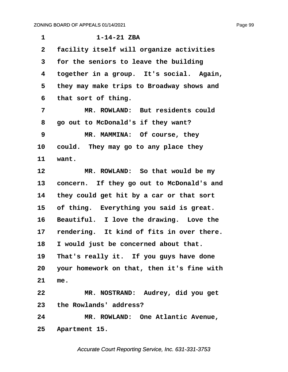| 1              | $1 - 14 - 21$ ZBA                          |
|----------------|--------------------------------------------|
| $\overline{2}$ | facility itself will organize activities   |
| 3              | for the seniors to leave the building      |
| 4              | together in a group. It's social. Again,   |
| 5              | they may make trips to Broadway shows and  |
| 6              | that sort of thing.                        |
| 7              | MR. ROWLAND: But residents could           |
| 8              | go out to McDonald's if they want?         |
| 9              | MR. MAMMINA: Of course, they               |
| 10             | could. They may go to any place they       |
| 11             | want.                                      |
| 12             | MR. ROWLAND: So that would be my           |
| 13             | concern. If they go out to McDonald's and  |
| 14             | they could get hit by a car or that sort   |
| 15             | of thing. Everything you said is great.    |
| 16             | Beautiful. I love the drawing. Love the    |
| 17             | rendering. It kind of fits in over there.  |
| 18             | I would just be concerned about that.      |
| 19             | That's really it. If you guys have done    |
| 20             | your homework on that, then it's fine with |
| 21             | me.                                        |
| 22             | MR. NOSTRAND: Audrey, did you get          |
| 23             | the Rowlands' address?                     |
| 24             | MR. ROWLAND: One Atlantic Avenue,          |
|                | 25 Apartment 15.                           |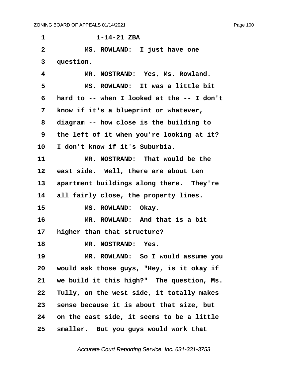| $\mathbf 1$    | $1 - 14 - 21$ ZBA                                |
|----------------|--------------------------------------------------|
| $\overline{2}$ | MS. ROWLAND: I just have one                     |
| 3              | question.                                        |
| 4              | MR. NOSTRAND: Yes, Ms. Rowland.                  |
| 5              | MS. ROWLAND: It was a little bit                 |
| 6              | hard to $-$ - when I looked at the $-$ - I don't |
| 7              | know if it's a blueprint or whatever,            |
| 8              | diagram -- how close is the building to          |
| 9              | the left of it when you're looking at it?        |
| 10             | I don't know if it's Suburbia.                   |
| 11             | MR. NOSTRAND: That would be the                  |
| 12             | east side. Well, there are about ten             |
| 13             | apartment buildings along there. They're         |
| 14             | all fairly close, the property lines.            |
| 15             | MS. ROWLAND: Okay.                               |
| 16             | MR. ROWLAND: And that is a bit                   |
| 17             | higher than that structure?                      |
| 18             | MR. NOSTRAND: Yes.                               |
| 19             | MR. ROWLAND: So I would assume you               |
| 20             | would ask those guys, "Hey, is it okay if        |
| 21             | we build it this high?" The question, Ms.        |
| 22             | Tully, on the west side, it totally makes        |
| 23             | sense because it is about that size, but         |
| 24             | on the east side, it seems to be a little        |
| 25             | smaller. But you guys would work that            |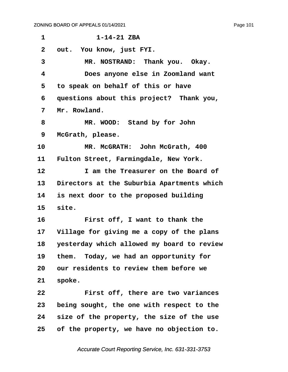| 1               | $1 - 14 - 21$ ZBA                          |
|-----------------|--------------------------------------------|
| $\mathbf{2}$    | out. You know, just FYI.                   |
| 3               | MR. NOSTRAND: Thank you. Okay.             |
| 4               | Does anyone else in Zoomland want          |
| 5               | to speak on behalf of this or have         |
| 6               | questions about this project? Thank you,   |
| 7               | Mr. Rowland.                               |
| 8               | MR. WOOD: Stand by for John                |
| 9               | McGrath, please.                           |
| 10              | MR. McGRATH: John McGrath, 400             |
| 11              | Fulton Street, Farmingdale, New York.      |
| 12              | I am the Treasurer on the Board of         |
| 13              | Directors at the Suburbia Apartments which |
| 14              | is next door to the proposed building      |
| 15 <sub>2</sub> | site.                                      |
| 16              | First off, I want to thank the             |
| 17              | Village for giving me a copy of the plans  |
| 18              | yesterday which allowed my board to review |
| 19              | them. Today, we had an opportunity for     |
| 20              | our residents to review them before we     |
| 21              | spoke.                                     |
| 22              | First off, there are two variances         |
| 23              | being sought, the one with respect to the  |
| 24              | size of the property, the size of the use  |
| 25              | of the property, we have no objection to.  |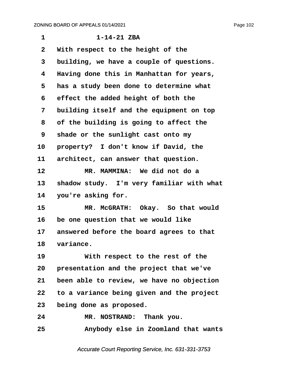| $\mathbf 1$       | $1 - 14 - 21$ ZBA                         |
|-------------------|-------------------------------------------|
| 2                 | With respect to the height of the         |
| 3                 | building, we have a couple of questions.  |
| 4                 | Having done this in Manhattan for years,  |
| 5                 | has a study been done to determine what   |
| 6                 | effect the added height of both the       |
| 7                 | building itself and the equipment on top  |
| 8                 | of the building is going to affect the    |
| 9                 | shade or the sunlight cast onto my        |
| 10                | property? I don't know if David, the      |
| 11                | architect, can answer that question.      |
| $12 \overline{ }$ | MR. MAMMINA: We did not do a              |
| 13                | shadow study. I'm very familiar with what |
| 14                | you're asking for.                        |
| 15                | MR. McGRATH: Okay. So that would          |
| 16                | be one question that we would like        |
| 17                | answered before the board agrees to that  |
| 18                | variance.                                 |
| 19                | With respect to the rest of the           |
| 20                | presentation and the project that we've   |
| 21                | been able to review, we have no objection |
| $22 \,$           | to a variance being given and the project |
| 23                | being done as proposed.                   |
| 24                | MR. NOSTRAND: Thank you.                  |
| 25                | Anybody else in Zoomland that wants       |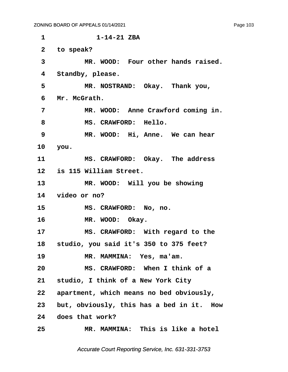**·1· · · · · · ·1-14-21 ZBA** 2 to speak? **·3· · · · · MR. WOOD:· Four other hands raised.** 4 Standby, please. 5 **MR. NOSTRAND:** Okay. Thank you, **·6· ·Mr. McGrath. ·7· · · · · MR. WOOD:· Anne Crawford coming in.** 8 **MS. CRAWFORD: Hello. 9 \* MR. WOOD:** Hi, Anne. We can hear **10· ·you.** 11 MS. CRAWFORD: Okay. The address **12· ·is 115 William Street.** 13 **MR. WOOD:** Will you be showing **14· ·video or no?** 15 MS. CRAWFORD: No, no. 16 **MR. WOOD:** Okay. 17 **MS. CRAWFORD:** With regard to the **18· ·studio, you said it's 350 to 375 feet?** 19 **MR. MAMMINA:** Yes, ma'am. **20· · · · · MS. CRAWFORD:· When I think of a 21· ·studio, I think of a New York City 22· ·apartment, which means no bed obviously,** 23 but, obviously, this has a bed in it. How **24· ·does that work? 25· · · · · MR. MAMMINA:· This is like a hotel**

Accurate Court Reporting Service, Inc. 631-331-3753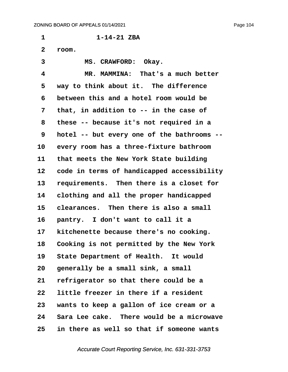**·1· · · · · · ·1-14-21 ZBA ·2· ·room.** 3 **MS. CRAWFORD:** Okay. **·4· · · · · MR. MAMMINA:· That's a much better** 5 way to think about it. The difference **·6· ·between this and a hotel room would be ·7· ·that, in addition to -- in the case of ·8· ·these -- because it's not required in a ·9· ·hotel -- but every one of the bathrooms --** 10 every room has a three-fixture bathroom 11 that meets the New York State building 12 code in terms of handicapped accessibility 13 requirements. Then there is a closet for 14 clothing and all the proper handicapped **15· ·clearances.· Then there is also a small** 16 **pantry.** I don't want to call it a 17 kitchenette because there's no cooking. **18· ·Cooking is not permitted by the New York** 19 State Department of Health. It would 20 generally be a small sink, a small **21· ·refrigerator so that there could be a 22· ·little freezer in there if a resident 23· ·wants to keep a gallon of ice cream or a 24· ·Sara Lee cake.· There would be a microwave 25· ·in there as well so that if someone wants**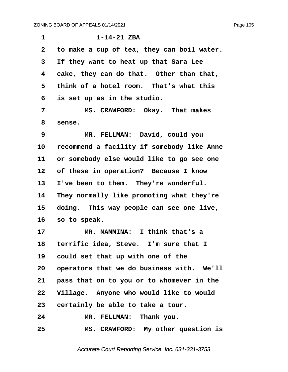| $\mathbf{1}$ | $1 - 14 - 21$ ZBA                          |
|--------------|--------------------------------------------|
| $\mathbf{2}$ | to make a cup of tea, they can boil water. |
| 3            | If they want to heat up that Sara Lee      |
| 4            | cake, they can do that. Other than that,   |
| 5            | think of a hotel room. That's what this    |
| 6            | is set up as in the studio.                |
| 7            | MS. CRAWFORD: Okay. That makes             |
| 8            | sense.                                     |
| 9            | MR. FELLMAN: David, could you              |
| 10           | recommend a facility if somebody like Anne |
| 11           | or somebody else would like to go see one  |
| 12           | of these in operation? Because I know      |
| 13           | I've been to them. They're wonderful.      |
| 14           | They normally like promoting what they're  |
| 15           | doing. This way people can see one live,   |
| 16           | so to speak.                               |
| 17           | MR. MAMMINA: I think that's a              |
| 18           | terrific idea, Steve. I'm sure that I      |
| 19           | could set that up with one of the          |
| 20           | operators that we do business with. We'll  |
| 21           | pass that on to you or to whomever in the  |
| 22           | Village. Anyone who would like to would    |
| 23           | certainly be able to take a tour.          |
| 24           | MR. FELLMAN: Thank you.                    |
| 25           | MS. CRAWFORD: My other question is         |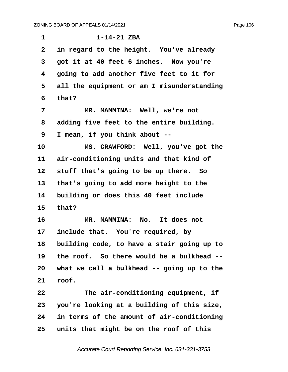| 1              | $1 - 14 - 21$ ZBA                          |
|----------------|--------------------------------------------|
| $\overline{2}$ | in regard to the height. You've already    |
| 3              | got it at 40 feet 6 inches. Now you're     |
| 4              | going to add another five feet to it for   |
| 5              | all the equipment or am I misunderstanding |
| 6              | that?                                      |
| 7              | MR. MAMMINA: Well, we're not               |
| 8              | adding five feet to the entire building.   |
| 9              | I mean, if you think about --              |
| 10             | MS. CRAWFORD: Well, you've got the         |
| 11             | air-conditioning units and that kind of    |
| 12             | stuff that's going to be up there. So      |
| 13             | that's going to add more height to the     |
| 14             | building or does this 40 feet include      |
| 15             | that?                                      |
| 16             | MR. MAMMINA: No. It does not               |
| 17             | include that. You're required, by          |
| 18             | building code, to have a stair going up to |
| 19             | the roof. So there would be a bulkhead --  |
| 20             | what we call a bulkhead -- going up to the |
| 21             | roof.                                      |
| 22             | The air-conditioning equipment, if         |
| 23             | you're looking at a building of this size, |
| 24             | in terms of the amount of air-conditioning |
| 25             | units that might be on the roof of this    |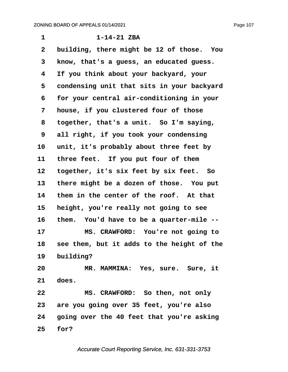Page 107

| 1            | $1 - 14 - 21$ ZBA                            |
|--------------|----------------------------------------------|
| $\mathbf{2}$ | building, there might be 12 of those. You    |
| 3            | know, that's a guess, an educated guess.     |
| 4            | If you think about your backyard, your       |
| 5            | condensing unit that sits in your backyard   |
| 6            | for your central air-conditioning in your    |
| 7            | house, if you clustered four of those        |
| 8            | together, that's a unit. So I'm saying,      |
| 9            | all right, if you took your condensing       |
| 10           | unit, it's probably about three feet by      |
| 11           | three feet. If you put four of them          |
| 12           | together, it's six feet by six feet. So      |
| 13           | there might be a dozen of those. You put     |
| 14           | them in the center of the roof. At that      |
| 15           | height, you're really not going to see       |
| 16           | them. You'd have to be a quarter-mile --     |
| 17           | MS. CRAWFORD: You're not going to            |
| 18           | see them, but it adds to the height of the   |
|              | 19 building?                                 |
| 20           | MR. MAMMINA: Yes, sure. Sure, it             |
| 21           | does.                                        |
| 22           | MS. CRAWFORD: So then, not only              |
|              | 23 are you going over 35 feet, you're also   |
|              | 24 going over the 40 feet that you're asking |
| 25           | for?                                         |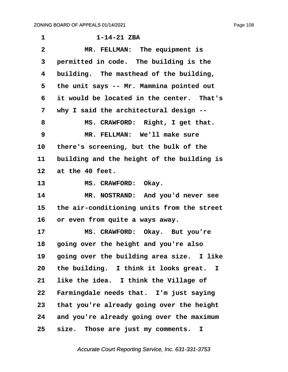**·1· · · · · · ·1-14-21 ZBA ·2· · · · · MR. FELLMAN:· The equipment is ·3· ·permitted in code.· The building is the ·4· ·building.· The masthead of the building, ·5· ·the unit says -- Mr. Mammina pointed out ·6· ·it would be located in the center.· That's ·7· ·why I said the architectural design --** 8 MS. CRAWFORD: Right, I get that. **·9· · · · · MR. FELLMAN:· We'll make sure** 10 there's screening, but the bulk of the 11 building and the height of the building is **12· ·at the 40 feet.** 13 MS. CRAWFORD: Okay. **14· · · · · MR. NOSTRAND:· And you'd never see 15· ·the air-conditioning units from the street** 16 or even from quite a ways away. 17 MS. CRAWFORD: Okay. But you're **18· ·going over the height and you're also** 19 **going over the building area size.** I like **20· ·the building.· I think it looks great. I 21· ·like the idea.· I think the Village of** 22 Farmingdale needs that. I'm just saying **23· ·that you're already going over the height 24· ·and you're already going over the maximum** 25 size. Those are just my comments. I

Accurate Court Reporting Service, Inc. 631-331-3753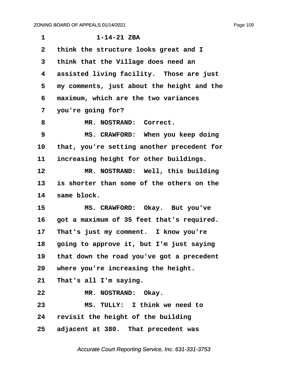| $\mathbf{1}$ | $1 - 14 - 21$ ZBA                          |
|--------------|--------------------------------------------|
| $\mathbf{2}$ | think the structure looks great and I      |
| 3            | think that the Village does need an        |
| 4            | assisted living facility. Those are just   |
| 5            | my comments, just about the height and the |
| 6            | maximum, which are the two variances       |
| 7            | you're going for?                          |
| 8            | MR. NOSTRAND: Correct.                     |
| 9            | MS. CRAWFORD: When you keep doing          |
| 10           | that, you're setting another precedent for |
| 11           | increasing height for other buildings.     |
| 12           | MR. NOSTRAND: Well, this building          |
| 13           | is shorter than some of the others on the  |
| 14           | same block.                                |
| 15           | MS. CRAWFORD: Okay. But you've             |
| 16           | got a maximum of 35 feet that's required.  |
| 17           | That's just my comment. I know you're      |
| 18           | going to approve it, but I'm just saying   |
| 19           | that down the road you've got a precedent  |
| 20           | where you're increasing the height.        |
| 21           | That's all I'm saying.                     |
| 22           | MR. NOSTRAND: Okay.                        |
| 23           | MS. TULLY: I think we need to              |
| 24           | revisit the height of the building         |
| 25           | adjacent at 380. That precedent was        |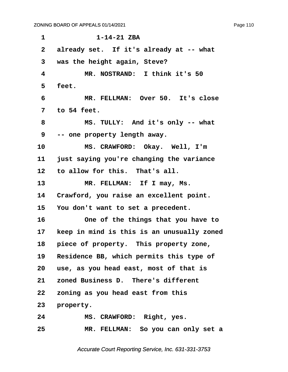**·1· · · · · · ·1-14-21 ZBA** 2 already set. If it's already at -- what **·3· ·was the height again, Steve? ·4· · · · · MR. NOSTRAND:· I think it's 50 ·5· ·feet. ·6· · · · · MR. FELLMAN:· Over 50.· It's close ·7· ·to 54 feet. ·8· · · · · MS. TULLY:· And it's only -- what ·9· ·-- one property length away.** 10 MS. CRAWFORD: Okay. Well, I'm **11· ·just saying you're changing the variance** 12 to allow for this. That's all. 13 MR. FELLMAN: If I may, Ms. 14 Crawford, you raise an excellent point. **15· ·You don't want to set a precedent. 16· · · · · One of the things that you have to 17· ·keep in mind is this is an unusually zoned** 18 **piece of property.** This property zone, 19 Residence BB, which permits this type of **20· ·use, as you head east, most of that is** 21 zoned Business D. There's different **22· ·zoning as you head east from this** 23 **property. 24· · · · · MS. CRAWFORD:· Right, yes. 25· · · · · MR. FELLMAN:· So you can only set a**

Accurate Court Reporting Service, Inc. 631-331-3753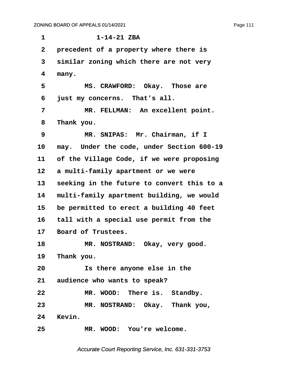| 1               | $1 - 14 - 21$ ZBA                          |
|-----------------|--------------------------------------------|
| $\mathbf{2}$    | precedent of a property where there is     |
| 3               | similar zoning which there are not very    |
| 4               | many.                                      |
| 5               | MS. CRAWFORD: Okay. Those are              |
| 6               | just my concerns. That's all.              |
| 7               | MR. FELLMAN: An excellent point.           |
| 8               | Thank you.                                 |
| 9               | MR. SNIPAS: Mr. Chairman, if I             |
| 10              | may. Under the code, under Section 600-19  |
| 11              | of the Village Code, if we were proposing  |
| 12              | a multi-family apartment or we were        |
| 13              | seeking in the future to convert this to a |
| 14              | multi-family apartment building, we would  |
| 15              | be permitted to erect a building 40 feet   |
| 16              | tall with a special use permit from the    |
| 17              | Board of Trustees.                         |
| 18              | MR. NOSTRAND: Okay, very good.             |
|                 | 19 Thank you.                              |
| 20              | Is there anyone else in the                |
|                 | 21 audience who wants to speak?            |
| 22              | MR. WOOD: There is. Standby.               |
| 23              | MR. NOSTRAND: Okay. Thank you,             |
|                 | 24 Kevin.                                  |
| 25 <sub>2</sub> | MR. WOOD: You're welcome.                  |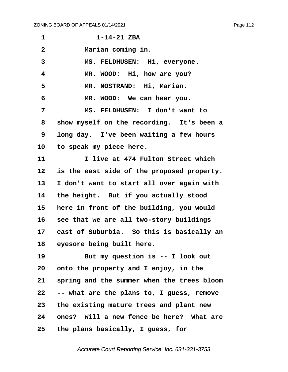| 1              | $1 - 14 - 21$ ZBA                          |
|----------------|--------------------------------------------|
| $\overline{2}$ | Marian coming in.                          |
| 3              | MS. FELDHUSEN: Hi, everyone.               |
| 4              | MR. WOOD: Hi, how are you?                 |
| 5              | MR. NOSTRAND: Hi, Marian.                  |
| 6              | MR. WOOD: We can hear you.                 |
| 7              | MS. FELDHUSEN: I don't want to             |
| 8              | show myself on the recording. It's been a  |
| 9              | long day. I've been waiting a few hours    |
| 10             | to speak my piece here.                    |
| 11             | I live at 474 Fulton Street which          |
| 12             | is the east side of the proposed property. |
| 13             | I don't want to start all over again with  |
| 14             | the height. But if you actually stood      |
| 15             | here in front of the building, you would   |
| 16             | see that we are all two-story buildings    |
| 17             | east of Suburbia. So this is basically an  |
| 18             | eyesore being built here.                  |
| 19             | But my question is -- I look out           |
| 20             | onto the property and I enjoy, in the      |
| 21             | spring and the summer when the trees bloom |
| 22             | -- what are the plans to, I guess, remove  |
| 23             | the existing mature trees and plant new    |
| 24             | ones? Will a new fence be here? What are   |
| 25             | the plans basically, I guess, for          |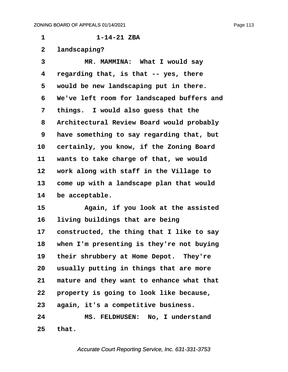**·1· · · · · · ·1-14-21 ZBA ·2· ·landscaping? ·3· · · · · MR. MAMMINA:· What I would say ·4· ·regarding that, is that -- yes, there ·5· ·would be new landscaping put in there. ·6· ·We've left room for landscaped buffers and ·7· ·things.· I would also guess that the ·8· ·Architectural Review Board would probably ·9· ·have something to say regarding that, but** 10 certainly, you know, if the Zoning Board 11 wants to take charge of that, we would 12 work along with staff in the Village to 13 come up with a landscape plan that would 14 be acceptable. **15· · · · · Again, if you look at the assisted** 16 **living buildings that are being** 17 constructed, the thing that I like to say **18· ·when I'm presenting is they're not buying** 19 their shrubbery at Home Depot. They're **20· ·usually putting in things that are more** 21 mature and they want to enhance what that **22· ·property is going to look like because, 23· ·again, it's a competitive business. 24· · · · · MS. FELDHUSEN:· No, I understand**

**25· ·that.**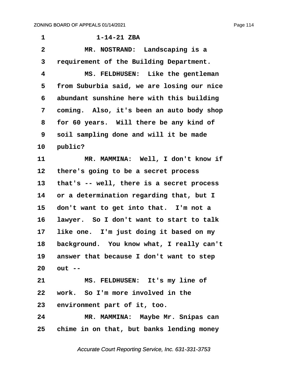**·1· · · · · · ·1-14-21 ZBA ·2· · · · · MR. NOSTRAND:· Landscaping is a ·3· ·requirement of the Building Department. ·4· · · · · MS. FELDHUSEN:· Like the gentleman ·5· ·from Suburbia said, we are losing our nice ·6· ·abundant sunshine here with this building ·7· ·coming.· Also, it's been an auto body shop ·8· ·for 60 years.· Will there be any kind of ·9· ·soil sampling done and will it be made** 10 **public?** 11 MR. MAMMINA: Well, I don't know if **12· ·there's going to be a secret process 13· ·that's -- well, there is a secret process 14· ·or a determination regarding that, but I** 15 don't want to get into that. I'm not a 16 lawyer. So I don't want to start to talk 17 like one. I'm just doing it based on my 18 background. You know what, I really can't **19· ·answer that because I don't want to step 20· ·out --** 21 MS. FELDHUSEN: It's my line of **22· ·work.· So I'm more involved in the** 23 environment part of it, too. **24· · · · · MR. MAMMINA:· Maybe Mr. Snipas can 25· ·chime in on that, but banks lending money**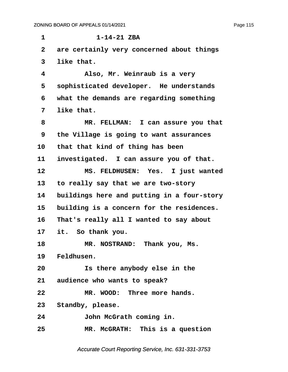**·1· · · · · · ·1-14-21 ZBA ·2· ·are certainly very concerned about things ·3· ·like that. ·4· · · · · Also, Mr. Weinraub is a very** 5 sophisticated developer. He understands **·6· ·what the demands are regarding something ·7· ·like that. ·8· · · · · MR. FELLMAN:· I can assure you that ·9· ·the Village is going to want assurances** 10 that that kind of thing has been 11 investigated. I can assure you of that. 12 MS. FELDHUSEN: Yes. I just wanted 13 to really say that we are two-story 14 buildings here and putting in a four-story **15· ·building is a concern for the residences. 16· ·That's really all I wanted to say about 17· ·it.· So thank you.** 18 **MR. NOSTRAND:** Thank you, Ms. 19 Feldhusen. **20· · · · · Is there anybody else in the** 21 audience who wants to speak? **22· · · · · MR. WOOD:· Three more hands.** 23 Standby, please. **24· · · · · John McGrath coming in. 25· · · · · MR. McGRATH:· This is a question**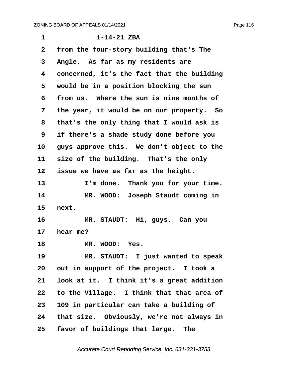| 1            | $1 - 14 - 21$ ZBA                          |
|--------------|--------------------------------------------|
| $\mathbf{2}$ | from the four-story building that's The    |
| 3            | Angle. As far as my residents are          |
| 4            | concerned, it's the fact that the building |
| 5            | would be in a position blocking the sun    |
| 6            | from us. Where the sun is nine months of   |
| 7            | the year, it would be on our property. So  |
| 8            | that's the only thing that I would ask is  |
| 9            | if there's a shade study done before you   |
| 10           | guys approve this. We don't object to the  |
| 11           | size of the building. That's the only      |
| 12           | issue we have as far as the height.        |
| 13           | I'm done. Thank you for your time.         |
| 14           | MR. WOOD: Joseph Staudt coming in          |
| 15           | next.                                      |
| 16           | MR. STAUDT: Hi, guys. Can you              |
| 17           | hear me?                                   |
| 18           | MR. WOOD: Yes.                             |
| 19           | MR. STAUDT: I just wanted to speak         |
| 20           | out in support of the project. I took a    |
| 21           | look at it. I think it's a great addition  |
| 22           | to the Village. I think that that area of  |
| 23           | 109 in particular can take a building of   |
| 24           | that size. Obviously, we're not always in  |
| 25           | favor of buildings that large. The         |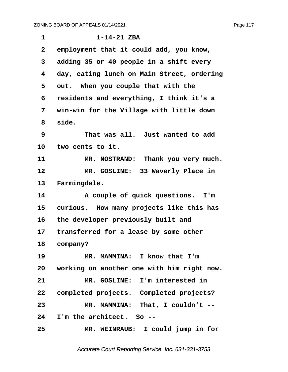| $\mathbf 1$  | $1 - 14 - 21$ ZBA                             |
|--------------|-----------------------------------------------|
| $\mathbf{2}$ | employment that it could add, you know,       |
| 3            | adding 35 or 40 people in a shift every       |
| 4            | day, eating lunch on Main Street, ordering    |
| 5            | out. When you couple that with the            |
| 6            | residents and everything, I think it's a      |
| 7            | win-win for the Village with little down      |
| 8            | side.                                         |
| 9            | That was all. Just wanted to add              |
| 10           | two cents to it.                              |
| 11           | MR. NOSTRAND: Thank you very much.            |
| 12           | MR. GOSLINE: 33 Waverly Place in              |
| 13           | Farmingdale.                                  |
| 14           | A couple of quick questions. I'm              |
| 15           | curious. How many projects like this has      |
| 16           | the developer previously built and            |
| 17           | transferred for a lease by some other         |
| 18           | company?                                      |
| 19           | MR. MAMMINA: I know that I'm                  |
|              | 20 working on another one with him right now. |
| 21           | MR. GOSLINE: I'm interested in                |
| 22           | completed projects. Completed projects?       |
| 23           | MR. MAMMINA: That, I couldn't --              |
| 24           | I'm the architect. So --                      |
| 25           | MR. WEINRAUB: I could jump in for             |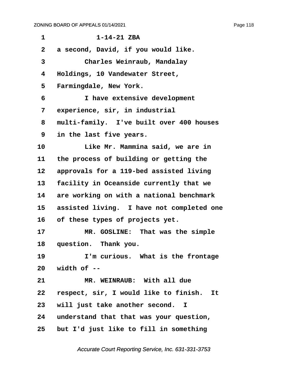| 1            | $1 - 14 - 21$ ZBA                          |
|--------------|--------------------------------------------|
| $\mathbf{2}$ | a second, David, if you would like.        |
| 3            | Charles Weinraub, Mandalay                 |
| 4            | Holdings, 10 Vandewater Street,            |
| 5            | Farmingdale, New York.                     |
| 6            | I have extensive development               |
| 7            | experience, sir, in industrial             |
| 8            | multi-family. I've built over 400 houses   |
| 9            | in the last five years.                    |
| 10           | Like Mr. Mammina said, we are in           |
| 11           | the process of building or getting the     |
| 12           | approvals for a 119-bed assisted living    |
| 13           | facility in Oceanside currently that we    |
| 14           | are working on with a national benchmark   |
| 15           | assisted living. I have not completed one  |
| 16           | of these types of projects yet.            |
| 17           | MR. GOSLINE: That was the simple           |
| 18           | question. Thank you.                       |
| 19           | I'm curious. What is the frontage          |
|              | $20$ width of $-$                          |
| 21           | MR. WEINRAUB: With all due                 |
| 22           | respect, sir, I would like to finish. It   |
| 23           | will just take another second. I           |
|              | 24 understand that that was your question, |
| 25           | but I'd just like to fill in something     |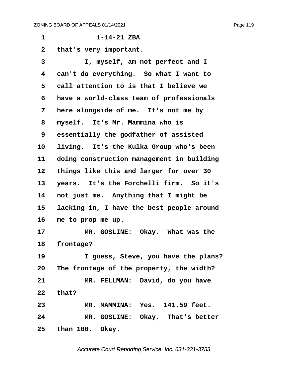**·1· · · · · · ·1-14-21 ZBA ·2· ·that's very important. ·3· · · · · I, myself, am not perfect and I ·4· ·can't do everything.· So what I want to ·5· ·call attention to is that I believe we ·6· ·have a world-class team of professionals** 7 here alongside of me. It's not me by **·8· ·myself.· It's Mr. Mammina who is ·9· ·essentially the godfather of assisted** 10 living. It's the Kulka Group who's been **11· ·doing construction management in building** 12 things like this and larger for over 30 13 years. It's the Forchelli firm. So it's 14 not just me. Anything that I might be 15 lacking in, I have the best people around **16· ·me to prop me up.** 17 MR. GOSLINE: Okay. What was the 18 **frontage? 19· · · · · I guess, Steve, you have the plans? 20· ·The frontage of the property, the width? 21· · · · · MR. FELLMAN:· David, do you have 22· ·that? 23· · · · · MR. MAMMINA:· Yes.· 141.59 feet.** 24 MR. GOSLINE: Okay. That's better **25· ·than 100.· Okay.**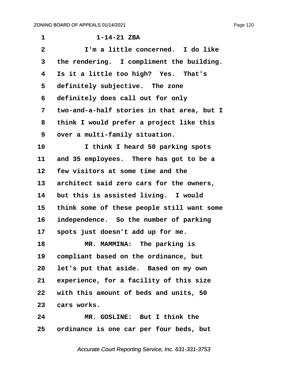| $\mathbf 1$     | $1 - 14 - 21$ ZBA                          |
|-----------------|--------------------------------------------|
| $\overline{2}$  | I'm a little concerned. I do like          |
| 3               | the rendering. I compliment the building.  |
| 4               | Is it a little too high? Yes. That's       |
| 5               | definitely subjective. The zone            |
| 6               | definitely does call out for only          |
| 7               | two-and-a-half stories in that area, but I |
| 8               | think I would prefer a project like this   |
| 9               | over a multi-family situation.             |
| 10              | I think I heard 50 parking spots           |
| 11              | and 35 employees. There has got to be a    |
| 12              | few visitors at some time and the          |
| 13              | architect said zero cars for the owners,   |
| 14              | but this is assisted living. I would       |
| 15              | think some of these people still want some |
| 16              | independence. So the number of parking     |
| 17              | spots just doesn't add up for me.          |
| 18              | MR. MAMMINA: The parking is                |
| 19              | compliant based on the ordinance, but      |
| 20              | let's put that aside. Based on my own      |
| 21              | experience, for a facility of this size    |
| 22 <sub>2</sub> | with this amount of beds and units, 50     |
| 23              | cars works.                                |
| 24              | MR. GOSLINE: But I think the               |

**25· ·ordinance is one car per four beds, but**

Accurate Court Reporting Service, Inc. 631-331-3753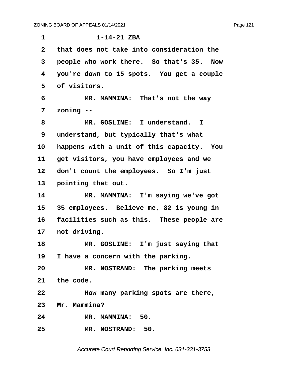**·1· · · · · · ·1-14-21 ZBA ·2· ·that does not take into consideration the ·3· ·people who work there.· So that's 35.· Now ·4· ·you're down to 15 spots.· You get a couple ·5· ·of visitors. ·6· · · · · MR. MAMMINA:· That's not the way ·7· ·zoning -- ·8· · · · · MR. GOSLINE:· I understand. I ·9· ·understand, but typically that's what** 10 happens with a unit of this capacity. You 11 get visitors, you have employees and we 12 don't count the employees. So I'm just 13 **pointing that out. 14· · · · · MR. MAMMINA:· I'm saying we've got 15· ·35 employees.· Believe me, 82 is young in** 16 facilities such as this. These people are 17 not driving. **18· · · · · MR. GOSLINE:· I'm just saying that** 19 I have a concern with the parking. **20· · · · · MR. NOSTRAND:· The parking meets** 21 the code. **22· · · · · How many parking spots are there,** 23 Mr. Mammina? **24· · · · · MR. MAMMINA:· 50. 25· · · · · MR. NOSTRAND:· 50.**

Accurate Court Reporting Service, Inc. 631-331-3753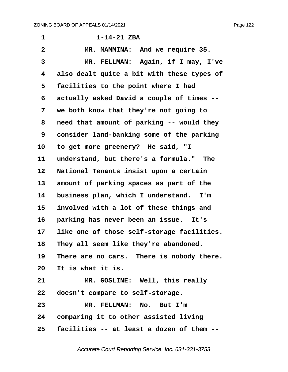Page 122

**·1· · · · · · ·1-14-21 ZBA ·2· · · · · MR. MAMMINA:· And we require 35.** 3 MR. FELLMAN: Again, if I may, I've **·4· ·also dealt quite a bit with these types of ·5· ·facilities to the point where I had ·6· ·actually asked David a couple of times -- ·7· ·we both know that they're not going to ·8· ·need that amount of parking -- would they ·9· ·consider land-banking some of the parking** 10 to get more greenery? He said, "I 11 understand, but there's a formula." The 12 National Tenants insist upon a certain 13 amount of parking spaces as part of the 14 business plan, which I understand. I'm **15· ·involved with a lot of these things and** 16 **parking has never been an issue.** It's 17 like one of those self-storage facilities. 18 They all seem like they're abandoned. 19 There are no cars. There is nobody there. **20· ·It is what it is.** 21 **MR. GOSLINE:** Well, this really **22· ·doesn't compare to self-storage. 23· · · · · MR. FELLMAN:· No.· But I'm 24· ·comparing it to other assisted living 25· ·facilities -- at least a dozen of them --**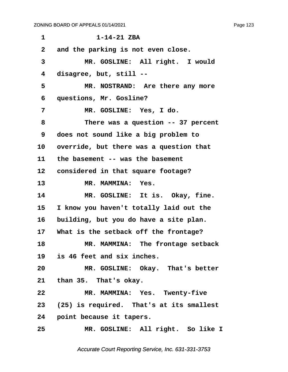**·1· · · · · · ·1-14-21 ZBA ·2· ·and the parking is not even close.** 3 MR. GOSLINE: All right. I would **·4· ·disagree, but, still --** 5 MR. NOSTRAND: Are there any more **·6· ·questions, Mr. Gosline? ·7· · · · · MR. GOSLINE:· Yes, I do. ·8· · · · · There was a question -- 37 percent ·9· ·does not sound like a big problem to** 10 override, but there was a question that 11 the basement -- was the basement 12 **considered in that square footage?** 13 MR. MAMMINA: Yes. 14 MR. GOSLINE: It is. Okay, fine. **15· ·I know you haven't totally laid out the** 16 building, but you do have a site plan. 17 What is the setback off the frontage? **18· · · · · MR. MAMMINA:· The frontage setback 19· ·is 46 feet and six inches.** 20 MR. GOSLINE: Okay. That's better 21 than 35. That's okay. 22 MR. MAMMINA: Yes. Twenty-five **23· ·(25) is required.· That's at its smallest** 24 **point because it tapers.** 25 MR. GOSLINE: All right. So like I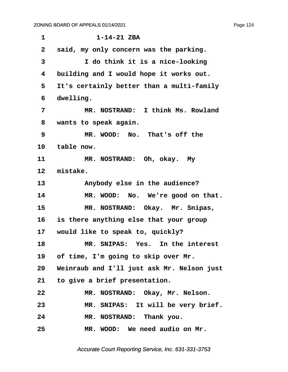| $\mathbf 1$    | $1 - 14 - 21$ ZBA                             |
|----------------|-----------------------------------------------|
| $\overline{2}$ | said, my only concern was the parking.        |
| 3              | I do think it is a nice-looking               |
| 4              | building and I would hope it works out.       |
| 5              | It's certainly better than a multi-family     |
| 6              | dwelling.                                     |
| 7              | MR. NOSTRAND: I think Ms. Rowland             |
| 8              | wants to speak again.                         |
| 9              | MR. WOOD: No. That's off the                  |
| 10             | table now.                                    |
| 11             | MR. NOSTRAND: Oh, okay. My                    |
| 12             | mistake.                                      |
| 13             | Anybody else in the audience?                 |
| 14             | MR. WOOD: No. We're good on that.             |
| 15             | MR. NOSTRAND: Okay. Mr. Snipas,               |
| 16             | is there anything else that your group        |
| 17             | would like to speak to, quickly?              |
| 18             | MR. SNIPAS: Yes. In the interest              |
| 19             | of time, I'm going to skip over Mr.           |
|                | 20 Weinraub and I'll just ask Mr. Nelson just |
|                | 21 to give a brief presentation.              |
| 22             | MR. NOSTRAND: Okay, Mr. Nelson.               |
| 23             | MR. SNIPAS: It will be very brief.            |
| 24             | MR. NOSTRAND: Thank you.                      |
| 25             | MR. WOOD: We need audio on Mr.                |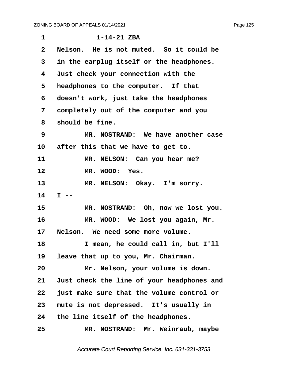| $\mathbf 1$     | $1 - 14 - 21$ ZBA                          |
|-----------------|--------------------------------------------|
| $\mathbf{2}$    | Nelson. He is not muted. So it could be    |
| 3               | in the earplug itself or the headphones.   |
| 4               | Just check your connection with the        |
| 5               | headphones to the computer. If that        |
| 6               | doesn't work, just take the headphones     |
| 7               | completely out of the computer and you     |
| 8               | should be fine.                            |
| 9               | MR. NOSTRAND: We have another case         |
| $10 \,$         | after this that we have to get to.         |
| 11              | MR. NELSON: Can you hear me?               |
| 12              | MR. WOOD: Yes.                             |
| 13              | MR. NELSON: Okay. I'm sorry.               |
| 14              | $I - -$                                    |
| 15              | MR. NOSTRAND: Oh, now we lost you.         |
| 16              | MR. WOOD: We lost you again, Mr.           |
| 17 <sub>2</sub> | Nelson. We need some more volume.          |
| 18              | I mean, he could call in, but I'll         |
| 19              | leave that up to you, Mr. Chairman.        |
| 20              | Mr. Nelson, your volume is down.           |
| 21              | Just check the line of your headphones and |
| 22              | just make sure that the volume control or  |
| 23              | mute is not depressed. It's usually in     |
| 24              | the line itself of the headphones.         |
| 25              | MR. NOSTRAND: Mr. Weinraub, maybe          |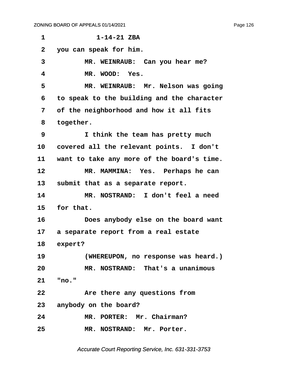| 1               | $1 - 14 - 21$ ZBA                          |
|-----------------|--------------------------------------------|
| $\mathbf{2}$    | you can speak for him.                     |
| 3               | MR. WEINRAUB: Can you hear me?             |
| 4               | MR. WOOD: Yes.                             |
| 5               | MR. WEINRAUB: Mr. Nelson was going         |
| 6               | to speak to the building and the character |
| 7               | of the neighborhood and how it all fits    |
| 8               | together.                                  |
| 9               | I think the team has pretty much           |
| 10              | covered all the relevant points. I don't   |
| 11              | want to take any more of the board's time. |
| 12              | MR. MAMMINA: Yes. Perhaps he can           |
| 13              | submit that as a separate report.          |
| 14              | MR. NOSTRAND: I don't feel a need          |
| 15              | for that.                                  |
| 16              | Does anybody else on the board want        |
| 17 <sub>2</sub> | a separate report from a real estate       |
| 18              | expert?                                    |
| 19              | (WHEREUPON, no response was heard.)        |
| 20              | MR. NOSTRAND: That's a unanimous           |
| 21              | "no."                                      |
| 22              | Are there any questions from               |
|                 | 23 anybody on the board?                   |
| 24              | MR. PORTER: Mr. Chairman?                  |
| 25              | MR. NOSTRAND: Mr. Porter.                  |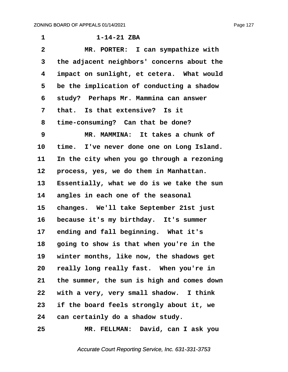| 1              | $1 - 14 - 21$ ZBA                           |
|----------------|---------------------------------------------|
| $\overline{2}$ | MR. PORTER: I can sympathize with           |
| 3              | the adjacent neighbors' concerns about the  |
| 4              | impact on sunlight, et cetera. What would   |
| 5              | be the implication of conducting a shadow   |
| 6              | study? Perhaps Mr. Mammina can answer       |
| 7              | that. Is that extensive? Is it              |
| 8              | time-consuming? Can that be done?           |
| 9              | MR. MAMMINA: It takes a chunk of            |
| 10             | time. I've never done one on Long Island.   |
| 11             | In the city when you go through a rezoning  |
| 12             | process, yes, we do them in Manhattan.      |
| 13             | Essentially, what we do is we take the sun  |
| 14             | angles in each one of the seasonal          |
| 15             | changes. We'll take September 21st just     |
| 16             | because it's my birthday. It's summer       |
| 17             | ending and fall beginning. What it's        |
| 18             | going to show is that when you're in the    |
|                | 19 winter months, like now, the shadows get |
| 20             | really long really fast. When you're in     |
| 21             | the summer, the sun is high and comes down  |
| 22             | with a very, very small shadow. I think     |
| 23             | if the board feels strongly about it, we    |
| 24             | can certainly do a shadow study.            |
|                |                                             |

**25· · · · · MR. FELLMAN:· David, can I ask you**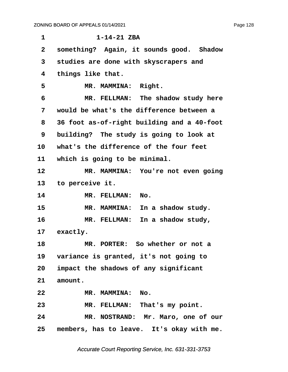**·1· · · · · · ·1-14-21 ZBA ·2· ·something?· Again, it sounds good.· Shadow ·3· ·studies are done with skyscrapers and ·4· ·things like that.** 5 **MR. MAMMINA:** Right. **·6· · · · · MR. FELLMAN:· The shadow study here ·7· ·would be what's the difference between a ·8· ·36 foot as-of-right building and a 40-foot ·9· ·building?· The study is going to look at 10· ·what's the difference of the four feet** 11 which is going to be minimal. 12 MR. MAMMINA: You're not even going 13 to perceive it. 14 MR. FELLMAN: No. 15 MR. MAMMINA: In a shadow study. 16 **MR. FELLMAN:** In a shadow study, 17 exactly. **18· · · · · MR. PORTER:· So whether or not a** 19 variance is granted, it's not going to **20· ·impact the shadows of any significant** 21 amount. **22· · · · · MR. MAMMINA:· No.** 23 MR. FELLMAN: That's my point. **24· · · · · MR. NOSTRAND:· Mr. Maro, one of our** 25 members, has to leave. It's okay with me.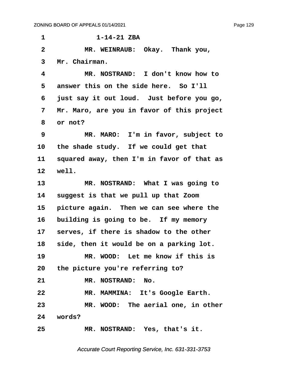**·1· · · · · · ·1-14-21 ZBA ·2· · · · · MR. WEINRAUB:· Okay.· Thank you, ·3· ·Mr. Chairman. ·4· · · · · MR. NOSTRAND:· I don't know how to** 5 answer this on the side here. So I'll **·6· ·just say it out loud.· Just before you go, ·7· ·Mr. Maro, are you in favor of this project ·8· ·or not? ·9· · · · · MR. MARO:· I'm in favor, subject to** 10 the shade study. If we could get that 11 squared away, then I'm in favor of that as **12· ·well.** 13 MR. NOSTRAND: What I was going to **14· ·suggest is that we pull up that Zoom** 15 **picture again.** Then we can see where the 16 building is going to be. If my memory 17 **serves, if there is shadow to the other** 18 side, then it would be on a parking lot. **19· · · · · MR. WOOD:· Let me know if this is 20· ·the picture you're referring to?** 21 MR. NOSTRAND: No. **22· · · · · MR. MAMMINA:· It's Google Earth. 23· · · · · MR. WOOD:· The aerial one, in other 24· ·words? 25· · · · · MR. NOSTRAND:· Yes, that's it.**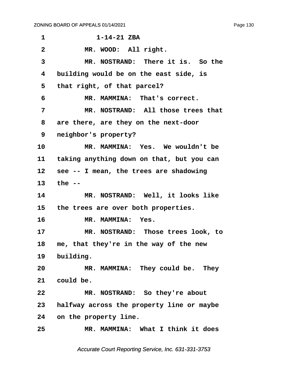| 1               | $1 - 14 - 21$ ZBA                         |
|-----------------|-------------------------------------------|
| $\mathbf{2}$    | MR. WOOD: All right.                      |
| 3               | MR. NOSTRAND: There it is. So the         |
| 4               | building would be on the east side, is    |
| 5               | that right, of that parcel?               |
| 6               | MR. MAMMINA: That's correct.              |
| 7               | MR. NOSTRAND: All those trees that        |
| 8               | are there, are they on the next-door      |
| 9               | neighbor's property?                      |
| 10              | MR. MAMMINA: Yes. We wouldn't be          |
| 11              | taking anything down on that, but you can |
| 12              | see -- I mean, the trees are shadowing    |
| 13              | the $-$                                   |
| 14              | MR. NOSTRAND: Well, it looks like         |
| 15 <sub>1</sub> | the trees are over both properties.       |
| 16              | MR. MAMMINA: Yes.                         |
| 17              | MR. NOSTRAND: Those trees look, to        |
| 18              | me, that they're in the way of the new    |
|                 | 19 building.                              |
| 20              | MR. MAMMINA: They could be. They          |
| 21              | could be.                                 |
| 22              | MR. NOSTRAND: So they're about            |
| 23              | halfway across the property line or maybe |
| 24              | on the property line.                     |
| 25              | MR. MAMMINA: What I think it does         |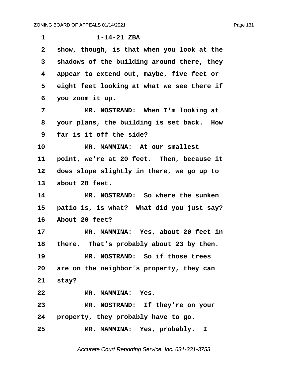| $\mathbf 1$  | $1 - 14 - 21$ ZBA                           |
|--------------|---------------------------------------------|
| $\mathbf{2}$ | show, though, is that when you look at the  |
| 3            | shadows of the building around there, they  |
| 4            | appear to extend out, maybe, five feet or   |
| 5            | eight feet looking at what we see there if  |
| 6            | you zoom it up.                             |
| 7            | MR. NOSTRAND: When I'm looking at           |
| 8            | your plans, the building is set back. How   |
| 9            | far is it off the side?                     |
| 10           | MR. MAMMINA: At our smallest                |
| 11           | point, we're at 20 feet. Then, because it   |
| 12           | does slope slightly in there, we go up to   |
| 13           | about 28 feet.                              |
| 14           | MR. NOSTRAND: So where the sunken           |
| 15           | patio is, is what? What did you just say?   |
| 16           | About 20 feet?                              |
| 17           | MR. MAMMINA: Yes, about 20 feet in          |
|              | 18 there. That's probably about 23 by then. |
| 19           | MR. NOSTRAND: So if those trees             |
|              | 20 are on the neighbor's property, they can |
|              | 21 stay?                                    |
| 22           | MR. MAMMINA: Yes.                           |
| 23           | MR. NOSTRAND: If they're on your            |
|              | 24 property, they probably have to go.      |
| 25           | MR. MAMMINA: Yes, probably. I               |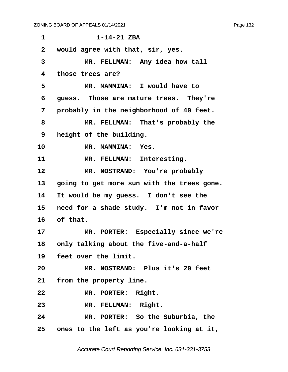**·1· · · · · · ·1-14-21 ZBA**

**·2· ·would agree with that, sir, yes.**

3 MR. FELLMAN: Any idea how tall **·4· ·those trees are? ·5· · · · · MR. MAMMINA:· I would have to ·6· ·guess.· Those are mature trees.· They're ·7· ·probably in the neighborhood of 40 feet.** 8 **\*\* \*\*\* \*\*\* \*\*\* \*\*\* \*\*\* \*\*\* \*\*\* \*\*\* \*\*\* \*\*\* \*\*\* \*\*\* \*\*\* \*\* \*\* \*\* \*\* \*\* \*\* \*\* \*\* \*\* \*\* \*\* \*\* \*\* \*\* \*\* \*\* \*\* \*\* \*\* \*\* \*\* \*\* \*\* \*\* \*\* \*\* \*\* \* ·9· ·height of the building.** 10 MR. MAMMINA: Yes. 11 MR. FELLMAN: Interesting. 12 MR. NOSTRAND: You're probably 13 **going to get more sun with the trees gone.** 14 It would be my guess. I don't see the 15 need for a shade study. I'm not in favor 16 of that. 17 MR. PORTER: Especially since we're 18 only talking about the five-and-a-half 19 **feet over the limit. 20· · · · · MR. NOSTRAND:· Plus it's 20 feet** 21 from the property line. 22 MR. PORTER: Right. 23 MR. FELLMAN: Right. **24· · · · · MR. PORTER:· So the Suburbia, the 25· ·ones to the left as you're looking at it,**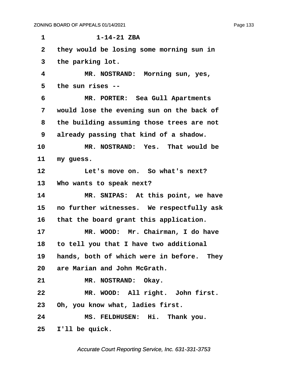**·1· · · · · · ·1-14-21 ZBA ·2· ·they would be losing some morning sun in ·3· ·the parking lot. ·4· · · · · MR. NOSTRAND:· Morning sun, yes, ·5· ·the sun rises -- ·6· · · · · MR. PORTER:· Sea Gull Apartments ·7· ·would lose the evening sun on the back of ·8· ·the building assuming those trees are not ·9· ·already passing that kind of a shadow. 10· · · · · MR. NOSTRAND:· Yes.· That would be** 11 my guess. **12· · · · · Let's move on.· So what's next?** 13 Who wants to speak next? 14 MR. SNIPAS: At this point, we have 15 **no further witnesses.** We respectfully ask 16 that the board grant this application. 17 MR. WOOD: Mr. Chairman, I do have **18· ·to tell you that I have two additional** 19 hands, both of which were in before. They **20· ·are Marian and John McGrath.** 21 MR. NOSTRAND: Okay. 22 MR. WOOD: All right. John first. 23 Oh, you know what, ladies first. 24 MS. FELDHUSEN: Hi. Thank you. **25· ·I'll be quick.**

Accurate Court Reporting Service, Inc. 631-331-3753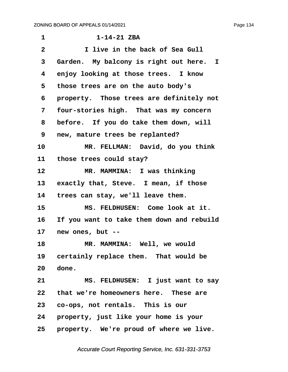**·1· · · · · · ·1-14-21 ZBA**

**·2· · · · · I live in the back of Sea Gull** 3 Garden. My balcony is right out here. I **·4· ·enjoy looking at those trees.· I know ·5· ·those trees are on the auto body's ·6· ·property.· Those trees are definitely not** 7 four-stories high. That was my concern **·8· ·before.· If you do take them down, will ·9· ·new, mature trees be replanted? 10· · · · · MR. FELLMAN:· David, do you think** 11 those trees could stay? 12 **MR. MAMMINA:** I was thinking 13 exactly that, Steve. I mean, if those 14 trees can stay, we'll leave them. 15 **MS. FELDHUSEN:** Come look at it. **16· ·If you want to take them down and rebuild 17· ·new ones, but --** 18 **MR. MAMMINA:** Well, we would 19 certainly replace them. That would be **20· ·done. 21· · · · · MS. FELDHUSEN:· I just want to say** 22 that we're homeowners here. These are **23· ·co-ops, not rentals.· This is our 24· ·property, just like your home is your** 25 **property.** We're proud of where we live.

Accurate Court Reporting Service, Inc. 631-331-3753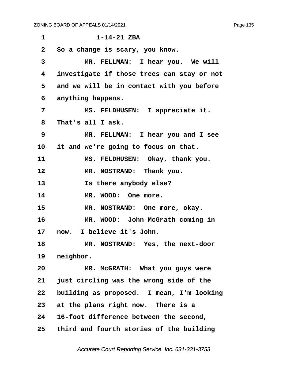| 1            | $1 - 14 - 21$ ZBA                          |
|--------------|--------------------------------------------|
| $\mathbf{2}$ | So a change is scary, you know.            |
| 3            | MR. FELLMAN: I hear you. We will           |
| 4            | investigate if those trees can stay or not |
| 5            | and we will be in contact with you before  |
| 6            | anything happens.                          |
| 7            | MS. FELDHUSEN: I appreciate it.            |
| 8            | That's all I ask.                          |
| 9            | MR. FELLMAN: I hear you and I see          |
| 10           | it and we're going to focus on that.       |
| 11           | MS. FELDHUSEN: Okay, thank you.            |
| 12           | MR. NOSTRAND: Thank you.                   |
| 13           | Is there anybody else?                     |
| 14           | MR. WOOD: One more.                        |
| 15           | MR. NOSTRAND: One more, okay.              |
| 16           | MR. WOOD: John McGrath coming in           |
| 17           | I believe it's John.<br>now.               |
| 18           | MR. NOSTRAND: Yes, the next-door           |
| 19           | neighbor.                                  |
| 20           | MR. McGRATH: What you guys were            |
| 21           | just circling was the wrong side of the    |
| 22           | building as proposed. I mean, I'm looking  |
| 23           | at the plans right now. There is a         |
| 24           | 16-foot difference between the second,     |
| 25           | third and fourth stories of the building   |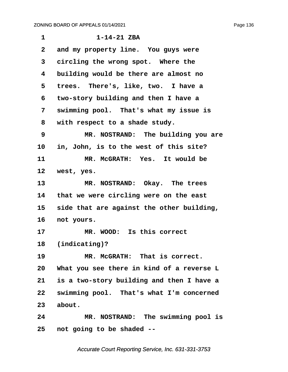| 1            | $1 - 14 - 21$ ZBA                         |
|--------------|-------------------------------------------|
| $\mathbf{2}$ | and my property line. You guys were       |
| 3            | circling the wrong spot. Where the        |
| 4            | building would be there are almost no     |
| 5            | trees. There's, like, two. I have a       |
| 6            | two-story building and then I have a      |
| 7            | swimming pool. That's what my issue is    |
| 8            | with respect to a shade study.            |
| 9            | MR. NOSTRAND: The building you are        |
| 10           | in, John, is to the west of this site?    |
| 11           | MR. MCGRATH: Yes. It would be             |
| 12           | west, yes.                                |
| 13           | MR. NOSTRAND: Okay. The trees             |
| 14           | that we were circling were on the east    |
| 15           | side that are against the other building, |
| $16 \,$      | not yours.                                |
| 17           | MR. WOOD: Is this correct                 |
| 18           | (indicating)?                             |
| 19           | MR. McGRATH: That is correct.             |
| 20           | What you see there in kind of a reverse L |
| 21           | is a two-story building and then I have a |
| 22           | swimming pool. That's what I'm concerned  |
| 23           | about.                                    |
| 24           | MR. NOSTRAND: The swimming pool is        |
| 25           | not going to be shaded --                 |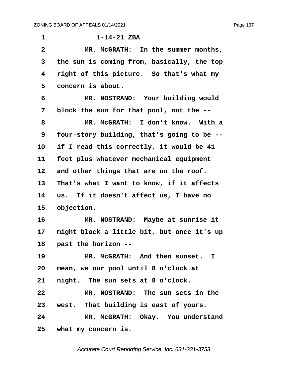**·1· · · · · · ·1-14-21 ZBA ·2· · · · · MR. McGRATH:· In the summer months, ·3· ·the sun is coming from, basically, the top ·4· ·right of this picture.· So that's what my** 5 concern is about. **·6· · · · · MR. NOSTRAND:· Your building would ·7· ·block the sun for that pool, not the -- ·8· · · · · MR. McGRATH:· I don't know.· With a ·9· ·four-story building, that's going to be --** 10 if I read this correctly, it would be 41 11 feet plus whatever mechanical equipment 12 and other things that are on the roof. **13· ·That's what I want to know, if it affects 14· ·us.· If it doesn't affect us, I have no** 15 objection. **16· · · · · MR. NOSTRAND:· Maybe at sunrise it** 17 might block a little bit, but once it's up **18· ·past the horizon -- 19· · · · · MR. McGRATH:· And then sunset. I 20· ·mean, we our pool until 8 o'clock at** 21 **night.** The sun sets at 8 o'clock. **22· · · · · MR. NOSTRAND:· The sun sets in the** 23 west. That building is east of yours. 24 MR. McGRATH: Okay. You understand **25· ·what my concern is.**

Accurate Court Reporting Service, Inc. 631-331-3753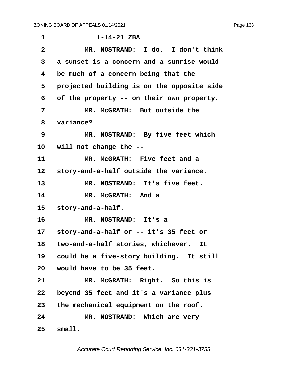| 1               | $1 - 14 - 21$ ZBA                          |
|-----------------|--------------------------------------------|
| $\mathbf{2}$    | MR. NOSTRAND: I do. I don't think          |
| 3               | a sunset is a concern and a sunrise would  |
| 4               | be much of a concern being that the        |
| 5               | projected building is on the opposite side |
| 6               | of the property -- on their own property.  |
| 7               | MR. MCGRATH: But outside the               |
| 8               | variance?                                  |
| 9               | MR. NOSTRAND: By five feet which           |
| 10 <sub>1</sub> | will not change the --                     |
| 11              | MR. MCGRATH: Five feet and a               |
| 12 <sub>2</sub> | story-and-a-half outside the variance.     |
| 13              | MR. NOSTRAND: It's five feet.              |
| 14              | MR. MCGRATH: And a                         |
| 15              | story-and-a-half.                          |
| 16              | MR. NOSTRAND: It's a                       |
| 17 <sub>2</sub> | story-and-a-half or -- it's 35 feet or     |
| 18              | two-and-a-half stories, whichever. It      |
| 19              | could be a five-story building. It still   |
|                 | 20 would have to be 35 feet.               |
| 21              | MR. McGRATH: Right. So this is             |
| 22              | beyond 35 feet and it's a variance plus    |
| 23 <sub>2</sub> | the mechanical equipment on the roof.      |
| 24              | MR. NOSTRAND: Which are very               |
| 25              | small.                                     |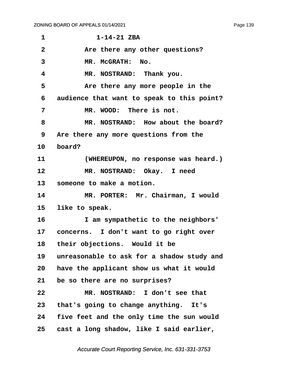**·1· · · · · · ·1-14-21 ZBA** 2 **are there any other questions?** 3 MR. McGRATH: No. **·4· · · · · MR. NOSTRAND:· Thank you. ·5· · · · · Are there any more people in the ·6· ·audience that want to speak to this point? ·7· · · · · MR. WOOD:· There is not. ·8· · · · · MR. NOSTRAND:· How about the board? ·9· ·Are there any more questions from the** 10 **board?** 11 *(WHEREUPON, no response was heard.)* 12 **MR. NOSTRAND:** Okay. I need 13 **· someone to make a motion.** 14 MR. PORTER: Mr. Chairman, I would 15 like to speak. **16· · · · · I am sympathetic to the neighbors'** 17 concerns. I don't want to go right over 18 their objections. Would it be **19· ·unreasonable to ask for a shadow study and 20· ·have the applicant show us what it would 21· ·be so there are no surprises? 22· · · · · MR. NOSTRAND:· I don't see that** 23 that's going to change anything. It's **24· ·five feet and the only time the sun would 25· ·cast a long shadow, like I said earlier,**

Accurate Court Reporting Service, Inc. 631-331-3753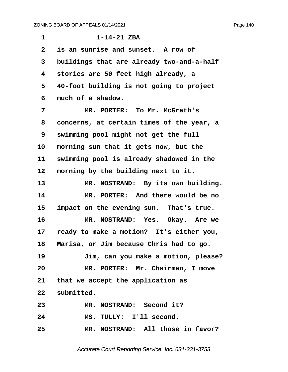| 1            | $1 - 14 - 21$ ZBA                          |
|--------------|--------------------------------------------|
| $\mathbf{2}$ | is an sunrise and sunset. A row of         |
| 3            | buildings that are already two-and-a-half  |
| 4            | stories are 50 feet high already, a        |
| 5            | 40-foot building is not going to project   |
| 6            | much of a shadow.                          |
| 7            | MR. PORTER: To Mr. McGrath's               |
| 8            | concerns, at certain times of the year, a  |
| 9            | swimming pool might not get the full       |
| 10           | morning sun that it gets now, but the      |
| 11           | swimming pool is already shadowed in the   |
| 12           | morning by the building next to it.        |
| 13           | MR. NOSTRAND: By its own building.         |
| 14           | MR. PORTER: And there would be no          |
| 15           | impact on the evening sun. That's true.    |
| 16           | MR. NOSTRAND: Yes. Okay. Are we            |
| 17           | ready to make a motion? It's either you,   |
|              | 18 Marisa, or Jim because Chris had to go. |
| 19           | Jim, can you make a motion, please?        |
| 20           | MR. PORTER: Mr. Chairman, I move           |
|              | 21 that we accept the application as       |
|              | 22 submitted.                              |
| 23           | MR. NOSTRAND: Second it?                   |
| 24           | MS. TULLY: I'll second.                    |
| 25           | MR. NOSTRAND: All those in favor?          |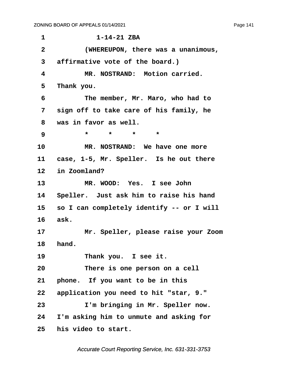**·1· · · · · · ·1-14-21 ZBA ·2· · · · · (WHEREUPON, there was a unanimous, ·3· ·affirmative vote of the board.) ·4· · · · · MR. NOSTRAND:· Motion carried.** 5 Thank you. **·6· · · · · The member, Mr. Maro, who had to ·7· ·sign off to take care of his family, he ·8· ·was in favor as well. ·9· · · · · \*· · ·\*· · ·\*· · ·\*** 10 MR. NOSTRAND: We have one more 11 case, 1-5, Mr. Speller. Is he out there 12 in Zoomland? 13 **MR. WOOD:** Yes. I see John 14 Speller. Just ask him to raise his hand 15 so I can completely identify -- or I will 16 ask. **17· · · · · Mr. Speller, please raise your Zoom** 18 **hand**. 19 **Thank you.** I see it. **20· · · · · There is one person on a cell** 21 **phone.** If you want to be in this **22· ·application you need to hit "star, 9." 23· · · · · I'm bringing in Mr. Speller now. 24· ·I'm asking him to unmute and asking for 25· ·his video to start.**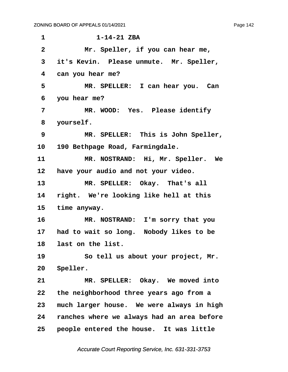| $\mathbf 1$     | $1 - 14 - 21$ ZBA                          |
|-----------------|--------------------------------------------|
| $\mathbf{2}$    | Mr. Speller, if you can hear me,           |
| 3               | it's Kevin. Please unmute. Mr. Speller,    |
| 4               | can you hear me?                           |
| 5               | MR. SPELLER: I can hear you. Can           |
| 6               | you hear me?                               |
| 7               | MR. WOOD: Yes. Please identify             |
| 8               | yourself.                                  |
| 9               | MR. SPELLER: This is John Speller,         |
| 10              | 190 Bethpage Road, Farmingdale.            |
| 11              | MR. NOSTRAND: Hi, Mr. Speller. We          |
| 12              | have your audio and not your video.        |
| 13 <sub>2</sub> | MR. SPELLER: Okay. That's all              |
| 14              | right. We're looking like hell at this     |
| 15              | time anyway.                               |
| 16              | MR. NOSTRAND: I'm sorry that you           |
| 17              | had to wait so long. Nobody likes to be    |
| 18              | last on the list.                          |
| 19              | So tell us about your project, Mr.         |
| 20              | Speller.                                   |
| 21              | MR. SPELLER: Okay. We moved into           |
| 22              | the neighborhood three years ago from a    |
| 23              | much larger house. We were always in high  |
| 24              | ranches where we always had an area before |
| 25              | people entered the house. It was little    |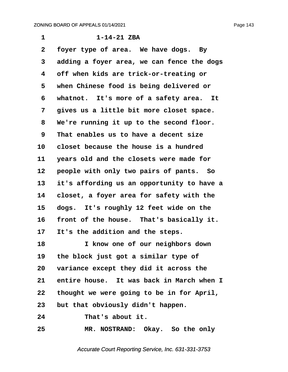| 1  | $1 - 14 - 21$ ZBA                          |
|----|--------------------------------------------|
| 2  | foyer type of area. We have dogs. By       |
| 3  | adding a foyer area, we can fence the dogs |
| 4  | off when kids are trick-or-treating or     |
| 5  | when Chinese food is being delivered or    |
| 6  | whatnot. It's more of a safety area. It    |
| 7  | gives us a little bit more closet space.   |
| 8  | We're running it up to the second floor.   |
| 9  | That enables us to have a decent size      |
| 10 | closet because the house is a hundred      |
| 11 | years old and the closets were made for    |
| 12 | people with only two pairs of pants. So    |
| 13 | it's affording us an opportunity to have a |
| 14 | closet, a foyer area for safety with the   |
| 15 | dogs. It's roughly 12 feet wide on the     |
| 16 | front of the house. That's basically it.   |
| 17 | It's the addition and the steps.           |
| 18 | I know one of our neighbors down           |
| 19 | the block just got a similar type of       |
| 20 | variance except they did it across the     |
| 21 | entire house. It was back in March when I  |
| 22 | thought we were going to be in for April,  |
| 23 | but that obviously didn't happen.          |
| 24 | That's about it.                           |
| 25 | MR. NOSTRAND: Okay. So the only            |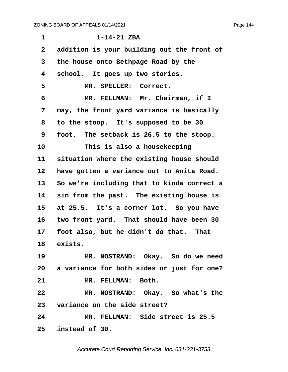<span id="page-144-0"></span>**·1· · · · · · ·1-14-21 ZBA ·2· ·addition is your building out the front of ·3· ·the house onto Bethpage Road by the ·4· ·school.· It goes up two stories.** 5 MR. SPELLER: Correct. **·6· · · · · MR. FELLMAN:· Mr. Chairman, if I ·7· ·may, the front yard variance is basically ·8· ·to the stoop.· It's supposed to be 30 ·9· ·foot.· The setback is 26.5 to the stoop. 10· · · · · This is also a housekeeping** 11 situation where the existing house should 12 have gotten a variance out to Anita Road. **13· ·So we're including that to kinda correct a** 14 sin from the past. The existing house is 15 at 25.5. It's a corner lot. So you have 16 two front yard. That should have been 30 17 foot also, but he didn't do that. That 18 exists. **19· · · · · MR. NOSTRAND:· Okay.· So do we need 20· ·a variance for both sides or just for one?** 21 MR. FELLMAN: Both. **22· · · · · MR. NOSTRAND:· Okay.· So what's the 23· ·variance on the side street? 24· · · · · MR. FELLMAN:· Side street is 25.5 25· ·instead of 30.**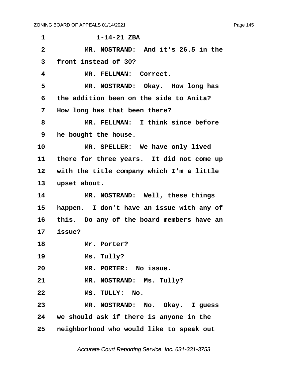<span id="page-145-0"></span>

| 1                 | $1 - 14 - 21$ ZBA                          |
|-------------------|--------------------------------------------|
| $\overline{2}$    | MR. NOSTRAND: And it's 26.5 in the         |
| 3                 | front instead of 30?                       |
| 4                 | MR. FELLMAN: Correct.                      |
| 5                 | MR. NOSTRAND: Okay. How long has           |
| 6                 | the addition been on the side to Anita?    |
| 7                 | How long has that been there?              |
| 8                 | MR. FELLMAN: I think since before          |
| 9                 | he bought the house.                       |
| 10                | MR. SPELLER: We have only lived            |
| 11                | there for three years. It did not come up  |
| $12 \overline{ }$ | with the title company which I'm a little  |
| 13                | upset about.                               |
| 14                | MR. NOSTRAND: Well, these things           |
| 15                | happen. I don't have an issue with any of  |
| 16                | this. Do any of the board members have an  |
| 17                | issue?                                     |
| 18                | Mr. Porter?                                |
| 19                | Ms. Tully?                                 |
| 20                | MR. PORTER: No issue.                      |
| 21                | MR. NOSTRAND: Ms. Tully?                   |
| 22                | MS. TULLY: No.                             |
| 23                | MR. NOSTRAND: No. Okay. I guess            |
|                   | 24 we should ask if there is anyone in the |
| 25                | neighborhood who would like to speak out   |

Accurate Court Reporting Service, Inc. 631-331-3753

Page 145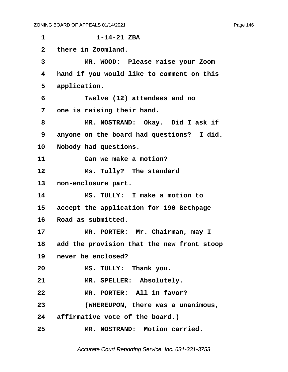<span id="page-146-0"></span>**·1· · · · · · ·1-14-21 ZBA ·2· ·there in Zoomland. ·3· · · · · MR. WOOD:· Please raise your Zoom ·4· ·hand if you would like to comment on this** 5 application. **·6· · · · · Twelve (12) attendees and no ·7· ·one is raising their hand. ·8· · · · · MR. NOSTRAND:· Okay.· Did I ask if ·9· ·anyone on the board had questions?· I did.** 10 Nobody had questions. 11 **Can we make a motion?** 12 **Ms. Tully?** The standard 13 **non-enclosure part. 14· · · · · MS. TULLY:· I make a motion to** 15 accept the application for 190 Bethpage 16 Road as submitted. 17 MR. PORTER: Mr. Chairman, may I **18· ·add the provision that the new front stoop** 19 never be enclosed? **20· · · · · MS. TULLY:· Thank you.** 21 MR. SPELLER: Absolutely. **22· · · · · MR. PORTER:· All in favor? 23· · · · · (WHEREUPON, there was a unanimous,** 24 affirmative vote of the board.) **25· · · · · MR. NOSTRAND:· Motion carried.**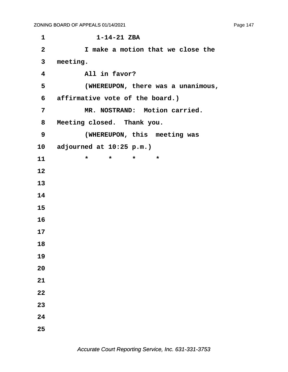**·1· · · · · · ·1-14-21 ZBA ·2· · · · · I make a motion that we close the ·3· ·meeting. ·4· · · · · All in favor? ·5· · · · · (WHEREUPON, there was a unanimous, ·6· ·affirmative vote of the board.)** 7 MR. NOSTRAND: Motion carried. **·8· ·Meeting closed.· Thank you. ·9· · · · · (WHEREUPON, this· meeting was 10· ·adjourned at 10:25 p.m.) 11** \* \* \* \* **12 13 14 15 16 17 18 19 20 21 22 23 24 25**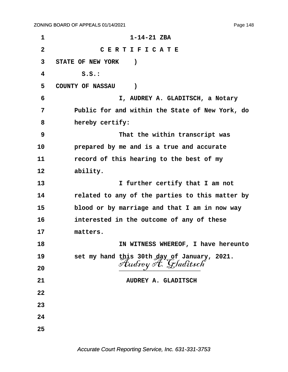Page 148

| $\mathbf 1$  | $1 - 14 - 21$ ZBA                               |
|--------------|-------------------------------------------------|
| $\mathbf{2}$ | CERTIFICATE                                     |
| 3            | <b>STATE OF NEW YORK</b><br>$\lambda$           |
| 4            | S.S.:                                           |
| 5            | <b>COUNTY OF NASSAU</b><br>$\lambda$            |
| 6            | I, AUDREY A. GLADITSCH, a Notary                |
| 7            | Public for and within the State of New York, do |
| 8            | hereby certify:                                 |
| 9            | That the within transcript was                  |
| 10           | prepared by me and is a true and accurate       |
| 11           | record of this hearing to the best of my        |
| 12           | ability.                                        |
| 13           | I further certify that I am not                 |
| 14           | related to any of the parties to this matter by |
| 15           | blood or by marriage and that I am in now way   |
| 16           | interested in the outcome of any of these       |
| 17           | matters.                                        |
| 18           | IN WITNESS WHEREOF, I have hereunto             |
| 19           | set my hand this 30th day of January, 2021.     |
| 20           | Audrey A. Gladitsch                             |
| 21           | AUDREY A. GLADITSCH                             |
| 22           |                                                 |
| 23           |                                                 |
| 24           |                                                 |
| 25           |                                                 |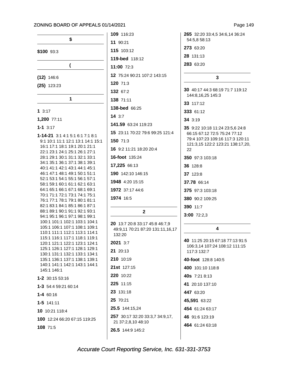|                                                                | 109 11            |
|----------------------------------------------------------------|-------------------|
| \$                                                             | 11 90:            |
| \$100 93:3                                                     | 115 10            |
|                                                                | 119-be            |
| (                                                              | 11:00             |
| $(12)$ 146:6                                                   | 12 75:            |
| $(25)$ 123:23                                                  | 120 71            |
|                                                                | 132 67            |
| 1                                                              | 138 71            |
| 13:17                                                          | 138-be            |
| 1,200 77:11                                                    | 14 3:7            |
| $1 - 1$ 3:17                                                   | 141.59            |
| 1-14-21 3:1 4:1 5:1 6:1 7:1 8:1                                | 15 23:            |
| 9:1 10:1 11:1 12:1 13:1 14:1 15:1                              | 150 71            |
| 16:1 17:1 18:1 19:1 20:1 21:1<br>22:1 23:1 24:1 25:1 26:1 27:1 | 16 9:2            |
| 28:1 29:1 30:1 31:1 32:1 33:1                                  | 16-foo            |
| 34:1 35:1 36:1 37:1 38:1 39:1<br>40:1 41:1 42:1 43:1 44:1 45:1 | 17,225            |
| 46:1 47:1 48:1 49:1 50:1 51:1                                  | 190 14            |
| 52:1 53:1 54:1 55:1 56:1 57:1<br>58:1 59:1 60:1 61:1 62:1 63:1 | 1948              |
| 64:1 65:1 66:1 67:1 68:1 69:1                                  | 1972 3            |
| 70:1 71:1 72:1 73:1 74:1 75:1<br>76:1 77:1 78:1 79:1 80:1 81:1 | 1974 $\cdot$      |
| 82:1 83:1 84:1 85:1 86:1 87:1                                  |                   |
| 88:1 89:1 90:1 91:1 92:1 93:1<br>94:1 95:1 96:1 97:1 98:1 99:1 |                   |
| 100:1 101:1 102:1 103:1 104:1<br>105:1 106:1 107:1 108:1 109:1 | 20 13:            |
| 110:1 111:1 112:1 113:1 114:1                                  | 49:9,1<br>132:2   |
| 115:1 116:1 117:1 118:1 119:1<br>120:1 121:1 122:1 123:1 124:1 | 2021              |
| 125:1 126:1 127:1 128:1 129:1                                  | 21 20:            |
| 130:1 131:1 132:1 133:1 134:1<br>135:1 136:1 137:1 138:1 139:1 | 21010             |
| 140:1 141:1 142:1 143:1 144:1                                  | <b>21st</b> 1     |
| 145:1 146:1                                                    | 22011             |
| 1-2 30:15 53:16                                                | 225 11            |
| <b>1-3</b> 54:4 59:21 60:14                                    | 23 131            |
| $1 - 4 60:16$                                                  | 25 70:            |
| $1 - 5$ 141:11                                                 | 25.5 <sub>1</sub> |
| 10 10:21 118:4                                                 | 257 30            |
| 100 12:24 66:20 67:15 119:25                                   | 21 37             |
| 108 71:5                                                       | 26.5 <sub>1</sub> |

21  $3:12$ ed 118:12  $72:3$ 24 90:21 107:2 143:15 l:3  $7:2$  $1:11$ **d** 66:25 63:24 119:23 11 70:22 79:6 99:25 121:4  $:3$ 11:21 18:20 20:4  $t$  135:24 66:13 42:10 146:15 4:20 15:15 37:17 44:6 16:5  $\overline{2}$ :7 20:8 33:17 45:8 46:7,9 11 70:21 87:20 131:11,16,17  $\overline{0}$  $3:7$  $13$  $0:19$  $27:15$  $0:22$  $1:15$  $1:18$ 21 44:15,24 0:17 32:20 33:3,7 34:9,17, :2,8,10 48:10 44:9 145:2

 $6:23$ 

Page 149

265 32:20 33:4,5 34:6,14 36:24 54:5.8 58:13 273 63:20

28 131:13

283 63:20

### $\mathbf{3}$

30 40:17 44:3 68:19 71:7 119:12 144:8,16,25 145:3

33 117:12

333 61:12

34 3:19

35 9:22 10:18 11:24 23:5,6 24:8 66:15 67:12 72:5 75:24 77:12 79:4 107:23 109:16 117:3 120:11 121:3,15 122:2 123:21 138:17,20, 22 350 97:3 103:18 36 128:8 37 123:8 37.78 66:14 375 97:3 103:18 380 90:2 109:25

390 11:7

3:00 72:2,3

### $\overline{\mathbf{A}}$

40 11:25 20:15 67:18 77:13 91:5 106:3,14 107:24 108:12 111:15 117:3 132:7 40-foot 128:8 140:5 400 101:10 118:8 40s 7:21 8:13 41 20:10 137:10 447 63:20 45,591 63:22 454 61:24 63:17 46 91:6 123:19 464 61:24 63:18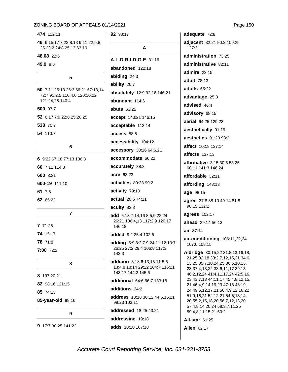474 112:11

48 6:15,17 7:23 8:13 9:11 22:5,8, 25 23:2 24:8 25:13 63:19

48.08 22:6

49.9 8:6

### 5

50 7:11 25:13 26:3 66:21 67:13,14 72:7 91:2,5 110:4,6 120:10,22 121:24,25 140:4 500 97:7 52 6:17 7:9 22:8 25:20,25 538 70:7 54 110:7 6 6 9:22 67:18 77:13 106:3 60 7:11 114:8 600 3:21 600-19 111:10 61 7:5 62 65:22  $\overline{7}$ 7 71:25 74 15:17 78 71:8

7:00 72:2

8 137:20,21 82 98:16 121:15 85 74:13 85-year-old 98:16

8

 $\mathbf{Q}$ 

9 17:7 30:25 141:22

# 92 98:17  $\mathbf{A}$ A-L-D-R-I-D-G-E 31:16 abandoned 122:18 abiding 24:3 ability 26:7 absolutely 12:9 92:16 146:21 abundant 114:6 **abuts 63:25** accept 140:21 146:15 acceptable 113:14 access 88:5 accessibility 104:12 accessory 30:16 64:6,21 accommodate 66:22 accurately 38:3 acre 63:23 activities 80:23 99:2 activity 79:13 actual 20:6 74:11 acuity 82:3 add 6:13 7:14,16 8:5,9 22:24 26:21 106:4,13 117:2,9 120:17 146:18 added 9:2 25:4 102:6 adding 5:9 8:2,7 9:24 11:12 13:7 26:25 27:2 29:4 106:8 117:3  $143:3$ addition 3:18 6:13,18 11:5,6 13:4,8 18:14 29:22 104:7 116:21 143:17 144:2 145:6 additional 64:6 66:7 133:18 additions 24:2

address 18:18 36:12 44:5,16,21 99:23 103:11

addressed 18:25 43:21

addressing 19:18

adds 10:20 107:18

adequate 72:8 adjacent 32:21 90:2 109:25  $127:3$ administration 73:25 administrative 82:11 admire 22:15 adult 78:13 adults 65:22 advantage 25:3 advised 46:4 advisory 68:15 aerial 64:25 129:23 aesthetically 91:19 aesthetics 91:20 93:2 affect 102:8 137:14 **affects** 137:13 affirmative 3:15 30:6 53:25 60:11 141:3 146:24 affordable 32:11 affording 143:13 age 98:15 agree 27:8 38:10 49:14 81:8 90:15 132:2 agrees 102:17 ahead 29:14 56:13 air 87:14 air-conditioning 106:11,22,24 107:6 108:15 Aldridge 30:15,22 31:8,13,16,18, 21,25 32:18 33:2,7,12,15,21 34:6, 13,25 35:7,10,24,25 36:5,10,13, 23 37:4,13,22 38:6,11,17 39:13 40:2,12,24 41:4,11,17,24 42:5,16, 23 43:7,13 44:11,17 45:4,8,12,15, 21 46:4,9,14,19,23 47:18 48:19, 24 49:6,12,17,21 50:4,9,12,16,22 51:9,16,21 52:12,21 54:5,13,14, 20 55:2,15,18,20 56:7,12,13,20 57:4,8,14,20,24 58:3,7,11,25 59:4,8,11,15,21 60:2 **All-star 61:25** 

**Allen 62:17**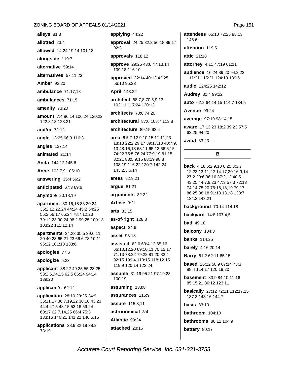alleys 81:3

allotted 23:4

allowed 14:24 19:14 101:18

alongside 119:7

alternative 59:14

alternatives 57:11,23

**Amber** 92:20

ambulance 71:17,18

ambulances 71:15

amenity 73:20

amount 7:4 86:14 106:24 120:22 122:8.13 128:21

and/or  $72:12$ 

angle 13:25 66:3 116:3

angles 127:14

animated 21:14

Anita 144:12 145:6

Anne 103:7,9 105:10

answering 35:4 56:2

anticipated 67:3 69:6

anymore 20:18,19

apartment 30:16,18 33:20,24 35:2,12,22,24 44:24 45:2 54:25 55:2 56:17 65:24 78:7,12,23 79:12,23 90:24 98:2 99:25 100:13 103:22 111:12,14

apartments 34:23 35:5 39:6,11, 20 40:23 65:21,23 66:6 78:10,11 96:22 101:13 133:6

apologies 77:6

apologize 5:23

applicant 38:22 49:25 55:23,25 58:2 61:4,15 62:5 66:24 94:14 139:20

applicant's 62:12

**application** 28:10 29:25 34:9 35:11,17 36:7,19,22 38:18 43:23 44:4 47:5 48:15 53:16 59:24 60:17 62:7,14,25 66:4 75:3 133:16 140:21 141:22 146:5,15

applications 28:9 32:19 38:2 78:19

applying 44:22

approval 24:25 32:2 56:18 89:17  $92.3$ 

approvals 118:12

approve 29:25 43:6 47:13,14 109:18 116:10

approved 32:14 40:13 42:25 56:10 95:23

**April 143:22** 

architect 68:7,8 70:6,9,13 102:11 117:24 120:13

architects 70:6 74:20

architectural 87:6 108:7 113:8

architecture 89:15 92:4

area 6:5 7:12 9:10,15 11:11,23 18:18 22:2 29:17 39:17,18 40:7,9, 13 48:16,18 63:11 65:12 66:6,15 74:22 75:5 76:24 77:9,19 81:15 82:21 83:5,9,15 88:19 98:8 108:19 116:22 120:7 142:24 143:2,3,6,14

areas 8:19,21

argue 81:21

arguments 32:22

Article 3:21

arts 83:15

as-of-right 128:8

aspect 24:6

asset 93:18

**assisted** 62:6 63:4,12 65:16 66:10.12.20 69:10.11 70:15.17 71:13 78:22 79:22 81:20 82:4 92:15 109:4 113:15 118:12,15 119:9 120:14 122:24

assume 31:19 95:21 97:19,23 100:19

assuming 133:8

assurances 115:9

assure 115:8.11

astronomical 8:4

Atlantic 99:24

attached 28:16

attendees 65:10 72:25 85:13 146:6

attention 119:5

attic 21:18

attorney 4:11 47:19 61:11

audience 16:24 89:20 94:2,23 111:21 115:21 124:13 139:6

audio 124:25 142:12

Audrey 31:4 99:22

auto 62:2 64:14,15 114:7 134:5

Avenue 99:24

average 97:19 98:14,15

aware 17:13,23 18:2 39:23 57:5 62:25 94:20

awful  $33:23$ 

#### B

back 4:18 5:2.9.10 6:25 8:3.7 12:23 13:11,22 14:17,20 16:9,14 27:2 29:6 36:16 37:2,12 40:5 43:25 44:7,9,23 47:3 57:3 72:13 74:14 75:20 76:16,18,19 79:17 86:25 88:18 91:13 131:8 133:7 134:2 143:21

background 70:14 114:18

backyard 14:8 107:4,5

**bad** 49:10

balcony 134:3

**banks** 114:25

**barely** 4:16 20:14

Barry 61:2 62:11 65:15

based 26:22 58:9 67:14 73:3 88:4 114:17 120:19,20

**basement** 83:9 84:10,11,16 85:15,21 86:12 123:11

basically 27:12 72:11 112:17,25 137:3 143:16 144:7

basis  $83:19$ 

bathroom 104:10

**bathrooms** 88:12 104:9

battery 80:17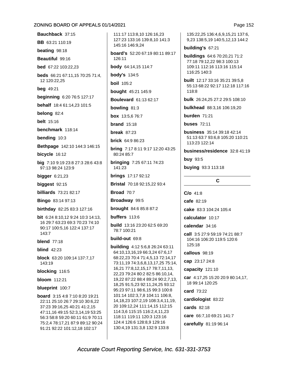Bauchback 37:15

**BB** 63:21 110:19

beating 98:18

Beautiful 99:16

bed 67:22 103:22.23

beds 66:21 67:11,15 70:25 71:4, 12 120:22,25

**beg** 49:21

**beginning** 6:20 76:5 127:17

behalf 18:4 61:14,23 101:5

belong 82:4

**belt** 15:16

benchmark 118:14

bending 10:3

Bethpage 142:10 144:3 146:15

bicycle 16:12

big 7:10 9:19 23:8 27:3 28:6 43:8 97:13 98:24 123:9

bigger  $6:21,23$ 

biggest  $92:15$ 

**billiards** 73:21 82:17

**Bingo** 83:14 97:13

birthday 82:25 83:3 127:16

**bit** 6:24 8:10.12 9:24 10:3 14:13. 16 29:7 63:23 69:3 70:23 74:10 90:17 100:5,16 122:4 137:17 143:7

**blend** 77:18

blind  $42.23$ 

block 63:20 109:14 137:7,17 143:19

blocking 116:5

**bloom** 112:21

blueprint 100:7

**board**  $3:154:87:108:2019:21$ 22:11 25:10 26:7 29:10 30:6.22 37:23 39:16,25 40:21 41:2,15 47:11,16 49:15 52:3,14,19 53:25 56:3 58:8 59:20 60:11 61:9 70:11 75:2,4 78:17,21 87:9 89:12 90:24 91:21 92:22 101:12,18 102:17

111:17 113:8.10 126:16.23 127:23 133:16 139:8.10 141:3 145:16 146:9.24

board's 52:20 67:19 80:11 89:17  $126.11$ body 64:14,15 114:7

**body's 134:5** 

**boil** 105:2

bought 45:21 145:9

**Boulevard** 61:13 62:17

bowling 81:3

box 13:5,6 76:7

**brand**  $15:18$ 

break  $87:23$ 

**brick** 64:9 86:23

bring 7:17 8:11 9:17 12:20 43:25 80:24 85:7

**bringing 7:25 67:11 74:23** 141:23

**brings** 17:17 92:12

Bristal 70:18 92:15,22 93:4

**Broad 70:7** 

Broadway 99:5

brought 84:6 85:8 87:2

buffers  $113:6$ 

**build** 13:16 23:20 62:5 69:20 78:7 100:21

build-out 69:8

building 4:12 5:6,8 26:24 63:11 64:10,13,16,19 66:3,24 67:6,17 68:22,23 70:4 71:4,5,13 72:14,17 73:11,19 74:3,6,8,13,17,25 75:14, 16,21 77:8,12,15,17 78:7,11,13, 22,23 79:24 80:2 82:5 86:10,14, 19,22 87:22 88:4 89:24 90:2,7,13, 18,25 91:5,23 92:11,24,25 93:12 95:23 97:11 98:6,15 99:3 100:8 101:14 102:3,7,8 104:11 106:8, 14, 18, 23 107: 2, 19 108: 3, 4, 11, 19, 20 109:12,24 111:14,15 112:15 114:3,6 115:15 116:2,4,11,23 118:11 119:11 120:3 123:16 124:4 126:6 128:8,9 129:16 130:4,19 131:3,8 132:9 133:8

135:22,25 136:4,6,9,15,21 137:6, 9,23 138:5,19 140:5,12,13 144:2

### building's 67:21

buildings 64:6 70:20,21 71:2 77:18 79:12,22 98:3 100:13 109:11 112:16 113:16 115:14 116:25 140:3

built 12:17 33:16 35:21 39:5,8 55:13 68:22 92:17 112:18 117:16 118:8

bulk 26:24,25 27:2 29:5 108:10

**bulkhead** 88:3,16 106:19,20

burden  $71:21$ 

**buses** 72:11

business 35:14 39:18 42:14 51:13 63:7 93:6,8 105:20 110:21 113:23 122:14

business/residence 32:8 41:19

**buy 93:5** 

buying 93:3 113:18

C

 $C/O$  41:8

cafe 82:19

cake 83:3 104:24 105:4

calculator 10:17

calendar 34:16

call 3:5 27:9 59:19 74:21 88:7 104:16 106:20 119:5 120:6  $125.18$ 

callous 98:19

cap 23:17 24:8

capacity 121:10

car 4:17,25 15:20 20:9 80:14,17, 18 99:14 120:25

card 73:22

cardiologist 83:22

cards 82:18

care 66:7,10 69:21 141:7

carefully 81:19 96:14

Accurate Court Reporting Service, Inc. 631-331-3753

Page 152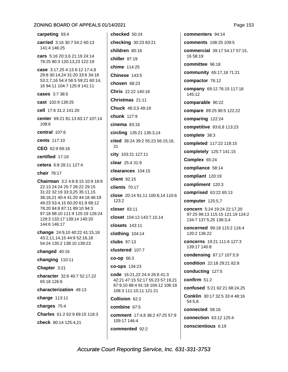carpeting 93:4 carried 3:16 30:7 54:2 60:13 141:4 146:25

cars 5:16 20:3,6 21:19 24:14 78:25 80:3 120:13,23 122:19

case 3:17.25 4:13 6:12 17:4.8 29:8 30:14,24 31:20 33:6 34:18 53:2,7,16 54:4 56:5 59:21 60:14, 16 94:11 104:7 125:9 141:11

cases 3:7 38:5

cast 102:9 139:25

cell 17:6 31:2 141:20

center 69:21 81:13 83:17 107:14 108:6

central 107:6

cents 117:10

CEO 62:9 69:16

certified 17:19

cetera 6:8 28:11 127:4

chair 78:17

Chairman 3:2 4:8 8:15 10:9 18:9 22:13 24:24 25:7 26:22 29:15 31:22 32:19 33:3,25 35:11,15 38:18,21 40:4 41:20 44:18 46:19 49:23 53:4,15 60:20 61:9 68:12 78:20 84:8 87:11 89:10 94:3 97:18 98:10 111:9 125:19 126:24 129:3 133:17 139:14 140:20 144:6 146:17

change 24:9,10 40:22 41:15,18 43:2,11,14,15 44:9 52:16,18 54:24 135:2 138:10 139:23

changed 40:16

changing 110:11

Chapter 3:21

character 32:6 40:7 52:17,22 65:18 126:6

characterization 49:13

charge 113:11

charges 75:4

Charles 61:2 62:9 69:15 118:3

check 80:14 125:4,21

checked 50:24 checking 30:23 83:21 children 80:16 chiller 87:19 chime 114:25 Chinese 143:5 chosen 68:23 Chris 22:22 140:18 Christmas 21:11 Chuck 48:3.5 49:19 **chunk** 127:9  $cinema$  83:16 circling 135:21 136:3,14 cited 38:24 39:2 55:23 56:15,16, 21 city 103:21 127:11 clear 25:4 31:9 clearances 104:15 client 92:15 clients  $70:17$ close 20:14 91:11 100:8,14 110:6  $123:2$ closer 83:11 closet 104:13 143:7,10,14 closets 143:11 clothing 104:14 **clubs** 97:13 clustered 107:7 **co-op 66:3** co-ops 134:23 code 16:21,22 24:4 26:8 41:3 42:21 47:15 52:17 55:23 57:19.21 67:9.10 88:4 91:18 104:12 106:18 108:3 111:10,11 121:21 Collision 62:2 combine 67:5 comment 17:4.8 38:2 47:25 57:9 109:17 146:4

commented 92:2

commenters 94:14 comments 108:25 109:5 commercial 39:17 54:17 57:15. 16 58:19 committee 96:18 community 65:17,18 71:21 compactor 76:12 company 69:12 76:15 117:18 145:12 comparable 90:22 compare 89:25 90:5 122:22 comparing 122:24 competitive 93:6,8 113:23 complete 38:3 completed 117:22 118:15 completely 125:7 141:15 Complex 65:24 compliance 58:14 compliant 120:19 compliment 120:3 comprised 63:22 65:13 computer 125:5,7 concern 5:24 19:24 22:17,20 97:25 99:13 115:15 121:19 124:2 134:7 137:5,25 138:3,4 concerned 99:18 115:2 116:4 120:2 136:22 concerns 19:21 111:6 127:3 139:17 140:8 condensing 87:17 107:5,9 condition 22:18 29:21 82:8 conducting 127:5 confirm  $51:2$ confused 5:21 62:21 68:24,25 Conklin 30:17 32:5 33:4 48:16 54:5.8 connected 58:16 connection 63:12 125:4 conscientious 6:19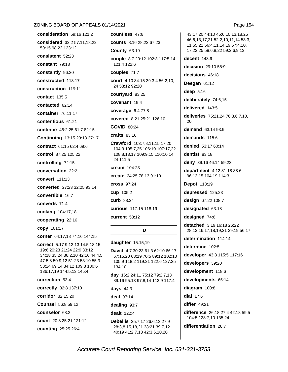consideration 59:16 121:2 considered 32:2 57:11.18.22 59:15 98:22 123:12 consistent 52:23 constant 79:18 constantly 96:20 constructed 113:17 construction 119:11 contact 135:5 contacted 62:14 container 76:11,17 contentious 61:21 continue 46:2,25 61:7 82:15 Continuing 13:15 23:13 37:17 contract 61:15 62:4 69:6 control 87:25 125:22 controlling 72:15 conversation 22:2 convert 111:13 converted 27:23 32:25 93:14 convertible 16:7 converts 71:4 cooking 104:17,18 cooperating 22:16 **CODV** 101:17 corner 64:17,18 74:16 144:15 correct 5:17 9:12,13 14:5 18:15 19:6 20:23 21:24 22:9 33:12 34:18 35:24 36:2,10 42:16 44:4,5 47:5,8 50:9,12 51:23 53:10 55:3 58:24 69:14 84:12 109:8 130:6 136:17,19 144:5,13 145:4 correction 53:4 correctly 82:8 137:10 corridor 82:15,20 **Counsel 56:8 59:12** counselor 68:2 count 20:8 25:21 121:12 counting 25:25 26:4

countless 47:6 **counts** 8:16 28:22 67:23 **County 63:19** couple 8:7 20:12 102:3 117:5,14 121:4 122:6 couples 71:7 court 4:10 34:15 39:3,4 56:2,10, 24 58:12 92:20 courtvard 83:25 covenant 19:4 coverage 6:4 77:8 covered 8:21 25:21 126:10 **COVID 80:24**  $crafts 83:16$ Crawford 103:7,8,11,15,17,20 104:3 105:7,25 106:10 107:17,22 108:8,13,17 109:9,15 110:10,14, 24 111:5 cream 104:23 create 24:25 78:13 91:19 **cross 97:24** cup 105:2 curb 88:24 curious 117:15 118:19 current 58:12 D daughter 15:15,19 David 4:7 30:23 61:3 62:10 66:17

67:15,20 68:19 70:5 89:12 102:10 105:9 118:2 119:21 122:6 127:25 134:10 day 16:2 24:11 75:12 79:2,7,13 89:16 95:13 97:8,14 112:9 117:4 days  $44:3$ 

deal 97:14

dealing 93:7

dealt 122:4

**Debellis** 25:7.17 26:6.13 27:9 28:3,8,15,18,21 38:21 39:7,12 40:19 41:2,7,13 42:3,6,10,20

43:17,20 44:10 45:6,10,13,18,25 46:6.13.17.21 52:2.10.11.14 53:3. 11 55:22 56:4,11,14,19 57:4,10, 17,22,25 58:6,8,22 59:2,6,9,13

decent 143:9

decision 29:10 58:9

decisions 46:18

Deegan 61:12

deep  $5:16$ 

deliberately 74:6,15

delivered 143:5

deliveries 75:21,24 76:3,6,7,10, 20

demand 63:14 93:9

demands 115:6

denied 53:17 60:14

dentist 83:18

deny 39:16 46:14 59:23

department 4:12 81:18 88:6 96:13,15 104:19 114:3

**Depot** 113:19

depressed 125:23

design 67:22 108:7

designated 63:18

designed 74:6

detached 3:19 16:18 26:22 28:13,16,17,18,19,21 29:19 56:17

determination 114:14

determine 102:5

developer 43:8 115:5 117:16

developers 39:20

development 118:6

developments 65:14

diagram 100:8

dial  $17:6$ 

differ  $49:21$ 

difference 26:18 27:4 42:18 59:5 104:5 128:7,10 135:24

differentiation 28:7

### Page 154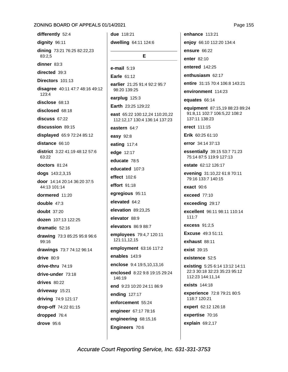differently 52:4 dignity 96:11 dining 73:21 76:25 82:22,23 83:2,5 dinner  $83:3$ directed 39:3 Directors 101:13 disagree 40:11 47:7 48:16 49:12 123:4 disclose 68:13 disclosed 68:18 discuss 67:22 discussion 89:15 displayed 65:9 72:24 85:12 distance 66:10 district 3:22 41:19 48:12 57:6 63:22 doctors 81:24 dogs 143:2,3,15 door 14:14 20:14 36:20 37:5 44:13 101:14 dormered 11:20 double  $47:3$ **doubt** 37:20 dozen 107:13 122:25 dramatic 52:16 drawing 73:3 85:25 95:8 96:6 99:16 drawings 73:7 74:12 96:14 drive 80:9 drive-thru 74:19 drive-under 73:18 drives  $80:22$ driveway 15:21 driving 74:9 121:17 drop-off 74:22 81:15 dropped 76:4 drove 95:6

due 118:21 dwelling 64:11 124:6 Е  $e$ -mail  $5:19$ Earle 61:12 earlier 21:25 91:4 92:2 95:7 98:20 139:25 earplug 125:3 Earth 23:25 129:22 east 65:22 100:12,24 110:20,22 112:12,17 130:4 136:14 137:23 eastern 64:7 easy 92:8 eating 117:4 edge 12:17 educate 78:5 educated 107:3 effect 102:6 effort 91:18 egregious 95:11 elevated 64:2 elevation 89:23,25 elevator 88:9 elevators 86:9 88:7 employees 79:4,7 120:11 121:11,12,15 employment 63:16 117:2 enables 143:9 enclose 9:4 19:5.10.13.16 enclosed 8:22 9:8 19:15 29:24 146:19 end 9:23 10:20 24:11 86:9 ending 127:17 enforcement 55:24 engineer 67:17 78:16 engineering 68:15,16 Engineers 70:6

enhance 113:21 enjoy 66:10 112:20 134:4 **ensure 66:22** enter 82:10 entered 142:25 enthusiasm 62:17 entire 31:15 70:4 106:8 143:21 environment 114:23 equates 66:14 equipment 87:15,19 88:23 89:24 91:8,11 102:7 106:5,22 108:2 137:11 138:23 erect 111:15 Erik 60:25 61:10 error 34:14 37:13 essentially 39:15 53:7 71:23 75:14 87:5 119:9 127:13 estate 62:12 126:17 evening 31:10,22 61:8 70:11 79:16 133:7 140:15 exact 90:6 exceed  $77:10$ exceeding 29:17 excellent 96:11 98:11 110:14  $111:7$ **excess** 91:2.5 **Excuse** 49:3 51:11 exhaust 88:11  $exist$  39:15 existence 52:5 existing 5:25 6:14 13:12 14:11 22:3 30:18 32:23 35:23 95:12 112:23 144:11,14 exists 144:18 experience 72:8 79:21 80:5 118:7 120:21 expert 62:12 126:18 expertise 70:16 explain 69:2,17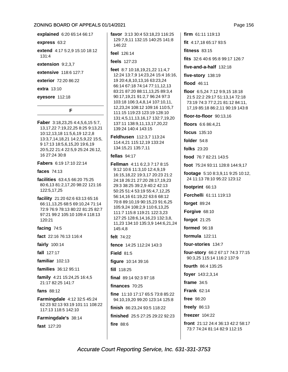explained 6:20 65:14 66:17

express 63:2

extend 4:17 5:2,9 15:10 18:12  $131.4$ 

extension 9:2,3,7

extensive 118:6 127:7

exterior 72:20 86:22

extra 13:10

eyesore 112:18

### F

**Faber** 3:18,23,25 4:4,5,6,15 5:7, 13, 17, 22 7: 19, 22, 25 8: 25 9: 13, 21 10:12,13,18 11:5,6,19 12:2,8 13:3,7,14,18,21 14:2,5,9,22 15:5, 9 17:13 18:5,6,15,20 19:6,19 20:5,22 21:4 22:5,9 25:24 26:12, 16 27:24 30:8

Fabers 6:19 17:10 22:14

faces 74:13

facilities 63:4.5 66:20 75:25 80:6.13 81:2,17,20 98:22 121:16 122:5,17,25

facility 21:20 62:6 63:13 65:16 66:11,13,25 68:5 69:10,24 71:14 72:9 76:9 78:13 80:22 81:25 82:7 97:21 99:2 105:10 109:4 118:13 120:21

facing  $74:5$ 

fact 22:16 76:13 116:4

fairly 100:14

fall 127:17

familiar  $102:13$ 

families 36:12 95:11

family 4:21 15:24,25 16:4,5 21:17 82:25 141:7

fans  $88.12$ 

Farmingdale 4:12 32:5 45:24 62:23 92:13 93:19 101:11 108:22 117:13 118:5 142:10

Farmingdale's 38:14

fast 127:20

favor 3:13 30:4 53:18,23 116:25 129:7.9.11 132:15 140:25 141:8  $146.22$ 

### feel 126:14

feels 127:23

feet 8:7 10:18,19,21,22 11:4,7 12:24 13:7,9 14:23,24 15:4 16:16, 19 20:4,8,10,13,16 63:23,24 66:14 67:18 74:14 77:11,12,13 83:21 87:20 88:11,13,25 89:3,4 90:17,19,21 91:2,7 96:24 97:3 103:18 106:3,4,8,14 107:10,11, 12,23,24 108:12 109:16 110:5,7 111:15 119:23 123:19 128:10 131:4,5,11,13,16,17 132:7,19,20 137:11 138:9,11,13,17,20,22 139:24 140:4 143:15

Feldhusen 112:3,7 113:24 114:4,21 115:12,19 133:24 134:15,21 135:7,11

fellas  $94:17$ 

Fellman 4:11 6:2,3 7:17 8:15 9:12 10:6 11:3,10 12:4,9,19 16:15,18,22 19:3,17 20:23 21:2 24:18 26:21 27:20 28:17,19,23 29:3 38:25 39:2,9 40:2 42:13 50:25 51:4 53:19 55:4,7,12,25 56:14,16 61:19,22 63:6 68:12 70:8 89:10,19 90:15,23 91:6,25 105:9,24 108:2,9 110:6,13,25 111:7 115:8 119:21 122:3,23 127:25 128:6,14,16,23 132:3,8, 11,23 134:10 135:3,9 144:6,21,24 145:4,8

felt  $74:22$ 

fence 14:25 112:24 143:3

Field  $81:5$ 

figure 10:14 39:16

fill 118:25

final 89:14 92:3 97:18

finances 70:25

fine 11:10 17:17 65:5 73:8 85:22 94:10,19,20 99:20 123:14 125:8

finish 86:23.24 93:5 118:22

finished 25:5 27:25 29:22 92:23 fire  $88:6$ 

firm 61:11 119:13 fit 4:17.18 65:17 93:5

fitness  $83:15$ 

fits 32:6 40:6 95:8 99:17 126:7

five-and-a-half 132:18

five-story 138:19

flood 46:11

floor 6:5,24 7:12 9:9,15 18:18 21:5 22:2 29:17 51:13,14 72:18 73:19 74:3 77:2,21 81:12 84:11, 17,19 85:18 86:2,11 90:19 143:8

floor-to-floor 90:13,16

floors 6:6 86:4.21

focus 135:10

folder 54:8

folks 23:20

food 76:7 82:21 143:5

foot 75:24 93:11 128:8 144:9,17

footage 5:10 8:3,9,11 9:25 10:12, 24 11:13 78:10 95:22 123:12

footprint 66:13

Forchelli 61:11 119:13

forget 89:24

Forgive 68:10

forgot 21:25

formed 96:18

formula  $122:11$ 

four-stories 134:7

four-story 66:2 67:17 74:3 77:15 90:3,25 115:14 116:2 137:9

fourth 86:4 135:25

foyer 143:2,3,14

frame  $34:5$ 

**Frank 62:14** 

free 98:20

freely  $86:13$ 

freezer 104:22

front 21:12 24:4 36:13 42:2 58:17 73:7 74:24 81:14 82:9 112:15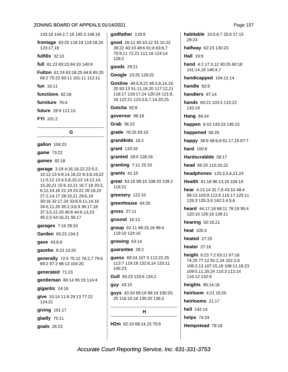143:16 144:2,7,16 145:3 146:18

frontage 63:25 118:19 119:18,20 123:17,18

fulfills  $32:10$ 

full 81:23 83:23 84:10 140:9

Fulton 61:24 63:18,25 64:8 65:20 66:2 75:22 83:11 101:11 112:11

fun 16:11

functions 82:16

furniture 76:4

future 28:9 111:13

FYI 101:2

G

gallon 104:23

game 73:22

games 82:18

garage 3:19 4:16,18,22,23 5:2, 10, 12, 13 6: 8, 14, 18, 22 8: 3, 8, 19, 22 11:5,12 13:4,5,8,10,13 14:12,14, 15,20,21 15:6,10,21 16:7,18 20:3, 6,12,14,16 21:19 23:22 26:18,23 27:2,14,17 28:15,21 29:6,19 30:16 32:17,24 33:8,9,11,14,16 34:5,11,20 35:2,3,6,9 36:17,18 37:3,5,12,20 40:6 44:6,13,23 45:2,5 54:16,21 56:17

garages 7:16 39:10

Garden 65:23 134:3

qave 43:8,9

gazebo 9:23 10:20

generally 72:5 75:12 76:2,7 79:6 89:2 97:2 98:13 104:20

generated 71:23

gentleman 80:14 95:19 114:4

 $$ 

give 10:14 11:8 29:13 77:22 124:21

giving 101:17

gladly 75:11

qoals 26:23

godfather 119:9

good 28:12 30:10,12 31:10,22 39:22 40:19 48:6 61:8 63:6,7 70:9,11 72:21 111:18 124:14 128:2

qoods 29:21

Google 23:25 129:22

Gosline 48:5,9,22 49:3,8,14,19, 20 50:13 51:11,19,20 117:12,21 118:17 119:17,24 120:24 121:8, 18 122:21 123:3,6,7,14,20,25

Gotcha 92:6

governor 96:18

Grab 36:23

grade 76:25 83:10

grandkids 16:2

grant 133:16

granted 28:5 128:19

granting 7:11 25:10

grants 41:15

great 63:16 99:15 108:20 109:2 116:21

greenery 122:10

greenhouse 64:20

**gross 27:11** 

ground 16:13

group 62:11 68:15,16 99:4 119:10 124:16

growing 63:14

guarantee 28:2

guess 69:24 107:3 112:22,25 113:7 119:19 132:6,14 133:11 145:23

Gull 65:23 133:6 134:2

guy 43:15

quys 43:20 69:19 99:19 100:20, 25 116:10.16 135:20 136:2

н

H2m 62:10 68:14.15 70:6

habitable 10:5.6.7 25:6 27:13 29:23

halfway 62:23 130:23

**Hall 19:9** 

hand 4:2 17:3.12 30:25 60:18 141:14,18 146:4,7

handicapped 104:12,14

handle  $82:8$ 

handlers 87:14

hands 60:21 103:3 115:22 133:19

Hang 84:24

happen 6:10 143:23 145:15

happened 56:25

happy 38:6 48:6,8 61:17,19 87:7

hard 100:6

Hardscrabble 58:17

head 65:25 110:20.22

headphones 125:3,5,6,21,24

Health 81:18 96:13.16 104:19

hear 4:13.14 31:7.8 43:10 48:4 89:13 103:9 112:6 116:17 125:11 126:3 135:3,9 142:2,4,5,6

heard 44:17.18 68:11 78:19 95:4 120:10 126:19 139:11

hearing 50:18,21

heat 105:3

**heated** 27:25

heater  $27:16$ 

height 6:23 7:2 63:11 67:18 74:25 77:12 91:2,24 102:2,6 106:2,13 107:15,18 108:11,18,23 109:5,11,20,24 110:3 112:14 116:12 132:9

heights 90:14,16

heirloom 4:21 15:25

heirlooms 21:17

hell 142:14

helps 74:24

Hempstead 78:18

### Page 157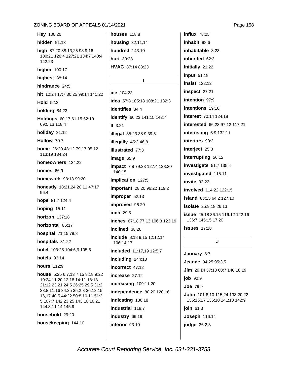Hey 100:20 hidden  $91:13$ high 87:20 88:13,25 93:9,16 100:21 120:4 127:21 134:7 140:4 142:23 higher 100:17 highest 88:14 hindrance 24:5 hit 12:24 17:7 30:25 99:14 141:22 Hold  $52.2$ holding 84:23 Holdings 60:17 61:15 62:10 69:5,13 118:4 holiday 21:12 Hollow 70:7 home 26:20 48:12 79:17 95:12 113:19 134:24 homeowners 134:22 **homes** 66:9 homework 98:13 99:20 honestly 18:21,24 20:11 47:17 96:4 hope 81:7 124:4 hoping 15:11 horizon 137:18 horizontal 86:17 hospital 71:15 79:8 hospitals 81:22 hotel 103:25 104:6,9 105:5 **hotels** 93:14 hours 112:9 house 5:25 6:7,13 7:15 8:18 9:22 10:24 11:20 12:18 14:11 18:13 21:12 23:21 24:5 26:25 29:5 31:2 33:8,11,16 34:25 35:2,3 36:13,15, 16,17 40:5 44:22 50:8,10,11 51:3, 5 107:7 142:23,25 143:10,16,21 144:3,11,14 145:9 household 29:20 housekeeping 144:10

**houses** 118:8 housing 32:11,14 **hundred** 143:10 hurt 39:23 HVAC 87:14 88:23  $\mathbf{I}$ ice 104:23 idea 57:8 105:18 108:21 132:3 identifies 34:4 identify 60:23 141:15 142:7

 $II$  3:21 illegal 35:23 38:9 39:5 illegally 45:3 46:8 illustrated 77:3 image  $65:9$ **impact** 7:8 79:23 127:4 128:20 140:15 implication 127:5 important 28:20 96:22 119:2 improper 52:13 improved 96:20 inch 29:5 inches 67:18 77:13 106:3 123:19 inclined 38:20 include 8:18 9:15 12:12,14 106:14,17 included 11:17,19 12:5,7 including 144:13 incorrect 47:12 increase 27:12 increasing 109:11,20 independence 80:20 120:16 indicating 136:18 industrial 118:7 industry 66:19 inferior 93:10

**influx** 78:25 inhabit 98:6 inhabitable 8:23 inherited 62:3 Initially 21:22 input 51:19 **insist** 122:12 inspect 27:21 intention 97:9 intentions 19:10 interest 70:14 124:18 interested 66:23 97:12 117:21 interesting  $6:9$  132:11 interiors 93:3 interject 25:8 interrupting 56:12 investigate 51:7 135:4 investigated 115:11 invite  $92:22$ involved 114:22 122:15 **Island** 63:15 64:2 127:10 isolate 25:9,18 26:13 issue 25:18 36:15 116:12 122:16 136:7 145:15,17,20  $issues$  17:18

#### J

January 3:7 Jeanne 94:25 95:3,5 Jim 29:14 37:18 60:7 140:18,19 job 92:9 **Joe 79:9** John 101:8,10 115:24 133:20,22 135:16,17 136:10 141:13 142:9 join  $61:3$ **Joseph 116:14** judge  $36:2.3$ 

Page 158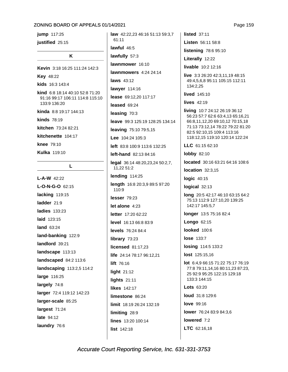jump 117:25 justified 25:15

#### K

Kevin 3:18 16:25 111:24 142:3 **Kev 48:22** kids 16:3 143:4 kind 6:8 18:14 40:10 52:8 71:20 91:16 99:17 106:11 114:8 115:10 133:9 136:20 kinda 8:8 19:17 144:13 **kinds** 78:19 kitchen 73:24 82:21 kitchenette 104:17 knee 79:10 Kulka 119:10

### L

 $L-A-W$  42:22 L-O-N-G-O 62:15 lacking 119:15 ladder 21:9 **ladies** 133:23 laid 123:15 land 63:24 land-banking 122:9 landlord 39:21 landscape 113:13 landscaped 84:2 113:6 landscaping 113:2,5 114:2 large 116:25 largely 74:8 larger 72:4 119:12 142:23 larger-scale 85:25 largest 71:24 late 94:12 laundry 76:6

law 42:22,23 46:16 51:13 59:3,7 61:11 lawful  $46:5$ lawfully 57:3 lawnmower 16:10 lawnmowers  $4:24$  24:14 laws 43:12 lawyer 114:16 lease 69:12,20 117:17 leased 69:24 leasing 70:3 leave 99:3 125:19 128:25 134:14 leaving 75:10 79:5,15 Lee  $104:24$   $105:3$ left 83:8 100:9 113:6 132:25 left-hand 82:13 84:16 legal 36:14 48:20,23,24 50:2,7, 11,22 51:2 lending 114:25 length 16:8 20:3,9 89:5 97:20 110:9  $lesser 79.23$ let alone  $4:23$ letter 17:20 62:22 level 16:13 66:8 83:9 levels 76:24 84:4 library 73:23 licensed 81:17.23 life 24:14 78:17 96:12.21 lift 76:16 light 21:12 lights  $21:11$ likes 142.17 limestone 86:24 limit 18:19 26:24 132:19 limiting 28:9 lines 13:20 100:14 list 142:18

listed  $37:11$ Listen 56:11 58:8 listening 78:6 95:10 Literally 12:22 livable 10:2 12:16 live 3:3 26:20 42:3,11,19 48:15 49:4,5,6,8 95:11 105:15 112:11 134:2.25 lived 145:10 lives  $42:19$ living 10:7 24:12 26:19 36:12 56:23 57:7 62:6 63:4,13 65:16,21 66:8,11,12,20 69:10,12 70:15,18 71:13 73:12,14 78:22 79:22 81:20 82:5 92:10,15 109:4 113:16 118:12,15 119:10 120:14 122:24 LLC 61:15 62:10 **lobby 82:10** located 30:16 63:21 64:16 108:6 location  $32:3.15$ logic 40:15 logical 32:13 long 20:5 42:17 46:10 63:15 64:2 75:13 112:9 127:10,20 139:25 142:17 145:5,7 longer 13:5 75:16 82:4 Longo 62:15 looked 100:6 **lose 133:7** losing 114:5 133:2 lost 125:15,16 lot 6:4,9 66:15 71:22 75:17 76:19 77:8 79:11,14,16 80:11,23 87:23, 25 92:9 95:25 122:15 129:18 133:3 144:15 Lots 63:20 loud 31:8 129:6 **love** 99:16

lower 76:24 83:9 84:3,6

lowered 7:2

LTC 62:16,18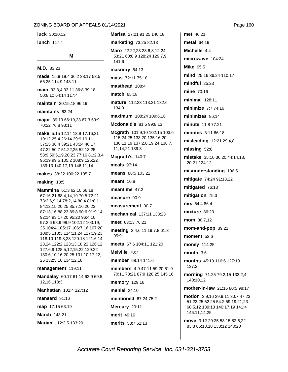**luck** 30:10.12

lunch 117:4

### M

### M.D. 83:23

made 15:9 19:4 36:2 38:17 53:5 66:25 114:9 143:11

main 32:3,4 33:11 36:8 39:18 50:8,10 64:14 117:4

maintain 30:15,18 96:19

maintains 63:24

major 39:19 66:19,23 67:3 69:9 70:22 76:8 93:11

make 5:15 12:14 13:9 17:16,21 19:12 25:4 26:14 29:9,10,11 37:25 38:4 39:21 43:24 46:17 47:22 50:7 51:22,25 52:13,25 58:9 59:5,19,20,23 77:16 81:2,3,4 96:19 99:5 105:2 108:9 125:22 139:13 140:17,19 146:11,14

makes 38:22 100:22 105:7

#### making  $13:5$

Mammina 61:3 62:10 66:18 67:16,21 68:4,14,19 70:5 72:21 73:2,6,9,14 78:2,14 80:4 81:8,11 84:12,15,20,25 85:7,16,20,23 87:13,16 88:23 89:8 90:6 91:9,14 92:14 93:17,20 95:20 96:4,10 97:2,6 98:9 99:9 102:12 103:19, 25 104:4 105:17 106:7,16 107:20 108:5 113:3 114:11,24 117:19,23 118:10 119:8,23 120:18 121:6,14, 23,24 122:2 123:13,18,22 126:12 127:6,9 128:5,12,15,22 129:22 130:6, 10, 16, 20, 25 131: 10, 17, 22, 25 132:5,10 134:12,18

#### management 119:11

Mandalay 60:17 61:14 62:9 69:5, 12,16 118:3

Manhattan 102:4 127:12

mansard 91:16

map 17:15 63:19

March 143:21

Marian 112:2,5 133:20

Marisa 27:21 91:25 140:18 marketing 73:25 82:13 Maro 22:22,23 23:6,8,12,24 53:21 60:8,9 128:24 129:7,9

141:6

masonry 64:13

mass 72:11 75:18

masthead 108:4

match 65:18

mature 112:23 113:21 132:6 134:9

maximum 108:24 109:6,16

Mcdonald's 81:5 99:8,13

Mcgrath 101:9,10 102:15 103:6 115:24,25 133:20 135:16,20 136:11,19 137:2,8,19,24 138:7, 11,14,21 139:3

Mcgrath's 140:7

meals 97:14

means 88:5 103:22

meant  $10:8$ 

meantime  $47:2$ 

measure 90:9

measurement 90:7

mechanical 137:11 138:23

meet 63:13 76:21

meeting 3:4,6,11 19:7,8 61:3 95:9

meets 67:6 104:11 121:20

Melville 70:7

member 68:14 141:6

members 4:9 47:11 59:20 61:9 70:11 78:21 87:9 128:25 145:16

**memory** 129:16

menial  $24:10$ 

mentioned 67:24 75:2

Mercury 20:11

merit 49:16

merits 53:7 62:13

met 46:21 metal 64:19 Michelle 4.4 microwave 104:24 **Mike 95:5** mind 25:16 36:24 110:17  $mindful$  25:23 mine 70:16 **minimal** 128:11 minimize 7:7 74:16 minimizes 86:14 minute 11:8 77:21 minutes 3:11 66:18 misleading 12:21 29:4,8 missing 52:8 mistake 35:10 36:20 44:14,18, 20.21 124:12 misunderstanding 106:5 mitigate 74:24 91:18,22 mitigated 76:13 mitigation 75:3 mix 64:4 86:4 mixture 86:23 mom 80:7,12 mom-and-pop 39:21 moment 52:6 money 114:25 month  $3:6$ months 45:19 116:6 127:19  $137:2$ morning 71:25 79:2,15 133:2,4 140:10.12 mother-in-law 21:16 80:5 98:17

move 3:12 29:25 53:15 82:6,22 83:8 86:13,18 133:12 140:20

motion 3:9,16 29:9,11 30:7 47:23 51:23,25 52:25 54:2 59:19,21,23 60:5,12 139:13 140:17,19 141:4 146:11,14,25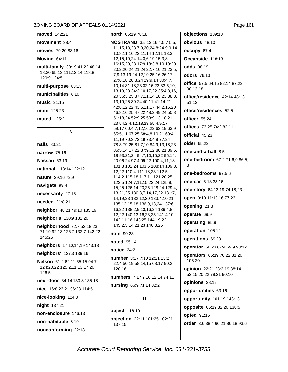moved 142:21

movement 38:4

movies 79:20 83:16

### Moving 64:11

multi-family 30:19 41:22 48:14, 18,20 65:13 111:12,14 118:8 120:9 124:5

multi-purpose 83:13

municipalities 6:10

music 21:15

mute 125:23

**muted** 125:2

### N

nails 83:21 narrow 75:16 Nassau 63:19 national 118:14 122:12 nature 29:16 72:9 navigate 98:4 necessarily 27:15 needed 21:8,21 neighbor 48:21 49:10 135:19 neighbor's 130:9 131:20 neighborhood 32:7 52:18,23 71:19 92:13 126:7 132:7 142:22 145:25 neighbors 17:10,14,19 143:18 neighbors' 127:3 139:16 Nelson 61:2 62:11 65:15 94:7 124:20,22 125:2,11,13,17,20 126:5 next-door 34:14 130:8 135:18 nice 16:8 23:21 96:23 114:5 nice-looking 124:3 night 137:21 non-enclosure 146:13 non-habitable 8:19 nonconforming 22:18

## north 65:19 78:18

**NOSTRAND** 3:5,13,16 4:5,7 5:5, 11, 15, 18, 23 7: 9, 20, 24 8: 24 9: 9, 14 10:8,11,16,23 11:14 12:11 13:3, 12, 15, 19, 24 14: 3, 6, 19 15: 3, 8 16:15,20,23 17:9 18:3,8,10 19:20 20:2,20,24 21:24 22:7,10,21 23:5, 7,9,13,19 24:12,19 25:16 26:17 27:6,18 28:3,24 29:9,14 30:4,7, 10,14 31:18,23 32:16,23 33:5,10, 13, 19, 23 34: 3, 10, 17, 22 35: 4, 8, 16, 20 36:3,25 37:7,11,14,18,23 38:8, 13.19.25 39:24 40:11 41:14.21 42:8,12,22 43:5,11,17 44:2,15,20 46:8,16,25 47:22 48:2 49:24 50:8 51:18,24 52:9,25 53:9,13,18,21, 23 54:2,4,12,18,23 55:4,9,17 59:17 60:4,7,12,16,22 62:19 63:9 65:5,11 67:25 68:4,8,10,21 69:4, 11, 19 70: 3 72: 19 73: 4, 9 77: 24 78:3 79:25 81:7,10 84:9,13,18,23 85:5,14,17,22 87:9,12 88:21 89:6, 18 93:21,24 94:7,10,15,22 95:14, 20 96:24 97:4 99:22 100:4,11,18 101:3 102:24 103:5 108:14 109:8. 12,22 110:4 111:18,23 112:5 114:2 115:18 117:11 121:20,25 123:5 124:7,11,15,22,24 125:9, 15,25 126:14,20,25 128:24 129:4, 13,21,25 130:3,7,14,17,22 131:7, 14, 19, 23 132: 12, 20 133: 4, 10, 21 135:12,15,18 136:9,13,24 137:6, 16,22 138:2,9,13,16,24 139:4,8, 12,22 140:13,16,23,25 141:4,10 142:11,16 143:25 144:19,22 145:2,5,14,21,23 146:8,25

note 90:23

**noted** 95:14

notice 24:2

number 3:17 7:10 12:21 13:2 22:4 50:19 58:14,15 68:17 90:2 120:16

numbers 7:17 9:16 12:14 74:11

nursing 66:9 71:14 82:2

### O

object 116:10 objection 22:11 101:25 102:21 137:15

objections 139:18 obvious 48:10 occupy 67:4 Oceanside 118:13 odds 98:19 odors 76:13 office 57:5 64:15 82:14 87:22 90:13.18 office/residence 42:14 48:13  $51.12$ office/residences 52:5 officer 55:24 offices 73:25 74:2 82:11 official 45:23 **older** 65:22 one-and-a-half  $8:5$ one-bedroom 67:2 71:6,9 86:5,  $\mathsf{R}$ one-bedrooms 97:5,6 one-car 5:13 33:16 one-story 64:13,19 74:18,23 open 9:10 11:13,16 77:23 opening 21:8 operate 69:9 operating 85:9 operation 105:12 operations 69:23 operator 66:23 67:4 69:9 93:12 operators 66:19 70:22 81:20 105:20 opinion 22:21 23:2,19 38:14 52:15,20,22 79:21 90:10 opinions 38:12 opportunities 63:16 opportunity 101:19 143:13 opposite 65:19 82:20 138:5 opted 91:15 order 3:6 38:4 66:21 86:18 93:6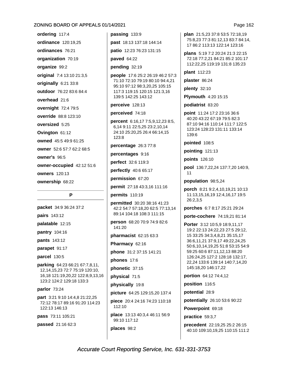ordering 117:4 ordinance 120:19.25 ordinances 76:21 organization 70:19 organize 99:2

original 7:4 13:10 21:3,5

originally 6:21 33:8

outdoor 76:22 83:6 84:4

overhead 21:6

overnight 72:4 79:5

override 88:8 123:10

oversized 5:25

Ovinaton 61:12

owned 45:5 49:9 61:25

owner 52:6 57:7 62:2 68:5

owner's 96:5

owner-occupied 42:12 51:6

**owners** 120:13

ownership 68:22

### P

packet 34:9 36:24 37:2 pairs 143:12 palatable 12:15 pantry 104:16 pants 143:12 parapet 91:17 parcel 130:5 parking 64:23 66:21 67:7,8,11, 12,14,15,23 72:7 75:19 120:10, 16,18 121:19,20,22 122:8,9,13,16 123:2 124:2 129:18 133:3

### parlor 73:24

part 3:21 9:10 14:4,8 21:22,25 72:12 78:17 89:16 91:20 114:23 122:13 146:13

pass 73:11 105:21

passed 21:16 62:3

```
passing 133:9
past 18:13 137:18 144:14
patio 12:23 76:23 131:15
paved 64:22
pending 32:19
people 17:6 25:2 26:19 46:2 57:3
 71:10 72:10 79:19 80:10 94:4,21
 95:10 97:12 98:3,20,25 105:15
 117:3 119:15 120:15 121:3,16
 139:5 142:25 143:12
perceive 128:13
perceived 74:18
percent 6:16,17 7:5,9,12,23 8:5,
 6,14 9:11 22:5,25 23:2,10,14
 24:10 25:20,25 26:4 66:14,15
 123:8
percentage 26:3 77:8
percentages 9:16
perfect 32:6 119:3
perfectly 40:6 65:17
permission 67:20
permit 27:18 43:3,16 111:16
permits 110:19
permitted 30:20 38:16 41:23
 42:2 54:7 57:18.20 62:5 77:13.14
 89:14 104:18 108:3 111:15
person 68:20 70:9 74:9 82:6
 141:20
pharmacist 62:15 63:3
Pharmacy 62:16
phone 31:2 37:15 141:21
phones 17:6
phonetic 37:15
physical 71:5
physically 19:8
picture 64:25 129:15,20 137:4
piece 20:4 24:16 74:23 110:18
 112:10
place 13:13 40:3,4 46:11 56:9
 99:10 117:12
```
places 98:2

plan 21:5,23 37:8 53:5 72:18,19 75:8.23 77:3 81:12.13 83:7 84:14. 17 86:2 113:13 122:14 123:16

plans 5:19 7:2 20:24 21:3 22:15 72:18 77:2,21 84:21 85:2 101:17 112:22,25 119:19 131:8 135:23

**plant** 112:23

plaster 86:24

 $plenty$  32:10

Plymouth 4:20 15:15

podiatrist 83:20

point 11:24 17:2 23:16 36:6 40:20 43:22 67:19 79:5 82:3 87:10 94:16 110:14 111:7 122:5 123:24 128:23 131:11 133:14 139:6

pointed 108:5

pointing  $121:13$ 

points 126:10

pool 136:7,22,24 137:7,20 140:9, 11

population 98:5,24

**porch** 8:21 9:2,4,10,19,21 10:13 11:13.15.16.19 12:4.16.17 19:5 26:2,3,5

porches 6:7 8:17 25:21 29:24

porte-cochere 74:19,21 81:14

Porter 3:12 10:5,9 18:9,11,17 19:2 22:13 24:22,23 27:5 29:12, 15 33:25 34:3,4,8,21 35:15,17 36:6,11,21 37:9,17 49:22,24,25 50:6,10,14,19,25 51:8 53:15 54:9 59:25 60:6 87:11,12,13 88:20 126:24,25 127:2 128:18 132:17, 22,24 133:6 139:14 140:7,14,20 145:18,20 146:17,22

portion 64:12 74:4,12

position 116:5

potential 28:9

potentially 26:10 53:6 90:22

Powerpoint 69:18

practice 59:3,7

precedent 22:19,25 25:2 26:15 40:10 109:10,19,25 110:15 111:2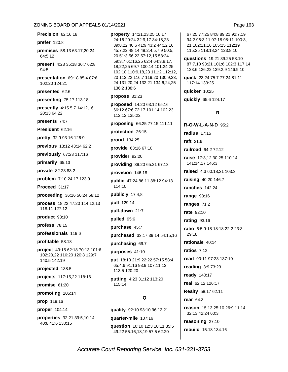Precision 62:16.18 prefer 120:8 premises 58:13 63:17,20,24 64:5,12 present 4:23 35:18 36:7 62:8 94:5 presentation 69:18 85:4 87:6 102:20 124:21 presented 62:6 presenting 75:17 113:18 presently 4:15 5:7 14:12,16 20:13 64:22 presents 74:7 President 62:16 pretty 32:9 93:16 126:9 previous 18:12 43:14 62:2 previously 67:23 117:16 primarily 65:13 private 82:23 83:2 problem 7:10 24:17 123:9 Proceed 31:17 proceeding 36:16 56:24 58:12 process 18:22 47:20 114:12,13 118:11 127:12 product 93:10 profess 78:15 professionals 119:6 profitable 58:18 project 49:15 62:18 70:13 101:6 102:20,22 116:20 120:8 129:7 140:5 142:19 projected 138:5 projects 117:15,22 118:16 promise 61:20 promoting 105:14 prop 119:16 proper 104:14

properties 32:21 39:5,10,14 40:8 41:6 130:15

property 14:21,23,25 16:17 24:16 29:24 32:9.17 34:15.23 39:8.22 40:6 41:9 43:2 44:12.16 45:7,22 48:14 49:2,4,5,7,9 50:5, 20 51:3 56:22 57:12,15 58:24 59:3,7 61:16,25 62:4 64:3,8,17, 18,22,25 69:7 100:14 101:24,25 102:10 110:9,18,23 111:2 112:12, 20 113:22 116:7 119:20 130:9,23, 24 131:20,24 132:21 134:6,24,25 136:2 138:6

propose 31:23

proposed 14:20 63:12 65:16 66:12 67:6 72:17 101:14 102:23 112:12 135:22

proposing 66:25 77:15 111:11

protection 26:15

proud 134:25

provide 63:16 67:10

provider 92:20

providing 39:20 65:21 67:13

provision 146:18

public 47:24 86:11 88:12 94:13 114:10

publicly 17:4,8

pull 129:14

pull-down 21:7

pulled 95:6

purchase 45:7

purchased 33:17 39:14 54:15,16

purchasing 69:7

purposes 41:10

put 18:13 21:9 22:22 57:15 58:4 65:4,6 91:16 93:9 107:11,13 113:5 120:20

putting 4:23 31:12 113:20 115:14

### Q

quality 92:10 93:10 96:12,21

quarter-mile 107:16

question 10:10 12:3 18:11 35:5 49:22 55:16,18,19 57:5 62:20

67:25 77:25 84:8 89:21 92:7.19 94:2 96:3.11 97:18 98:11 100:3. 21 102:11,16 105:25 112:19 115:25 118:18,24 123:8,10

questions 19:21 39:25 58:10 87:7,10 93:21 101:6 102:3 117:14 123:6 126:22 139:2,9 146:9,10

quick 23:24 75:7 77:24 81:11 117:14 133:25

quicker 10:25

quickly 65:6 124:17

### R.

R-O-W-L-A-N-D 95:2 radius  $17:15$ raft 21:6 railroad 64:2 72:12 raise 17:3.12 30:25 110:14 141:14,17 146:3 raised 4:3 60:18.21 103:3 **raising 40:20 146:7** ranches  $142.24$ range 98:16 ranges 71:2 rate 92:10 rating 93:16 ratio 6:5 9:18 18:18 22:2 23:3 29:18 rationale 40:14 ratios  $7:12$ read 90:11 97:23 137:10 reading 3:9 73:23 ready 140:17 real 62:12 126:17 Realty 58:17 62:11 rear  $64:3$ reason 15:13 25:10 26:9,11,14 32:13 42:24 60:3 reasoning 27:10

rebuild 15:18 134:16

Page 163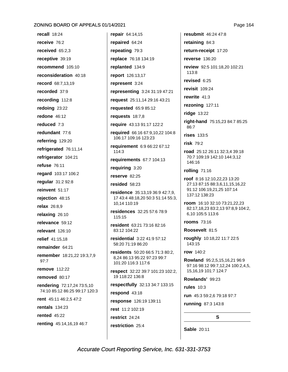recall  $18:24$ receive 76:2 received 65:2,3 receptive 39:19 recommend 105:10 reconsideration 40:18 record 68:7.13.19 recorded 37:9 recording 112:8 redoing 23:22 redone 46:12 reduced 7:3 redundant 77:6 referring 129:20 refrigerated 76:11,14 refrigerator 104:21 refuse 76:11 regard 103:17 106:2 regular 31:2 92:8 reinvent 51:17 rejection 48:15 relax 26:8,9 relaxing 26:10 relevance 59:12 relevant 126:10 relief 41:15,18 remainder 64:21 remember 18:21,22 19:3,7,9  $97:7$ **remove** 112:22 removed 80:17 rendering 72:17,24 73:5,10 74:10 85:12 86:25 99:17 120:3 rent 45:11 46:2,5 47:2 rentals  $134:23$ rented  $45:22$ renting 45:14,16,19 46:7

repair 64:14,15 repaired 64:24 repeating 79:3 replace 76:18 134:19 replanted 134:9 report 126:13,17 represent 3:24 representing 3:24 31:19 47:21 request 25:11,14 29:16 43:21 requested 65:9 85:12 requests  $18:7,8$ require 43:13 91:17 122:2 required 66:16 67:9.10.22 104:8 106:17 109:16 123:23 requirement 6:9 66:22 67:12  $114:3$ requirements 67:7 104:13 requiring 3:20 reserve 82:25 resided 58:23 residence 35:13.19 36:9 42:7.9. 17 43:4 48:18,20 50:3 51:14 55:3, 10,14 110:19 residences 32:25 57:6 78:9 115:15 resident 63:21 73:16 82:16 83:12 104:22 residential 3:22 41:9 57:12 58:20 71:19 86:20 residents 50:20 66:5 71:3 80:2, 8.24 86:13 95:22 97:23 99:7 101:20 116:3 117:6 respect 32:22 39:7 101:23 102:2, 19 118:22 136:8 respectfully 32:13 34:7 133:15 respond 43:18 response 126:19 139:11 rest 11:2 102:19 restrict 24:24 restriction 25:4

resubmit 46:24 47:8 retaining 84:3 return-receipt 17:20 reverse 136:20 review 92:5 101:18,20 102:21 113:8 revised  $6:25$ revisit 109:24 rewrite  $41:3$ rezoning 127:11 ridge 13:22 right-hand 75:15,23 84:7 85:25  $86.7$ rises 133:5 risk 79:2 road 25:12 26:11 32:3.4 39:18 70:7 109:19 142:10 144:3,12 146:16 rolling 71:16 roof 8:16 12:10.22.23 13:20 27:13 87:15 88:3,6,11,15,16,22 91:12 106:19,21,25 107:14 137:12 138:23 room 16:10 32:10 73:21,22,23 82:17,18,23 83:2,13 97:8,9 104:2, 6.10 105:5 113:6 rooms 73:16 Roosevelt 81:5 roughly 10:18,22 11:7 22:5 143:15 row 140:2 Rowland 95:2,5,15,16,21 96:9 97:16 98:12 99:7,12,24 100:2,4,5, 15, 16, 19 101: 7 124: 7 Rowlands' 99:23

rules  $10:3$ 

run 45:3 59:2,6 79:18 97:7

S.

running 87:3 143:8

Sable 20:11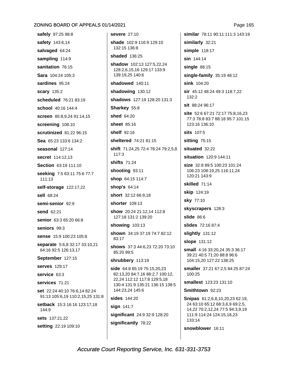safely 97:25 98:8 safety 143:6,14 salvaged 64:24 sampling 114:9 sanitation 76:15 Sara 104:24 105:3 sardines 95:24 scary 135:2 scheduled 76:21 83:19 school 40:16 144:4 screen 85:8,9,24 91:14,15 screening 108:10 scrutinized 81:22 96:15 Sea 65:23 133:6 134:2 seasonal 127:14 secret 114:12,13 Section 63:19 111:10 seeking 7:5 63:11 75:6 77:7 111:13 self-storage 122:17,22 sell 68:24 semi-senior 92:9 send 62:21 senior 63:3 65:20 66:8 seniors 99:3 sense 15:9 100:23 105:8 separate 5:6,8 32:17 33:10,21 64:16 92:5 126:13,17 September 127:15 serves 129:17 service 63:3 services 71:21 set 22:24 40:10 76:6,14 82:24 91:13 105:6,19 110:2,15,25 131:8 setback 15:3 16:16 123:17,18 144:9 sets 137:21,22

setting 22:19 109:10

severe 27:10 shade 102:9 116:9 129:10 132:15 136:8 shaded 136:25 shadow 102:13 127:5,22,24 128:2,6,15,16 129:17 133:9 139:19.25 140:6 shadowed 140:11 shadowing 130:12 shadows 127:19 128:20 131:3 Sharkey 55:8 shed 64:20 sheet 85:16 shelf 92:16 sheltered 74:21 81:15 shift 71:24.25 72:4 78:24 79:2.5.8  $117.3$ shifts 71:24 shooting 93:11 shop 64:15 114:7 **shop's 64:14** short 32:12 66:9,18 shorter 109:13 show 20:24 21:12,14 112:8 127:18 131:2 139:20 showing 103:13 shown 34:19 37:19 74:7 82:12 83:17 shows 37:3 44:6.23 72:20 73:10 85:20 99:5 shrubbery 113:19 side 64:8 65:19 75:15,20,23 82:13,20 84:7,16 86:2,7 100:12, 22,24 112:12 117:8 129:5,18 130:4 131:9 135:21 136:15 138:5 144:23.24 145:6 sides 144:20 sign 141:7 significant 24:9 32:9 128:20 significantly 78:22

similar 78:11 90:11 111:3 143:19 similarly 32:21 simple 118:17 sin 144:14 single  $88:15$ single-family 35:19 48:12 sink 104:20 sir 45:12 48:24 49:3 118:7,22  $132.2$ sit 88:24 96:17 site 52:6 67:21 72:17 75:8,16,23 77:3 78:8 83:7 88:18 95:7 101:15 123:16 136:10 sits 107:5 sitting 75:15 situated 32:22 situation 120:9 144:11 size 32:8 89:5 100:23 101:24 106:23 108:19,25 116:11,24 120:21 143:9 skilled 71:14 skip 124:19 sky 77:10 skyscrapers 128:3 slide  $86:6$ slides 72:16 87:4 slightly 131:12 slope 131:12 small 4:16 33:20,24 35:3 36:17 39:21 40:5 71:20 88:8 96:6 104:15,20 127:22 138:25 smaller 37:21 67:2,5 84:25 87:24 100:25 smallest 123:23 131:10 Smithtown 92:23 **Snipas**  $61:2,6,8,10,20,23,62:19$ 24 63:10 65:12 68:3,6,9 69:2,5, 14,22 70:2,12,24 77:5 94:3,9,19 111:9 114:24 124:15,18,23 133:14 snowblower 16:11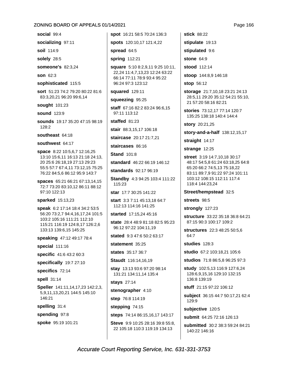social 99:4

socializing 97:11

soil 114:9

solely 28:5

someone's 82:3,24

**son 62:3** 

sophisticated 115:5

sort 51:23 74:2 79:20 80:22 81:6 83:3,20,21 96:20 99:6,14

sought 101:23

sound 123:9

sounds 19:17 35:20 47:15 98:19  $128:2$ 

southeast 64:18

southwest 64:17

space 8:22 10:5,6,7 12:16,25 13:10 15:6,11 16:13 21:18 24:13, 20 25:6 26:18,19 27:13 29:23 55:5 57:7 67:4,11 73:12,15 75:25 76:22 84:5,6 86:12 95:9 143:7

spaces 65:21 66:21 67:13,14,15 72:7 73:20 83:10,12 86:11 88:12 97:10 122:13

#### sparked 15:13,23

speak 6:2 17:14 18:4 34:2 53:5 56:20 73:2,7 94:4,16,17,24 101:5 103:2 105:16 111:21 112:10 115:21 116:19 124:8,17 126:2,6 133:13 139:6,15 145:25

speaking 47:12 49:17 78:4

special 111:16

- specific 41:6 43:2 60:3
- specifically 19:7 27:10

specifics 72:14

spell 31:14

Speller 141:11,14,17,23 142:2,3, 5,9,11,13,20,21 144:5 145:10 146:21

spelling 31:4

spending 97:8

spoke 95:19 101:21

spot 16:21 58:5 70:24 136:3

spots 120:10,17 121:4,22

spread 64:5

spring 112:21

square 5:10 8:2,9,11 9:25 10:11, 22,24 11:4,7,13,23 12:24 63:22 66:14 77:11 78:9 93:4 95:22 96:24 97:3 123:12

squared 129:11

squeezing 95:25

staff 67:16 82:2 83:24 96:6,15 97:11 113:12

staffed 81:23

stair 88:3,15,17 106:18

staircase 20:17 21:7,21

staircases 86:16

**Stand 101:8** 

standard 46:22 66:19 146:12

standards 92:17 96:19

Standby 4:3 94:25 103:4 111:22 115:23

star 17:7 30:25 141:22

start 3:3 7:11 45:13,18 64:7 112:13 114:16 141:25

started 17:15,24 45:16

state 28:4 48:9 81:18 82:5 95:23 96:12 97:22 104:11,19

stated 9:3 47:6 50:2 63:17

statement 35:25

states 35:17 36:7

Staudt 116:14,16,19

stay 13:13 93:6 97:20 98:14 131:21 134:11.14 135:4

**stays** 27:14

stenographer 4:10

step 76:8 114:19

stepping 74:15

steps 74:14 86:15,16,17 143:17

Steve 9:9 10:25 28:16 39:8 55:8, 22 105:18 110:3 119:19 134:13

stick 88:22 stipulate 19:13

stipulated 9:6

**stone 64:9** 

stood 112:14

stoop 144:8,9 146:18

**stop** 56:12

storage 21:7,10,18 23:21 24:13 28:5,11 29:20 35:12 54:21 55:10, 21 57:20 58:16 82:21

stories 73:12,17 77:14 120:7 135:25 138:18 140:4 144:4

story 20:21,25

story-and-a-half 138:12,15,17

straight  $14:17$ 

strange 12:25

street 3:19 14:7,10,18 30:17 48:17 54:5.8 61:24 63:18.25 64:8 65:20 66:2 74:5,13 75:18,22 83:11 89:7,9 91:22 97:24 101:11 103:12 108:15 112:11 117:4 118:4 144:23,24

### Street/hempstead 32:5

streets 98:5

strongly 127:23

structure 33:22 35:18 36:8 64:21 87:15 90:3 100:17 109:2

structures 22:3 48:25 50:5,6 64:7

studies 128:3

studio 67:2 103:18,21 105:6

studios 71:8 86:5,8 96:25 97:3

study 102:5,13 116:9 127:6,24 128:6,9,15,16 129:10 132:15 136:8 139:19

stuff 21:15 97:22 106:12

subject 36:15 44:7 50:17,21 62:4 129:9

subjective 120:5

submit 64:25 72:16 126:13

submitted 30:2 38:3 59:24 84:21 140:22 146:16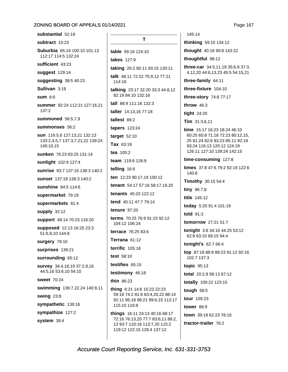Page 167

substantial 52:19 subtract 10:23 Suburbia 65:24 100:10 101:13 112:17 114:5 132:24 sufficient 43:23 suggest 129:14 suggesting 38:5 40:23 Sullivan 3:19  $sum 6:6$ summer 92:24 112:21 127:16,21 137:2 summoned 56:5,7,9 summonses 56:2 sun 116:5.6 127:13.21 132:13 133:2,4,5,7 137:3,7,21,22 139:24 140:10.15 sunken 76:23 83:25 131:14 sunlight 102:9 127:4 sunrise 93:7 137:16 138:3 140:2 sunset 137:19 138:3 140:2 sunshine 84:5 114:6 supermarket 79:19 supermarkets 81:4 supply 32:12 support 48:14 70:23 116:20 supposed 12:13 16:25 23:3 51:6,9,10 144:8 surgery 79:10 surprises 139:21 surrounding 65:12 survey 34:4,18,19 37:2,9,16 44:5,16 53:6,10 54:10 **sweet** 70:24 swimming 136:7,22,24 140:9,11 **swing 23:8** sympathetic 139:16 sympathize 127:2 system 39:4

T table 59:16 124:10 takes 127:9 taking 26:2 80:11 93:15 130:11 talk 48:11 72:22 75:9,12 77:21 114:16 talking 23:17 32:20 33:3 44:8,12 82:19 84:10 132:18 tall 88:9 111:16 132:3 taller 14:13,16 77:18 tallest 89:2 tapers 123:24 target  $52:10$ Tax 63:19 tea 105:2 team 119:6 126:9 telling 16:6 ten 12:23 90:17,19 100:12 tenant 54:17 57:16 58:17,19,20 tenants 45:23 122:12 tend 40:11 47:7 79:14 **tenure** 97:20 terms 70:25 76:9 91:23 92:12 104:12 106:24 terrace 76:25 83:6 Terrana 61:12 terrific  $105:18$ test 58:10 testifies 65:15 testimony 46:18 thin 86:23 thing 6:21 14:6 15:23 22:23 59:18 74:2 81:6 83:4,20,22 88:14 92:11 95:18 96:21 99:6,15 113:17 115:10 116:8 things 16:11 24:13 40:16 68:17 72:16 76:13,20 77:7 83:6,11 88:2,

thinking 59:10 134:12 thought 40:16 90:8 143:22 thoughtful 98:12 three-car 34:5,11,19 35:6,9 37:3, 4,12,20 44:6,13,23 45:5 54:15,21 three-family 64:11 three-fixture 104:10 three-story 74:8 77:17 throw  $46:3$ tight 24:20 Tim 31:3,6,11 time 15:17 16:23 18:24 46:10 60:25 65:8 71:18 72:23 80:12.15. 25 81:24 82:6 83:23 85:11 92:18 93:24 116:13 120:12 124:19 126:11 127:10 139:24 142:15 time-consuming 127:8 times 37:8 47:6 79:2 92:19 122:6 140:8 Timothy 30:15 54:4 tiny 96:7,8 title 145:12 today 5:20 91:4 101:19 told  $91:3$ tomorrow 27:21 51:7 tonight 3:8 34:16 44:25 53:12 62:8 63:10 69:15 94:4 tonight's 62:7 66:4 top 87:18 88:9 89:23 91:12 92:16 102:7 137:3 topic 95:13 total 20:2,9 58:13 67:12 totally 100:22 123:15 tough  $58:5$ tour 105:23 tower 88.9 town 39:18 62:23 78:18

tractor-trailer 76:2

145:14

Accurate Court Reporting Service, Inc. 631-331-3753

13 93:7 110:16 113:7,20 115:2 119:12 122:15 128:4 137:12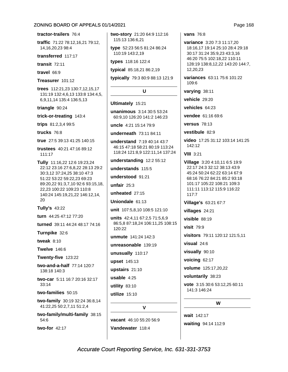tractor-trailers 76:4

traffic 71:22 78:12,16,21 79:12, 14, 16, 20, 23 98: 4

transferred 117:17

transit  $72:11$ 

travel  $66:9$ 

Treasurer 101:12

trees 112:21.23 130:7.12.15.17 131:19 132:4.6.13 133:8 134:4.5. 6,9,11,14 135:4 136:5,13

triangle 90:24

trick-or-treating 143:4

trips 81:2,3,4 99:5

trucks 76:8

true 27:5 39:13 41:25 140:15

trustees 40:21 47:16 89:12 111:17

Tully 11:16,22 12:6 19:23,24 22:12 23:16 27:6,8,22 28:13 29:2 30:3,12 37:24,25 38:10 47:3 51:22 53:22 59:22,23 69:23 89:20,22 91:3,7,10 92:6 93:15,18, 22,23 100:22 109:23 110:8 140:24 145:19,21,22 146:12,14, 20

Tully's 43:22

turn 44:25 47:12 77:20

turned 39:11 44:24 48:17 74:16

Turnpike 32:6

tweak  $8:10$ 

**Twelve 146:6** 

Twenty-five 123:22

two-and-a-half 77:14 120:7 138:18 140:3

two-car 5:11 16:7 20:16 32:17  $33:14$ 

two-families 50:15

**two-family**  $30:19\,32:24\,36:8,14$ 41:22,25 50:2,7,11 51:2,4

two-family/multi-family 38:15 54:6

two-for 42:17

two-story 21:20 64:9 112:16 115:13 136:6.21

type 52:23 56:5 81:24 86:24 110:19 143:2,19

types 118:16 122:4

typical 85:18,21 86:2,19

typically 79:3 80:9 88:13 121:9

### $\mathsf{U}$

### Ultimately 15:21

unanimous 3:14 30:5 53:24 60:9.10 126:20 141:2 146:23

uncle 4:21 15:14 79:9

underneath 73:11 84:11

understand 7:19 40:14 43:7 46:15 47:18 58:21 80:19 113:24 118:24 121:8,9 122:11,14 137:24

understanding 12:2 55:12

understands 115:5

understood 91:21

unfair  $25:3$ 

unheated  $27:15$ 

Uniondale 61:13

unit 107:5,8,10 108:5 121:10

units 42:4.11 67:2.5 71:5.6.9 86:5.8 87:18,24 106:11,25 108:15 120:22

unmute 141:24 142:3

unreasonable 139:19

unusually 110:17

upset 145:13

upstairs 21:10

usable  $4:25$ 

utility 83:10

utilize 15:10

vacant 46:10 55:20 56:9 Vandewater 118:4

**vans** 76:8

variance 3:20 7:3 11:17,20 18:16,17 19:14 25:10 28:4 29:18 30:17 31:24 35:9,23 43:3,16 46:20 75:5 102:18,22 110:11 128:19 138:8,12,22 143:20 144:7, 12,20,23

variances 63:11 75:6 101:22 109:6

varying 38:11

vehicle 29:20

vehicles 64:23

vendee 61:16 69:6

versus  $78:13$ 

vestibule 82:9

video 17:25 31:12 103:14 141:25 142:12

**VIII** 3:21

Village 3:20 4:10,11 6:5 19:9 22:17 24:3 32:12 38:13 43:9 45:24 50:24 62:22 63:14 67:9 68:16 76:22 84:21 85:2 93:18 101:17 105:22 108:21 109:3 111:11 113:12 115:9 116:22  $117:7$ 

Village's 63:21 67:7

villages 24:21

 $visible$  88:19

visit  $79:9$ 

visitors 79:11 120:12 121:5,11

visual  $24:6$ 

visually 90:10

voicing 62:17

volume 125:17,20,22

voluntarily 38:23

vote 3:15 30:6 53:12,25 60:11 141:3 146:24

### W

wait 142:17 waiting 94:14 112:9 Page 168

Accurate Court Reporting Service, Inc. 631-331-3753

 $\mathbf v$